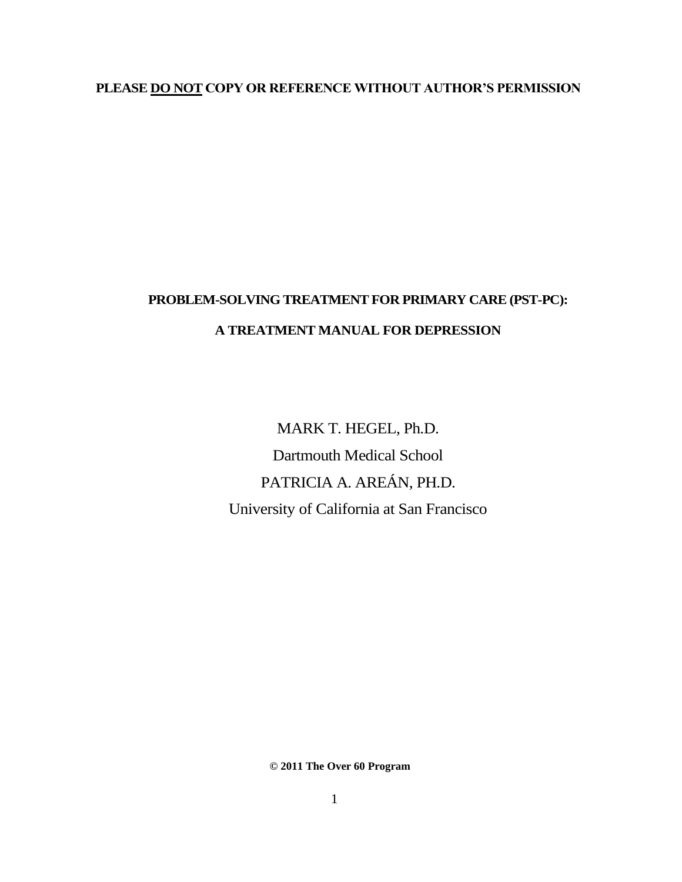## **PLEASE DO NOT COPY OR REFERENCE WITHOUT AUTHOR'S PERMISSION**

# **PROBLEM-SOLVING TREATMENT FOR PRIMARY CARE (PST-PC): A TREATMENT MANUAL FOR DEPRESSION**

MARK T. HEGEL, Ph.D. Dartmouth Medical School PATRICIA A. AREÁN, PH.D. University of California at San Francisco

**© 2011 The Over 60 Program**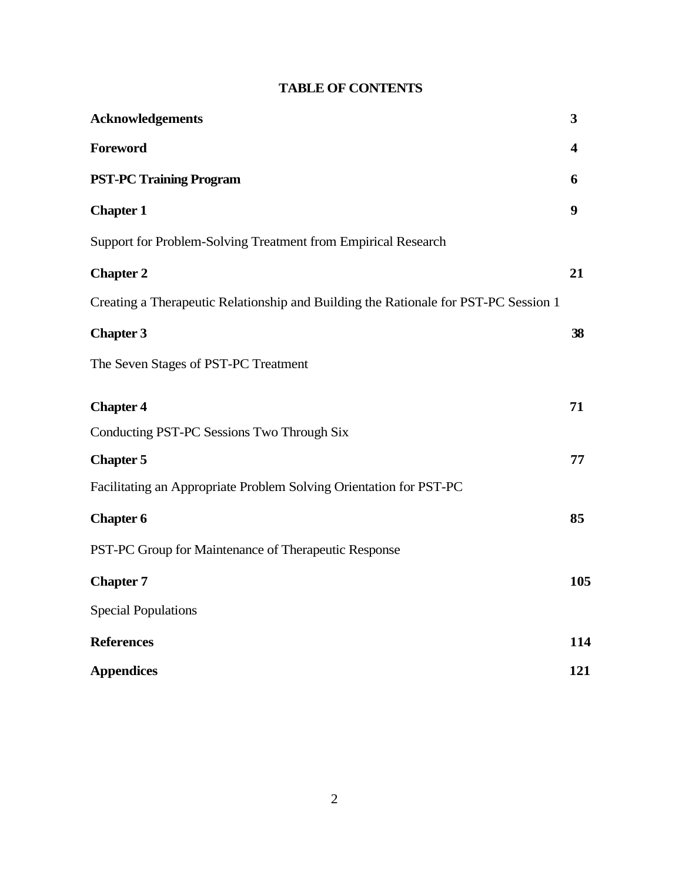# **TABLE OF CONTENTS**

| <b>Acknowledgements</b>                                                             | 3   |
|-------------------------------------------------------------------------------------|-----|
| Foreword                                                                            | 4   |
| <b>PST-PC Training Program</b>                                                      | 6   |
| <b>Chapter 1</b>                                                                    | 9   |
| Support for Problem-Solving Treatment from Empirical Research                       |     |
| <b>Chapter 2</b>                                                                    | 21  |
| Creating a Therapeutic Relationship and Building the Rationale for PST-PC Session 1 |     |
| <b>Chapter 3</b>                                                                    | 38  |
| The Seven Stages of PST-PC Treatment                                                |     |
| <b>Chapter 4</b>                                                                    | 71  |
| Conducting PST-PC Sessions Two Through Six                                          |     |
| <b>Chapter 5</b>                                                                    | 77  |
| Facilitating an Appropriate Problem Solving Orientation for PST-PC                  |     |
| <b>Chapter 6</b>                                                                    | 85  |
| PST-PC Group for Maintenance of Therapeutic Response                                |     |
| <b>Chapter 7</b>                                                                    | 105 |
| <b>Special Populations</b>                                                          |     |
| <b>References</b>                                                                   | 114 |
| <b>Appendices</b>                                                                   | 121 |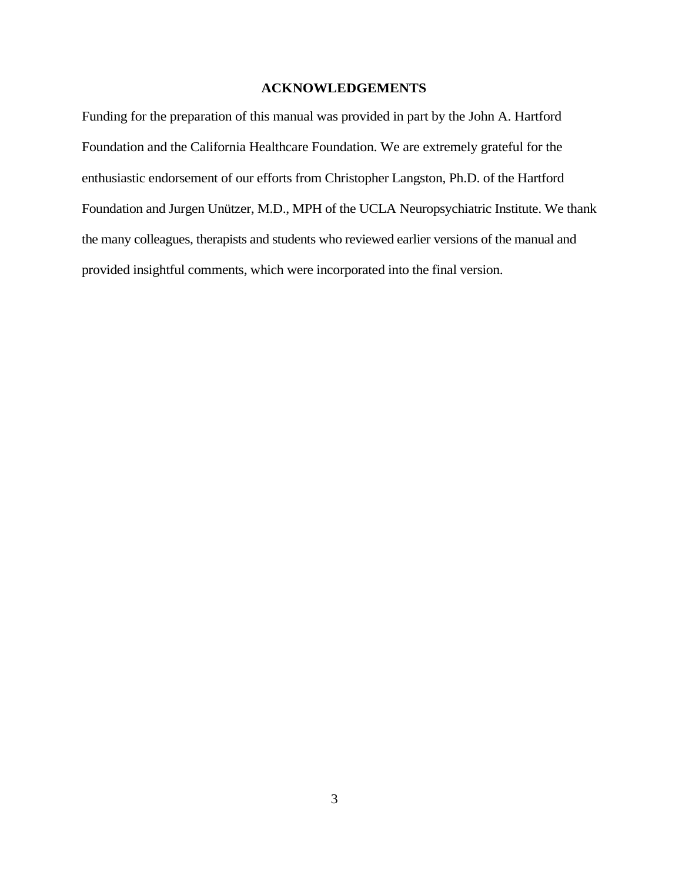## **ACKNOWLEDGEMENTS**

Funding for the preparation of this manual was provided in part by the John A. Hartford Foundation and the California Healthcare Foundation. We are extremely grateful for the enthusiastic endorsement of our efforts from Christopher Langston, Ph.D. of the Hartford Foundation and Jurgen Unützer, M.D., MPH of the UCLA Neuropsychiatric Institute. We thank the many colleagues, therapists and students who reviewed earlier versions of the manual and provided insightful comments, which were incorporated into the final version.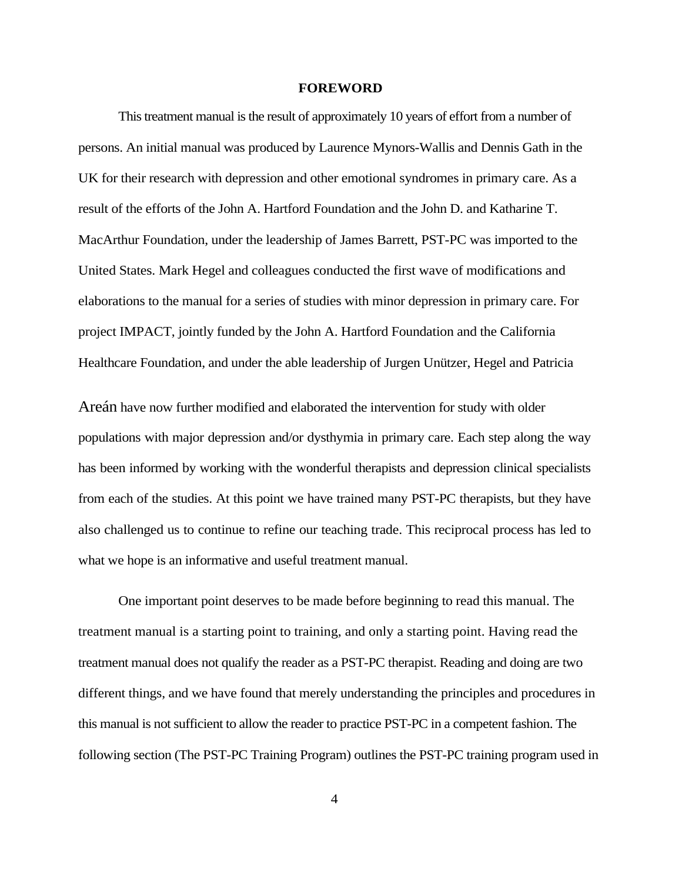#### **FOREWORD**

This treatment manual is the result of approximately 10 years of effort from a number of persons. An initial manual was produced by Laurence Mynors-Wallis and Dennis Gath in the UK for their research with depression and other emotional syndromes in primary care. As a result of the efforts of the John A. Hartford Foundation and the John D. and Katharine T. MacArthur Foundation, under the leadership of James Barrett, PST-PC was imported to the United States. Mark Hegel and colleagues conducted the first wave of modifications and elaborations to the manual for a series of studies with minor depression in primary care. For project IMPACT, jointly funded by the John A. Hartford Foundation and the California Healthcare Foundation, and under the able leadership of Jurgen Unützer, Hegel and Patricia

Areán have now further modified and elaborated the intervention for study with older populations with major depression and/or dysthymia in primary care. Each step along the way has been informed by working with the wonderful therapists and depression clinical specialists from each of the studies. At this point we have trained many PST-PC therapists, but they have also challenged us to continue to refine our teaching trade. This reciprocal process has led to what we hope is an informative and useful treatment manual.

One important point deserves to be made before beginning to read this manual. The treatment manual is a starting point to training, and only a starting point. Having read the treatment manual does not qualify the reader as a PST-PC therapist. Reading and doing are two different things, and we have found that merely understanding the principles and procedures in this manual is not sufficient to allow the reader to practice PST-PC in a competent fashion. The following section (The PST-PC Training Program) outlines the PST-PC training program used in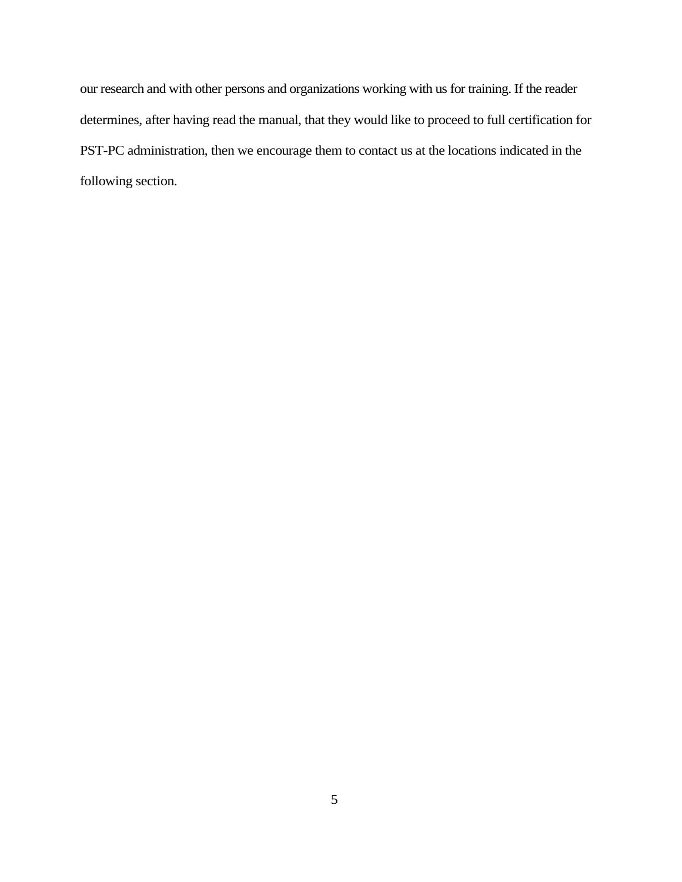our research and with other persons and organizations working with us for training. If the reader determines, after having read the manual, that they would like to proceed to full certification for PST-PC administration, then we encourage them to contact us at the locations indicated in the following section.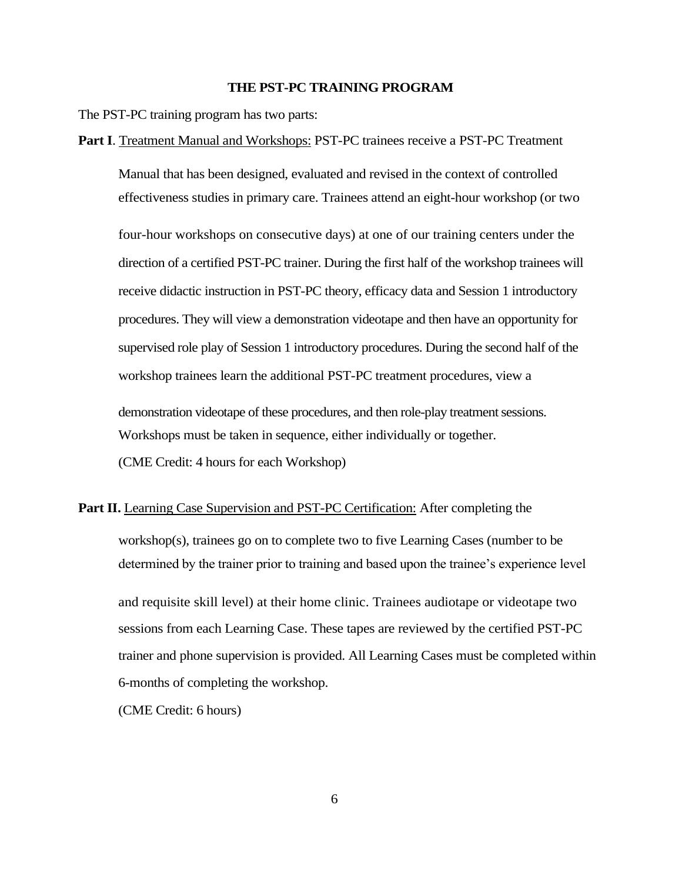## **THE PST-PC TRAINING PROGRAM**

The PST-PC training program has two parts:

#### **Part I**. Treatment Manual and Workshops: PST-PC trainees receive a PST-PC Treatment

Manual that has been designed, evaluated and revised in the context of controlled effectiveness studies in primary care. Trainees attend an eight-hour workshop (or two

four-hour workshops on consecutive days) at one of our training centers under the direction of a certified PST-PC trainer. During the first half of the workshop trainees will receive didactic instruction in PST-PC theory, efficacy data and Session 1 introductory procedures. They will view a demonstration videotape and then have an opportunity for supervised role play of Session 1 introductory procedures. During the second half of the workshop trainees learn the additional PST-PC treatment procedures, view a

demonstration videotape of these procedures, and then role-play treatment sessions. Workshops must be taken in sequence, either individually or together. (CME Credit: 4 hours for each Workshop)

**Part II.** Learning Case Supervision and PST-PC Certification: After completing the workshop(s), trainees go on to complete two to five Learning Cases (number to be determined by the trainer prior to training and based upon the trainee's experience level and requisite skill level) at their home clinic. Trainees audiotape or videotape two sessions from each Learning Case. These tapes are reviewed by the certified PST-PC trainer and phone supervision is provided. All Learning Cases must be completed within 6-months of completing the workshop.

(CME Credit: 6 hours)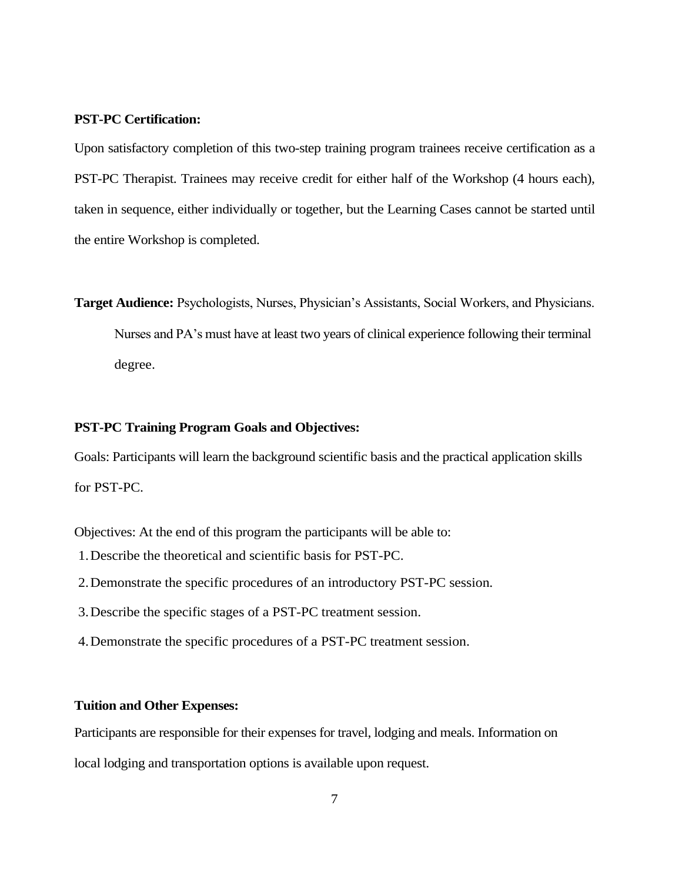## **PST-PC Certification:**

Upon satisfactory completion of this two-step training program trainees receive certification as a PST-PC Therapist. Trainees may receive credit for either half of the Workshop (4 hours each), taken in sequence, either individually or together, but the Learning Cases cannot be started until the entire Workshop is completed.

**Target Audience:** Psychologists, Nurses, Physician's Assistants, Social Workers, and Physicians. Nurses and PA's must have at least two years of clinical experience following their terminal

degree.

## **PST-PC Training Program Goals and Objectives:**

Goals: Participants will learn the background scientific basis and the practical application skills for PST-PC.

Objectives: At the end of this program the participants will be able to:

- 1.Describe the theoretical and scientific basis for PST-PC.
- 2.Demonstrate the specific procedures of an introductory PST-PC session.
- 3.Describe the specific stages of a PST-PC treatment session.
- 4.Demonstrate the specific procedures of a PST-PC treatment session.

## **Tuition and Other Expenses:**

Participants are responsible for their expenses for travel, lodging and meals. Information on local lodging and transportation options is available upon request.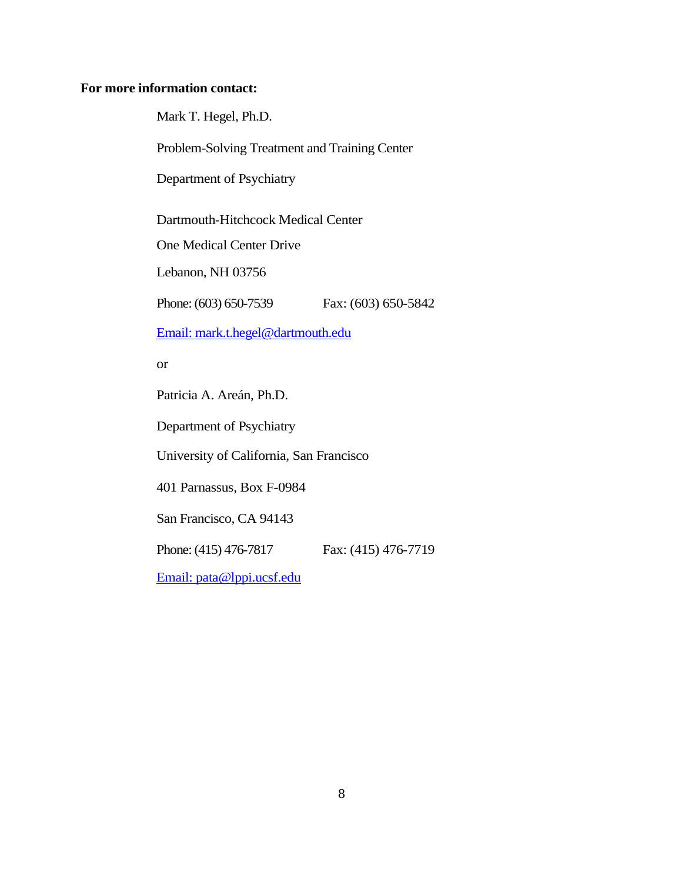## **For more information contact:**

Mark T. Hegel, Ph.D.

Problem-Solving Treatment and Training Center

Department of Psychiatry

Dartmouth-Hitchcock Medical Center

One Medical Center Drive

Lebanon, NH 03756

Phone: (603) 650-7539 Fax: (603) 650-5842

[Email: mark.t.hegel@dartmouth.edu](mailto:mark.t.hegel@dartmouth.edu) 

or

Patricia A. Areán, Ph.D.

Department of Psychiatry

University of California, San Francisco

401 Parnassus, Box F-0984

San Francisco, CA 94143

Phone: (415) 476-7817 Fax: (415) 476-7719

[Email: pata@lppi.ucsf.edu](mailto:pata@lppi.ucsf.edu)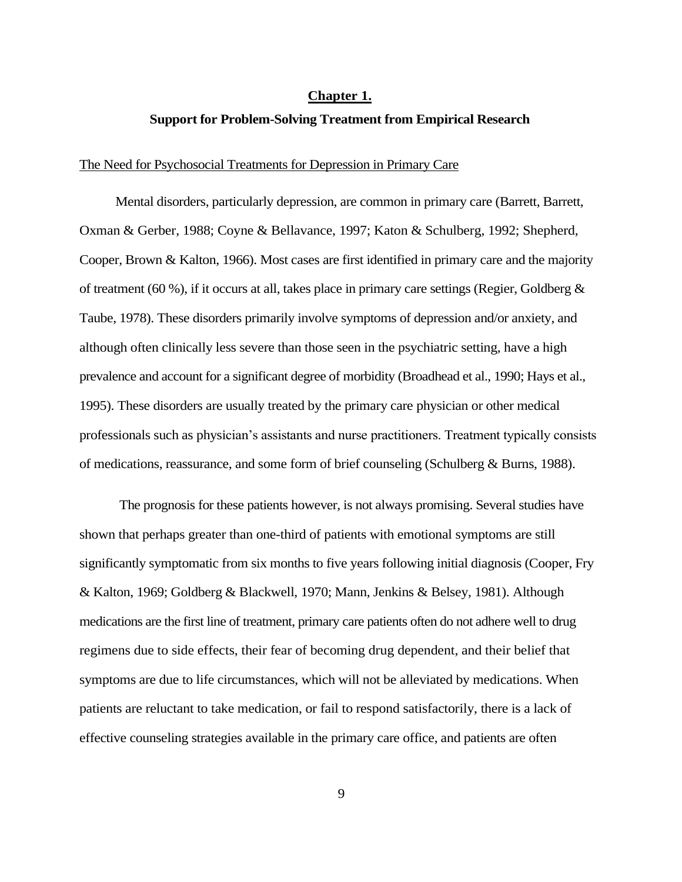#### **Chapter 1.**

## **Support for Problem-Solving Treatment from Empirical Research**

### The Need for Psychosocial Treatments for Depression in Primary Care

Mental disorders, particularly depression, are common in primary care (Barrett, Barrett, Oxman & Gerber, 1988; Coyne & Bellavance, 1997; Katon & Schulberg, 1992; Shepherd, Cooper, Brown & Kalton, 1966). Most cases are first identified in primary care and the majority of treatment (60 %), if it occurs at all, takes place in primary care settings (Regier, Goldberg  $\&$ Taube, 1978). These disorders primarily involve symptoms of depression and/or anxiety, and although often clinically less severe than those seen in the psychiatric setting, have a high prevalence and account for a significant degree of morbidity (Broadhead et al., 1990; Hays et al., 1995). These disorders are usually treated by the primary care physician or other medical professionals such as physician's assistants and nurse practitioners. Treatment typically consists of medications, reassurance, and some form of brief counseling (Schulberg  $\&$  Burns, 1988).

The prognosis for these patients however, is not always promising. Several studies have shown that perhaps greater than one-third of patients with emotional symptoms are still significantly symptomatic from six months to five years following initial diagnosis (Cooper, Fry & Kalton, 1969; Goldberg & Blackwell, 1970; Mann, Jenkins & Belsey, 1981). Although medications are the first line of treatment, primary care patients often do not adhere well to drug regimens due to side effects, their fear of becoming drug dependent, and their belief that symptoms are due to life circumstances, which will not be alleviated by medications. When patients are reluctant to take medication, or fail to respond satisfactorily, there is a lack of effective counseling strategies available in the primary care office, and patients are often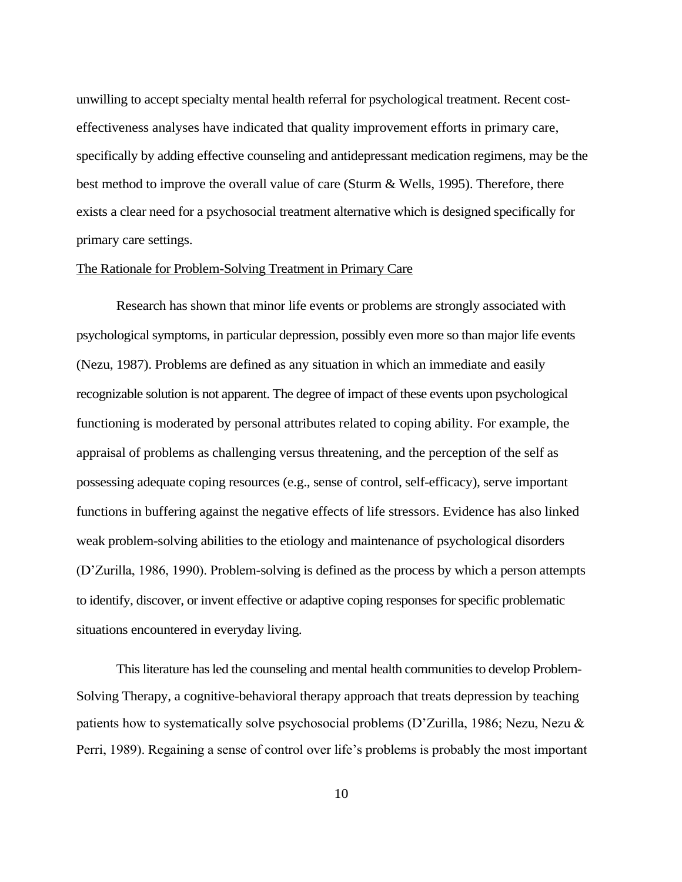unwilling to accept specialty mental health referral for psychological treatment. Recent costeffectiveness analyses have indicated that quality improvement efforts in primary care, specifically by adding effective counseling and antidepressant medication regimens, may be the best method to improve the overall value of care (Sturm & Wells, 1995). Therefore, there exists a clear need for a psychosocial treatment alternative which is designed specifically for primary care settings.

## The Rationale for Problem-Solving Treatment in Primary Care

Research has shown that minor life events or problems are strongly associated with psychological symptoms, in particular depression, possibly even more so than major life events (Nezu, 1987). Problems are defined as any situation in which an immediate and easily recognizable solution is not apparent. The degree of impact of these events upon psychological functioning is moderated by personal attributes related to coping ability. For example, the appraisal of problems as challenging versus threatening, and the perception of the self as possessing adequate coping resources (e.g., sense of control, self-efficacy), serve important functions in buffering against the negative effects of life stressors. Evidence has also linked weak problem-solving abilities to the etiology and maintenance of psychological disorders (D'Zurilla, 1986, 1990). Problem-solving is defined as the process by which a person attempts to identify, discover, or invent effective or adaptive coping responses for specific problematic situations encountered in everyday living.

This literature has led the counseling and mental health communities to develop Problem-Solving Therapy, a cognitive-behavioral therapy approach that treats depression by teaching patients how to systematically solve psychosocial problems (D'Zurilla, 1986; Nezu, Nezu & Perri, 1989). Regaining a sense of control over life's problems is probably the most important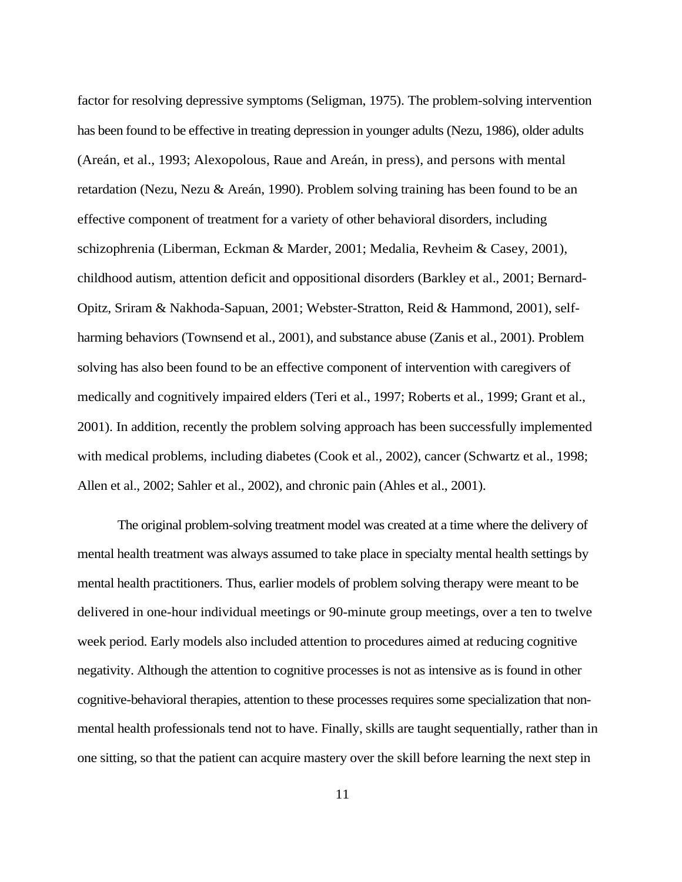factor for resolving depressive symptoms (Seligman, 1975). The problem-solving intervention has been found to be effective in treating depression in younger adults (Nezu, 1986), older adults (Areán, et al., 1993; Alexopolous, Raue and Areán, in press), and persons with mental retardation (Nezu, Nezu & Areán, 1990). Problem solving training has been found to be an effective component of treatment for a variety of other behavioral disorders, including schizophrenia (Liberman, Eckman & Marder, 2001; Medalia, Revheim & Casey, 2001), childhood autism, attention deficit and oppositional disorders (Barkley et al., 2001; Bernard-Opitz, Sriram & Nakhoda-Sapuan, 2001; Webster-Stratton, Reid & Hammond, 2001), selfharming behaviors (Townsend et al., 2001), and substance abuse (Zanis et al., 2001). Problem solving has also been found to be an effective component of intervention with caregivers of medically and cognitively impaired elders (Teri et al., 1997; Roberts et al., 1999; Grant et al., 2001). In addition, recently the problem solving approach has been successfully implemented with medical problems, including diabetes (Cook et al., 2002), cancer (Schwartz et al., 1998; Allen et al., 2002; Sahler et al., 2002), and chronic pain (Ahles et al., 2001).

The original problem-solving treatment model was created at a time where the delivery of mental health treatment was always assumed to take place in specialty mental health settings by mental health practitioners. Thus, earlier models of problem solving therapy were meant to be delivered in one-hour individual meetings or 90-minute group meetings, over a ten to twelve week period. Early models also included attention to procedures aimed at reducing cognitive negativity. Although the attention to cognitive processes is not as intensive as is found in other cognitive-behavioral therapies, attention to these processes requires some specialization that nonmental health professionals tend not to have. Finally, skills are taught sequentially, rather than in one sitting, so that the patient can acquire mastery over the skill before learning the next step in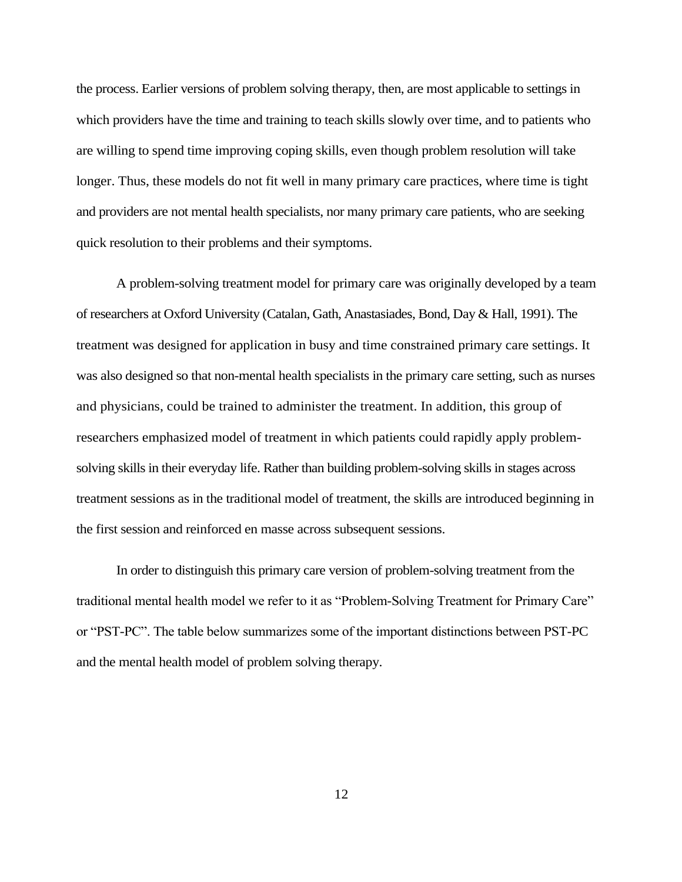the process. Earlier versions of problem solving therapy, then, are most applicable to settings in which providers have the time and training to teach skills slowly over time, and to patients who are willing to spend time improving coping skills, even though problem resolution will take longer. Thus, these models do not fit well in many primary care practices, where time is tight and providers are not mental health specialists, nor many primary care patients, who are seeking quick resolution to their problems and their symptoms.

A problem-solving treatment model for primary care was originally developed by a team of researchers at Oxford University (Catalan, Gath, Anastasiades, Bond, Day & Hall, 1991). The treatment was designed for application in busy and time constrained primary care settings. It was also designed so that non-mental health specialists in the primary care setting, such as nurses and physicians, could be trained to administer the treatment. In addition, this group of researchers emphasized model of treatment in which patients could rapidly apply problemsolving skills in their everyday life. Rather than building problem-solving skills in stages across treatment sessions as in the traditional model of treatment, the skills are introduced beginning in the first session and reinforced en masse across subsequent sessions.

In order to distinguish this primary care version of problem-solving treatment from the traditional mental health model we refer to it as "Problem-Solving Treatment for Primary Care" or "PST-PC". The table below summarizes some of the important distinctions between PST-PC and the mental health model of problem solving therapy.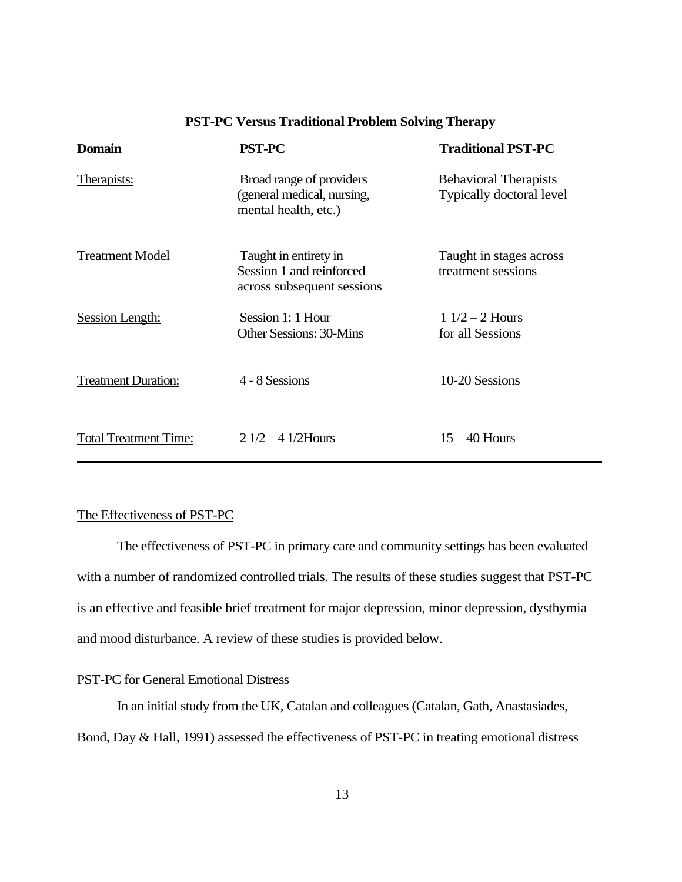| <b>Domain</b>                | <b>PST-PC</b>                                                                   | <b>Traditional PST-PC</b>                                |
|------------------------------|---------------------------------------------------------------------------------|----------------------------------------------------------|
| Therapists:                  | Broad range of providers<br>(general medical, nursing,<br>mental health, etc.)  | <b>Behavioral Therapists</b><br>Typically doctoral level |
| <b>Treatment Model</b>       | Taught in entirety in<br>Session 1 and reinforced<br>across subsequent sessions | Taught in stages across<br>treatment sessions            |
| Session Length:              | Session 1: 1 Hour<br><b>Other Sessions: 30-Mins</b>                             | $11/2 - 2$ Hours<br>for all Sessions                     |
| <b>Treatment Duration:</b>   | 4 - 8 Sessions                                                                  | 10-20 Sessions                                           |
| <b>Total Treatment Time:</b> | $21/2 - 41/2$ Hours                                                             | $15 - 40$ Hours                                          |

## **PST-PC Versus Traditional Problem Solving Therapy**

## The Effectiveness of PST-PC

The effectiveness of PST-PC in primary care and community settings has been evaluated with a number of randomized controlled trials. The results of these studies suggest that PST-PC is an effective and feasible brief treatment for major depression, minor depression, dysthymia and mood disturbance. A review of these studies is provided below.

## PST-PC for General Emotional Distress

In an initial study from the UK, Catalan and colleagues (Catalan, Gath, Anastasiades, Bond, Day & Hall, 1991) assessed the effectiveness of PST-PC in treating emotional distress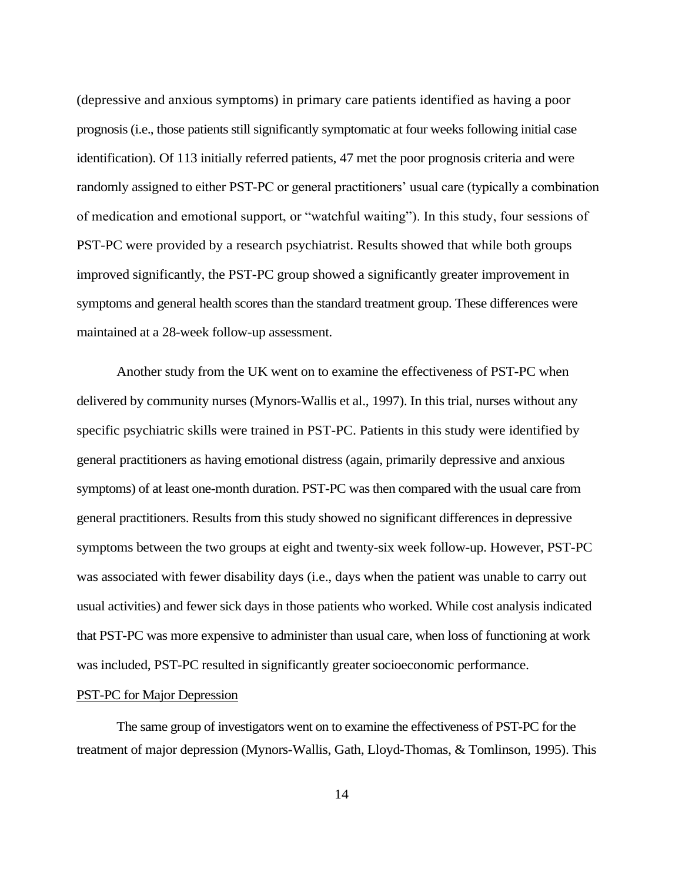(depressive and anxious symptoms) in primary care patients identified as having a poor prognosis (i.e., those patients still significantly symptomatic at four weeks following initial case identification). Of 113 initially referred patients, 47 met the poor prognosis criteria and were randomly assigned to either PST-PC or general practitioners' usual care (typically a combination of medication and emotional support, or "watchful waiting"). In this study, four sessions of PST-PC were provided by a research psychiatrist. Results showed that while both groups improved significantly, the PST-PC group showed a significantly greater improvement in symptoms and general health scores than the standard treatment group. These differences were maintained at a 28-week follow-up assessment.

Another study from the UK went on to examine the effectiveness of PST-PC when delivered by community nurses (Mynors-Wallis et al., 1997). In this trial, nurses without any specific psychiatric skills were trained in PST-PC. Patients in this study were identified by general practitioners as having emotional distress (again, primarily depressive and anxious symptoms) of at least one-month duration. PST-PC was then compared with the usual care from general practitioners. Results from this study showed no significant differences in depressive symptoms between the two groups at eight and twenty-six week follow-up. However, PST-PC was associated with fewer disability days (i.e., days when the patient was unable to carry out usual activities) and fewer sick days in those patients who worked. While cost analysis indicated that PST-PC was more expensive to administer than usual care, when loss of functioning at work was included, PST-PC resulted in significantly greater socioeconomic performance.

### PST-PC for Major Depression

The same group of investigators went on to examine the effectiveness of PST-PC for the treatment of major depression (Mynors-Wallis, Gath, Lloyd-Thomas, & Tomlinson, 1995). This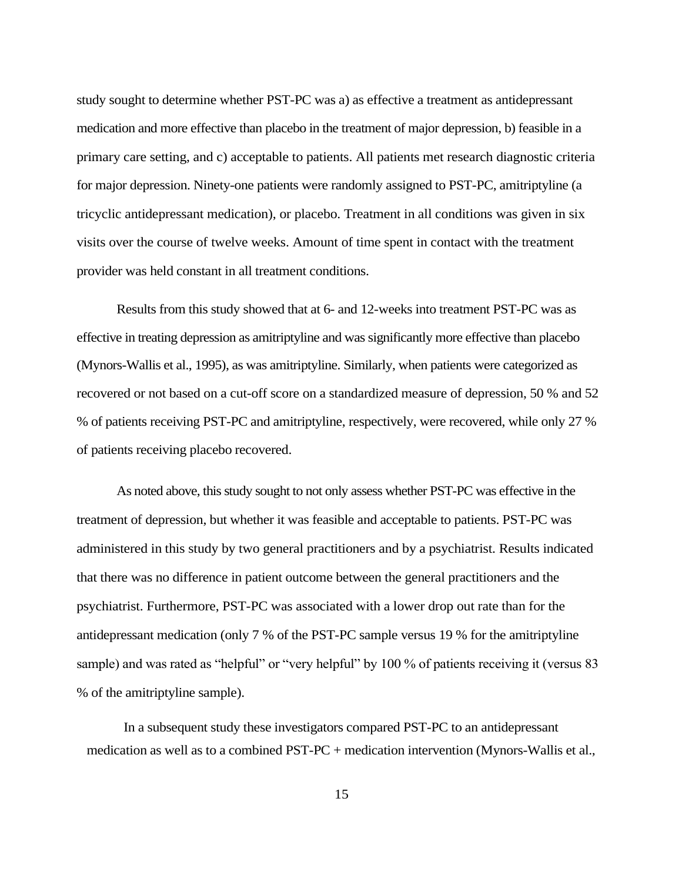study sought to determine whether PST-PC was a) as effective a treatment as antidepressant medication and more effective than placebo in the treatment of major depression, b) feasible in a primary care setting, and c) acceptable to patients. All patients met research diagnostic criteria for major depression. Ninety-one patients were randomly assigned to PST-PC, amitriptyline (a tricyclic antidepressant medication), or placebo. Treatment in all conditions was given in six visits over the course of twelve weeks. Amount of time spent in contact with the treatment provider was held constant in all treatment conditions.

Results from this study showed that at 6- and 12-weeks into treatment PST-PC was as effective in treating depression as amitriptyline and was significantly more effective than placebo (Mynors-Wallis et al., 1995), as was amitriptyline. Similarly, when patients were categorized as recovered or not based on a cut-off score on a standardized measure of depression, 50 % and 52 % of patients receiving PST-PC and amitriptyline, respectively, were recovered, while only 27 % of patients receiving placebo recovered.

As noted above, this study sought to not only assess whether PST-PC was effective in the treatment of depression, but whether it was feasible and acceptable to patients. PST-PC was administered in this study by two general practitioners and by a psychiatrist. Results indicated that there was no difference in patient outcome between the general practitioners and the psychiatrist. Furthermore, PST-PC was associated with a lower drop out rate than for the antidepressant medication (only 7 % of the PST-PC sample versus 19 % for the amitriptyline sample) and was rated as "helpful" or "very helpful" by 100 % of patients receiving it (versus 83 % of the amitriptyline sample).

In a subsequent study these investigators compared PST-PC to an antidepressant medication as well as to a combined PST-PC + medication intervention (Mynors-Wallis et al.,

15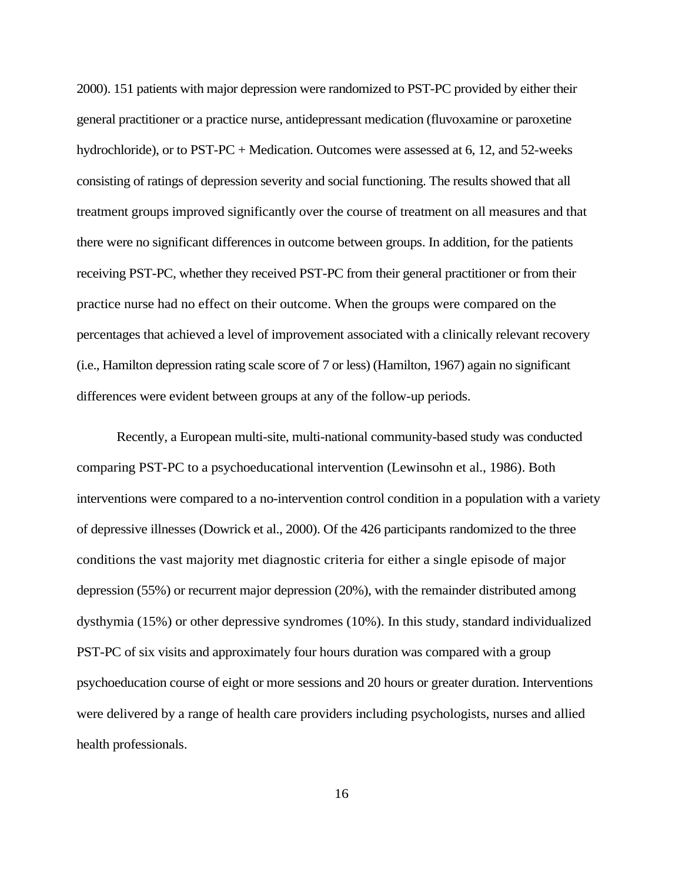2000). 151 patients with major depression were randomized to PST-PC provided by either their general practitioner or a practice nurse, antidepressant medication (fluvoxamine or paroxetine hydrochloride), or to PST-PC + Medication. Outcomes were assessed at 6, 12, and 52-weeks consisting of ratings of depression severity and social functioning. The results showed that all treatment groups improved significantly over the course of treatment on all measures and that there were no significant differences in outcome between groups. In addition, for the patients receiving PST-PC, whether they received PST-PC from their general practitioner or from their practice nurse had no effect on their outcome. When the groups were compared on the percentages that achieved a level of improvement associated with a clinically relevant recovery (i.e., Hamilton depression rating scale score of 7 or less) (Hamilton, 1967) again no significant differences were evident between groups at any of the follow-up periods.

Recently, a European multi-site, multi-national community-based study was conducted comparing PST-PC to a psychoeducational intervention (Lewinsohn et al., 1986). Both interventions were compared to a no-intervention control condition in a population with a variety of depressive illnesses (Dowrick et al., 2000). Of the 426 participants randomized to the three conditions the vast majority met diagnostic criteria for either a single episode of major depression (55%) or recurrent major depression (20%), with the remainder distributed among dysthymia (15%) or other depressive syndromes (10%). In this study, standard individualized PST-PC of six visits and approximately four hours duration was compared with a group psychoeducation course of eight or more sessions and 20 hours or greater duration. Interventions were delivered by a range of health care providers including psychologists, nurses and allied health professionals.

16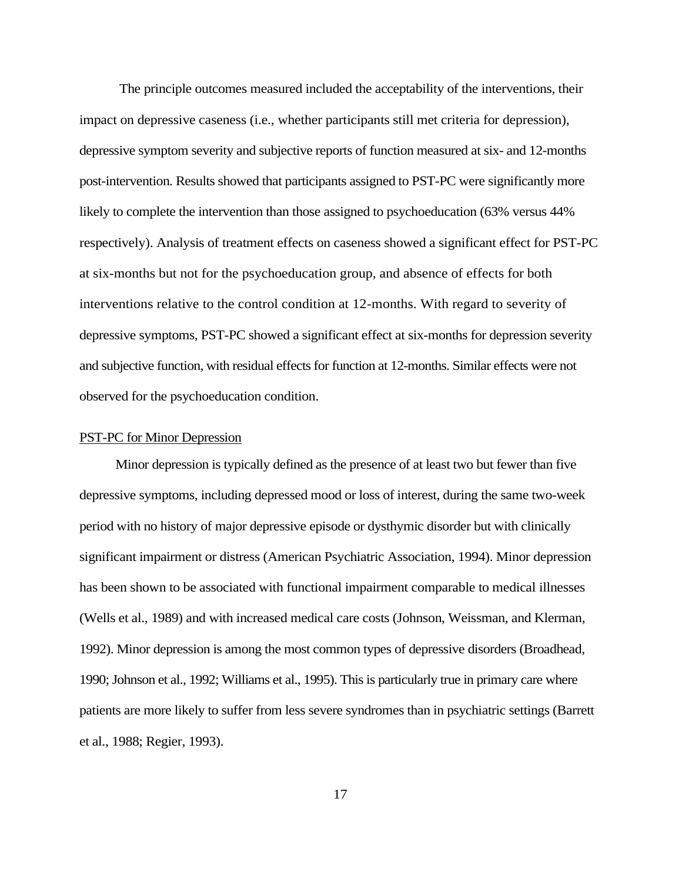The principle outcomes measured included the acceptability of the interventions, their impact on depressive caseness (i.e., whether participants still met criteria for depression), depressive symptom severity and subjective reports of function measured at six- and 12-months post-intervention. Results showed that participants assigned to PST-PC were significantly more likely to complete the intervention than those assigned to psychoeducation (63% versus 44% respectively). Analysis of treatment effects on caseness showed a significant effect for PST-PC at six-months but not for the psychoeducation group, and absence of effects for both interventions relative to the control condition at 12-months. With regard to severity of depressive symptoms, PST-PC showed a significant effect at six-months for depression severity and subjective function, with residual effects for function at 12-months. Similar effects were not observed for the psychoeducation condition.

## PST-PC for Minor Depression

Minor depression is typically defined as the presence of at least two but fewer than five depressive symptoms, including depressed mood or loss of interest, during the same two-week period with no history of major depressive episode or dysthymic disorder but with clinically significant impairment or distress (American Psychiatric Association, 1994). Minor depression has been shown to be associated with functional impairment comparable to medical illnesses (Wells et al., 1989) and with increased medical care costs (Johnson, Weissman, and Klerman, 1992). Minor depression is among the most common types of depressive disorders (Broadhead, 1990; Johnson et al., 1992; Williams et al., 1995). This is particularly true in primary care where patients are more likely to suffer from less severe syndromes than in psychiatric settings (Barrett et al., 1988; Regier, 1993).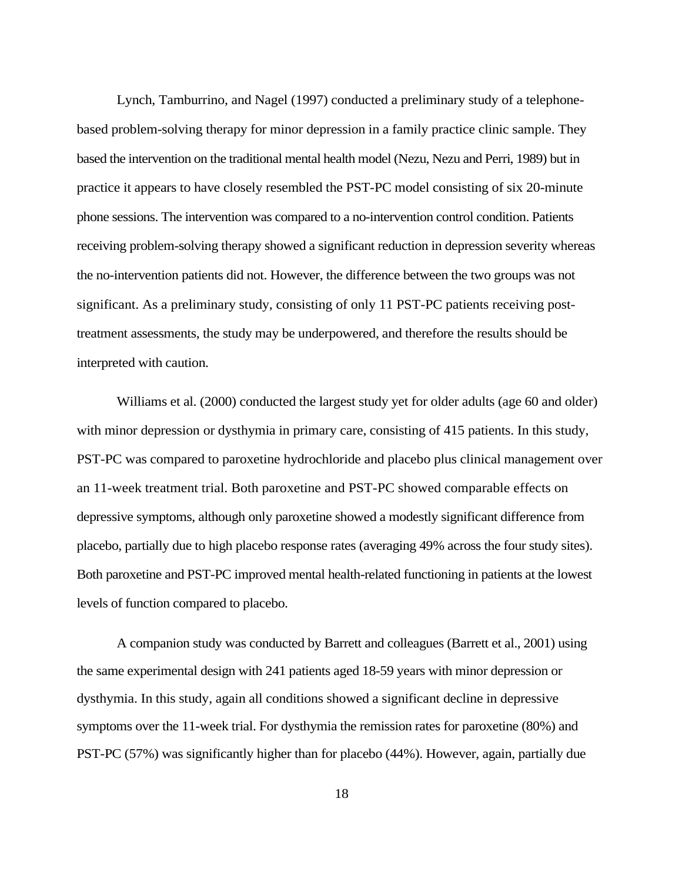Lynch, Tamburrino, and Nagel (1997) conducted a preliminary study of a telephonebased problem-solving therapy for minor depression in a family practice clinic sample. They based the intervention on the traditional mental health model (Nezu, Nezu and Perri, 1989) but in practice it appears to have closely resembled the PST-PC model consisting of six 20-minute phone sessions. The intervention was compared to a no-intervention control condition. Patients receiving problem-solving therapy showed a significant reduction in depression severity whereas the no-intervention patients did not. However, the difference between the two groups was not significant. As a preliminary study, consisting of only 11 PST-PC patients receiving posttreatment assessments, the study may be underpowered, and therefore the results should be interpreted with caution.

Williams et al. (2000) conducted the largest study yet for older adults (age 60 and older) with minor depression or dysthymia in primary care, consisting of 415 patients. In this study, PST-PC was compared to paroxetine hydrochloride and placebo plus clinical management over an 11-week treatment trial. Both paroxetine and PST-PC showed comparable effects on depressive symptoms, although only paroxetine showed a modestly significant difference from placebo, partially due to high placebo response rates (averaging 49% across the four study sites). Both paroxetine and PST-PC improved mental health-related functioning in patients at the lowest levels of function compared to placebo.

A companion study was conducted by Barrett and colleagues (Barrett et al., 2001) using the same experimental design with 241 patients aged 18-59 years with minor depression or dysthymia. In this study, again all conditions showed a significant decline in depressive symptoms over the 11-week trial. For dysthymia the remission rates for paroxetine (80%) and PST-PC (57%) was significantly higher than for placebo (44%). However, again, partially due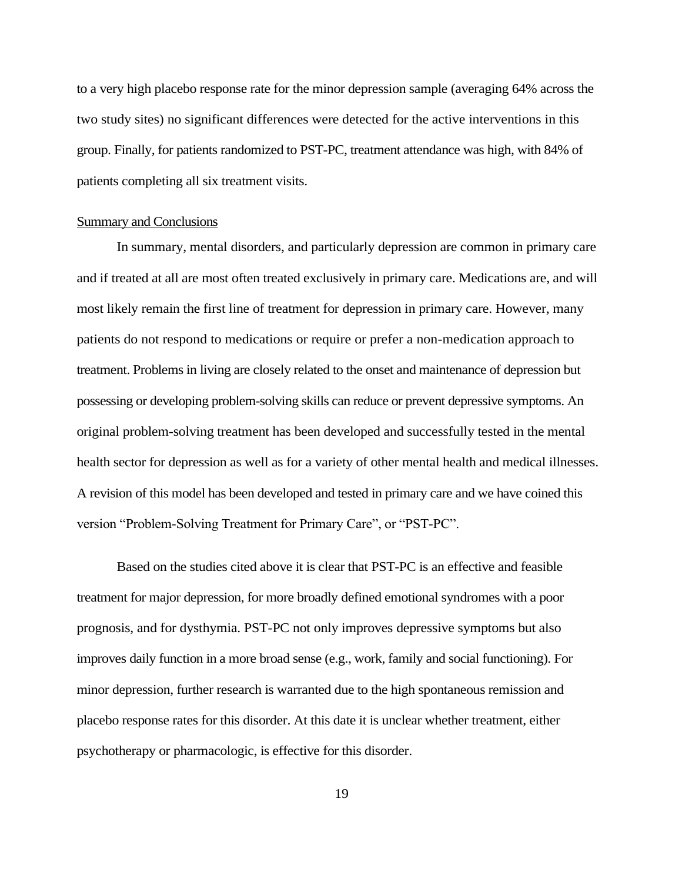to a very high placebo response rate for the minor depression sample (averaging 64% across the two study sites) no significant differences were detected for the active interventions in this group. Finally, for patients randomized to PST-PC, treatment attendance was high, with 84% of patients completing all six treatment visits.

## Summary and Conclusions

In summary, mental disorders, and particularly depression are common in primary care and if treated at all are most often treated exclusively in primary care. Medications are, and will most likely remain the first line of treatment for depression in primary care. However, many patients do not respond to medications or require or prefer a non-medication approach to treatment. Problems in living are closely related to the onset and maintenance of depression but possessing or developing problem-solving skills can reduce or prevent depressive symptoms. An original problem-solving treatment has been developed and successfully tested in the mental health sector for depression as well as for a variety of other mental health and medical illnesses. A revision of this model has been developed and tested in primary care and we have coined this version "Problem-Solving Treatment for Primary Care", or "PST-PC".

Based on the studies cited above it is clear that PST-PC is an effective and feasible treatment for major depression, for more broadly defined emotional syndromes with a poor prognosis, and for dysthymia. PST-PC not only improves depressive symptoms but also improves daily function in a more broad sense (e.g., work, family and social functioning). For minor depression, further research is warranted due to the high spontaneous remission and placebo response rates for this disorder. At this date it is unclear whether treatment, either psychotherapy or pharmacologic, is effective for this disorder.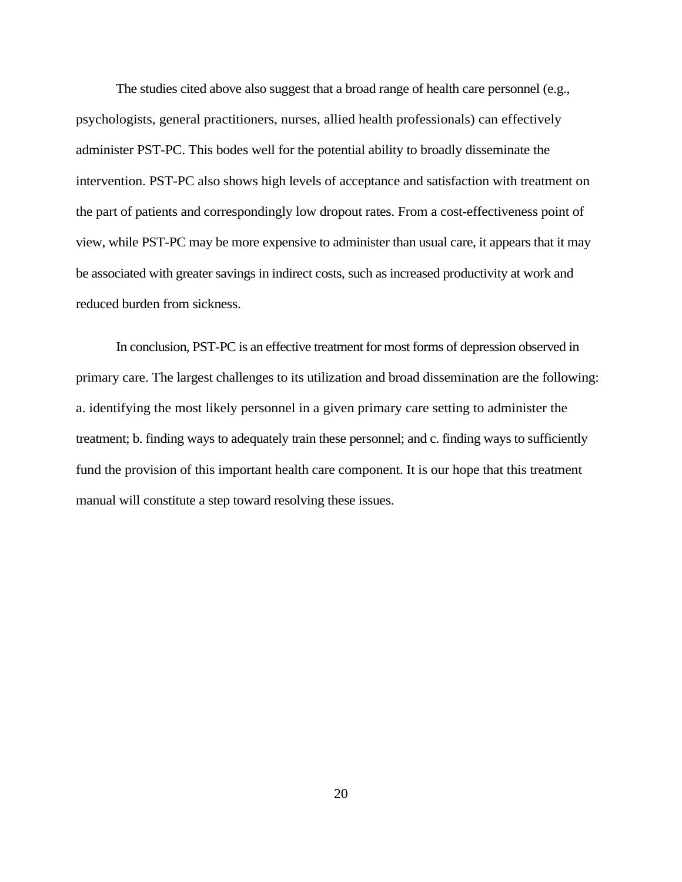The studies cited above also suggest that a broad range of health care personnel (e.g., psychologists, general practitioners, nurses, allied health professionals) can effectively administer PST-PC. This bodes well for the potential ability to broadly disseminate the intervention. PST-PC also shows high levels of acceptance and satisfaction with treatment on the part of patients and correspondingly low dropout rates. From a cost-effectiveness point of view, while PST-PC may be more expensive to administer than usual care, it appears that it may be associated with greater savings in indirect costs, such as increased productivity at work and reduced burden from sickness.

In conclusion, PST-PC is an effective treatment for most forms of depression observed in primary care. The largest challenges to its utilization and broad dissemination are the following: a. identifying the most likely personnel in a given primary care setting to administer the treatment; b. finding ways to adequately train these personnel; and c. finding ways to sufficiently fund the provision of this important health care component. It is our hope that this treatment manual will constitute a step toward resolving these issues.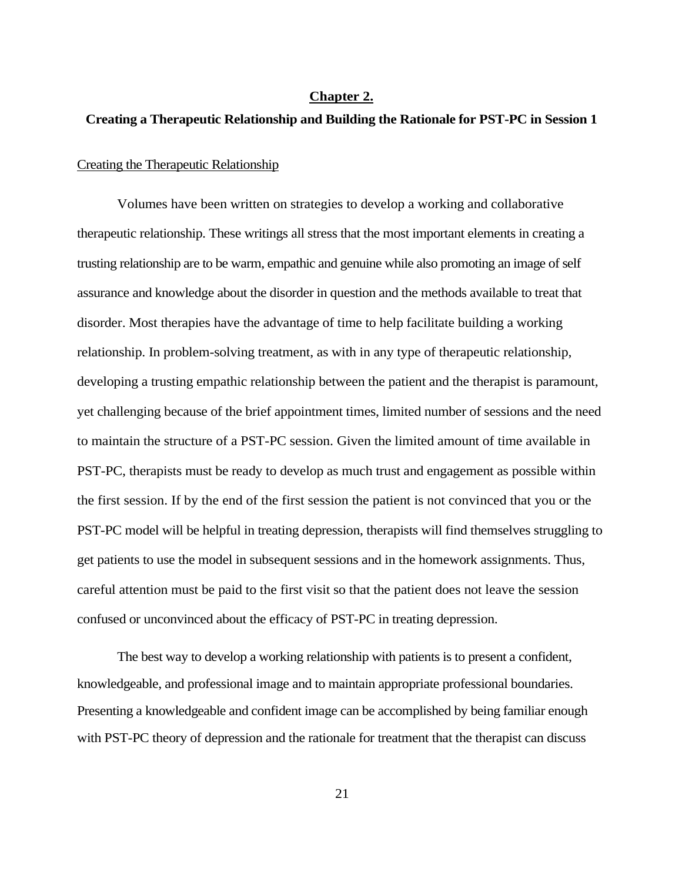#### **Chapter 2.**

#### **Creating a Therapeutic Relationship and Building the Rationale for PST-PC in Session 1**

## Creating the Therapeutic Relationship

Volumes have been written on strategies to develop a working and collaborative therapeutic relationship. These writings all stress that the most important elements in creating a trusting relationship are to be warm, empathic and genuine while also promoting an image of self assurance and knowledge about the disorder in question and the methods available to treat that disorder. Most therapies have the advantage of time to help facilitate building a working relationship. In problem-solving treatment, as with in any type of therapeutic relationship, developing a trusting empathic relationship between the patient and the therapist is paramount, yet challenging because of the brief appointment times, limited number of sessions and the need to maintain the structure of a PST-PC session. Given the limited amount of time available in PST-PC, therapists must be ready to develop as much trust and engagement as possible within the first session. If by the end of the first session the patient is not convinced that you or the PST-PC model will be helpful in treating depression, therapists will find themselves struggling to get patients to use the model in subsequent sessions and in the homework assignments. Thus, careful attention must be paid to the first visit so that the patient does not leave the session confused or unconvinced about the efficacy of PST-PC in treating depression.

The best way to develop a working relationship with patients is to present a confident, knowledgeable, and professional image and to maintain appropriate professional boundaries. Presenting a knowledgeable and confident image can be accomplished by being familiar enough with PST-PC theory of depression and the rationale for treatment that the therapist can discuss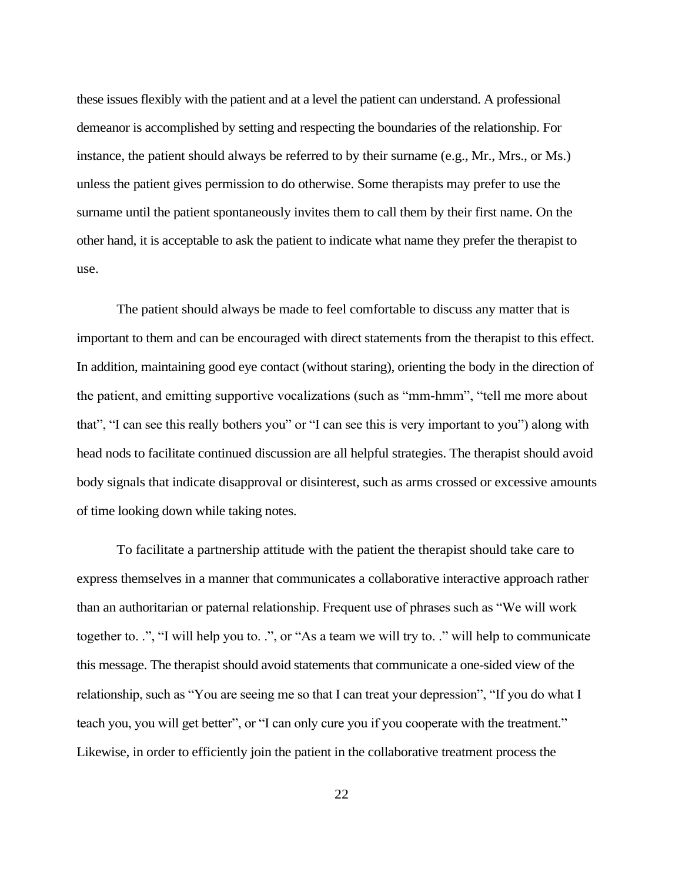these issues flexibly with the patient and at a level the patient can understand. A professional demeanor is accomplished by setting and respecting the boundaries of the relationship. For instance, the patient should always be referred to by their surname (e.g., Mr., Mrs., or Ms.) unless the patient gives permission to do otherwise. Some therapists may prefer to use the surname until the patient spontaneously invites them to call them by their first name. On the other hand, it is acceptable to ask the patient to indicate what name they prefer the therapist to use.

The patient should always be made to feel comfortable to discuss any matter that is important to them and can be encouraged with direct statements from the therapist to this effect. In addition, maintaining good eye contact (without staring), orienting the body in the direction of the patient, and emitting supportive vocalizations (such as "mm-hmm", "tell me more about that", "I can see this really bothers you" or "I can see this is very important to you") along with head nods to facilitate continued discussion are all helpful strategies. The therapist should avoid body signals that indicate disapproval or disinterest, such as arms crossed or excessive amounts of time looking down while taking notes.

To facilitate a partnership attitude with the patient the therapist should take care to express themselves in a manner that communicates a collaborative interactive approach rather than an authoritarian or paternal relationship. Frequent use of phrases such as "We will work together to. .", "I will help you to. .", or "As a team we will try to. ." will help to communicate this message. The therapist should avoid statements that communicate a one-sided view of the relationship, such as "You are seeing me so that I can treat your depression", "If you do what I teach you, you will get better", or "I can only cure you if you cooperate with the treatment." Likewise, in order to efficiently join the patient in the collaborative treatment process the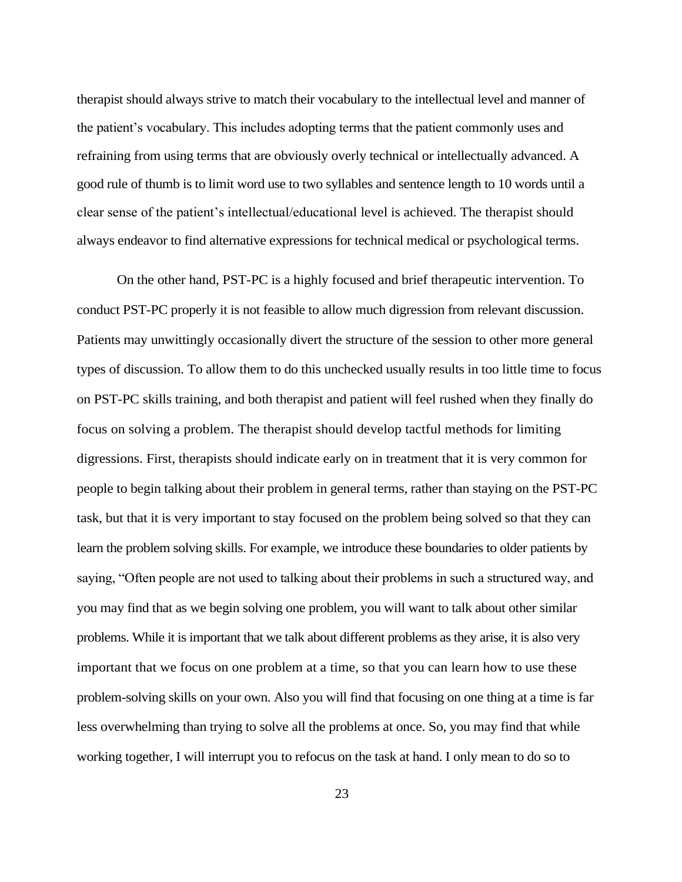therapist should always strive to match their vocabulary to the intellectual level and manner of the patient's vocabulary. This includes adopting terms that the patient commonly uses and refraining from using terms that are obviously overly technical or intellectually advanced. A good rule of thumb is to limit word use to two syllables and sentence length to 10 words until a clear sense of the patient's intellectual/educational level is achieved. The therapist should always endeavor to find alternative expressions for technical medical or psychological terms.

On the other hand, PST-PC is a highly focused and brief therapeutic intervention. To conduct PST-PC properly it is not feasible to allow much digression from relevant discussion. Patients may unwittingly occasionally divert the structure of the session to other more general types of discussion. To allow them to do this unchecked usually results in too little time to focus on PST-PC skills training, and both therapist and patient will feel rushed when they finally do focus on solving a problem. The therapist should develop tactful methods for limiting digressions. First, therapists should indicate early on in treatment that it is very common for people to begin talking about their problem in general terms, rather than staying on the PST-PC task, but that it is very important to stay focused on the problem being solved so that they can learn the problem solving skills. For example, we introduce these boundaries to older patients by saying, "Often people are not used to talking about their problems in such a structured way, and you may find that as we begin solving one problem, you will want to talk about other similar problems. While it is important that we talk about different problems as they arise, it is also very important that we focus on one problem at a time, so that you can learn how to use these problem-solving skills on your own. Also you will find that focusing on one thing at a time is far less overwhelming than trying to solve all the problems at once. So, you may find that while working together, I will interrupt you to refocus on the task at hand. I only mean to do so to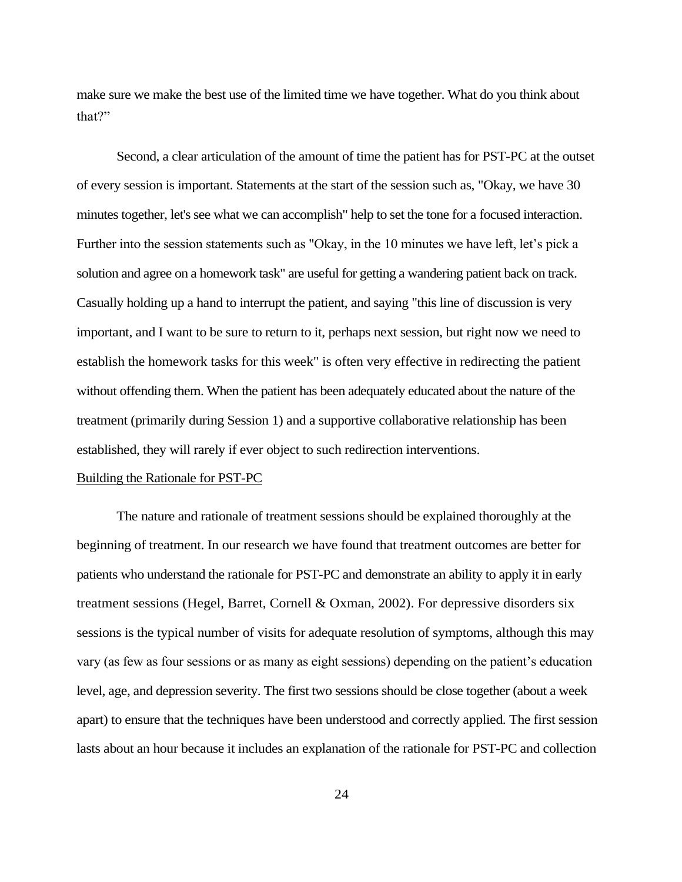make sure we make the best use of the limited time we have together. What do you think about that?"

Second, a clear articulation of the amount of time the patient has for PST-PC at the outset of every session is important. Statements at the start of the session such as, "Okay, we have 30 minutes together, let's see what we can accomplish" help to set the tone for a focused interaction. Further into the session statements such as "Okay, in the 10 minutes we have left, let's pick a solution and agree on a homework task" are useful for getting a wandering patient back on track. Casually holding up a hand to interrupt the patient, and saying "this line of discussion is very important, and I want to be sure to return to it, perhaps next session, but right now we need to establish the homework tasks for this week" is often very effective in redirecting the patient without offending them. When the patient has been adequately educated about the nature of the treatment (primarily during Session 1) and a supportive collaborative relationship has been established, they will rarely if ever object to such redirection interventions.

#### Building the Rationale for PST-PC

The nature and rationale of treatment sessions should be explained thoroughly at the beginning of treatment. In our research we have found that treatment outcomes are better for patients who understand the rationale for PST-PC and demonstrate an ability to apply it in early treatment sessions (Hegel, Barret, Cornell & Oxman, 2002). For depressive disorders six sessions is the typical number of visits for adequate resolution of symptoms, although this may vary (as few as four sessions or as many as eight sessions) depending on the patient's education level, age, and depression severity. The first two sessions should be close together (about a week apart) to ensure that the techniques have been understood and correctly applied. The first session lasts about an hour because it includes an explanation of the rationale for PST-PC and collection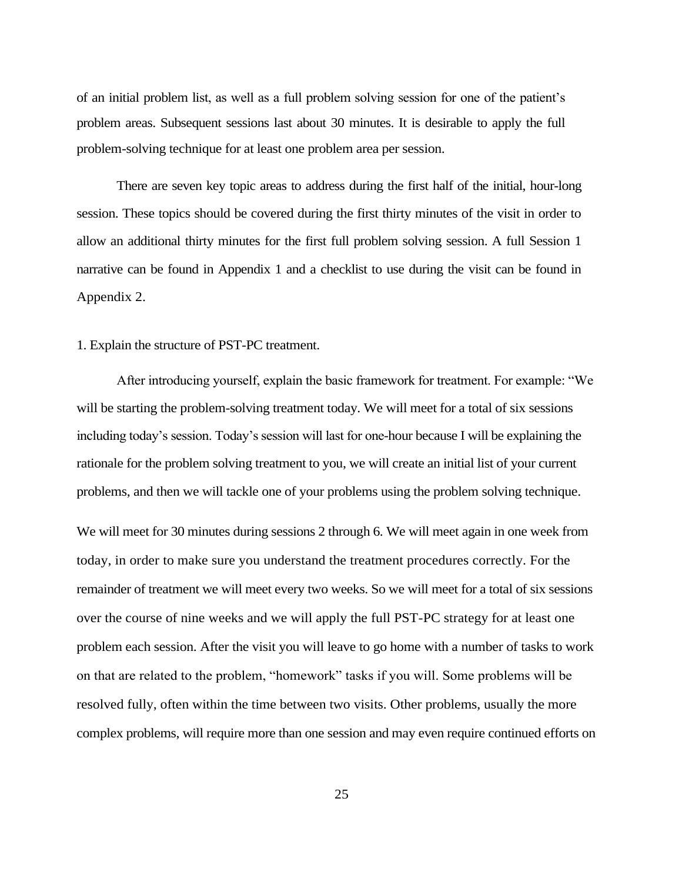of an initial problem list, as well as a full problem solving session for one of the patient's problem areas. Subsequent sessions last about 30 minutes. It is desirable to apply the full problem-solving technique for at least one problem area per session.

There are seven key topic areas to address during the first half of the initial, hour-long session. These topics should be covered during the first thirty minutes of the visit in order to allow an additional thirty minutes for the first full problem solving session. A full Session 1 narrative can be found in Appendix 1 and a checklist to use during the visit can be found in Appendix 2.

### 1. Explain the structure of PST-PC treatment.

After introducing yourself, explain the basic framework for treatment. For example: "We will be starting the problem-solving treatment today. We will meet for a total of six sessions including today's session. Today's session will last for one-hour because I will be explaining the rationale for the problem solving treatment to you, we will create an initial list of your current problems, and then we will tackle one of your problems using the problem solving technique.

We will meet for 30 minutes during sessions 2 through 6. We will meet again in one week from today, in order to make sure you understand the treatment procedures correctly. For the remainder of treatment we will meet every two weeks. So we will meet for a total of six sessions over the course of nine weeks and we will apply the full PST-PC strategy for at least one problem each session. After the visit you will leave to go home with a number of tasks to work on that are related to the problem, "homework" tasks if you will. Some problems will be resolved fully, often within the time between two visits. Other problems, usually the more complex problems, will require more than one session and may even require continued efforts on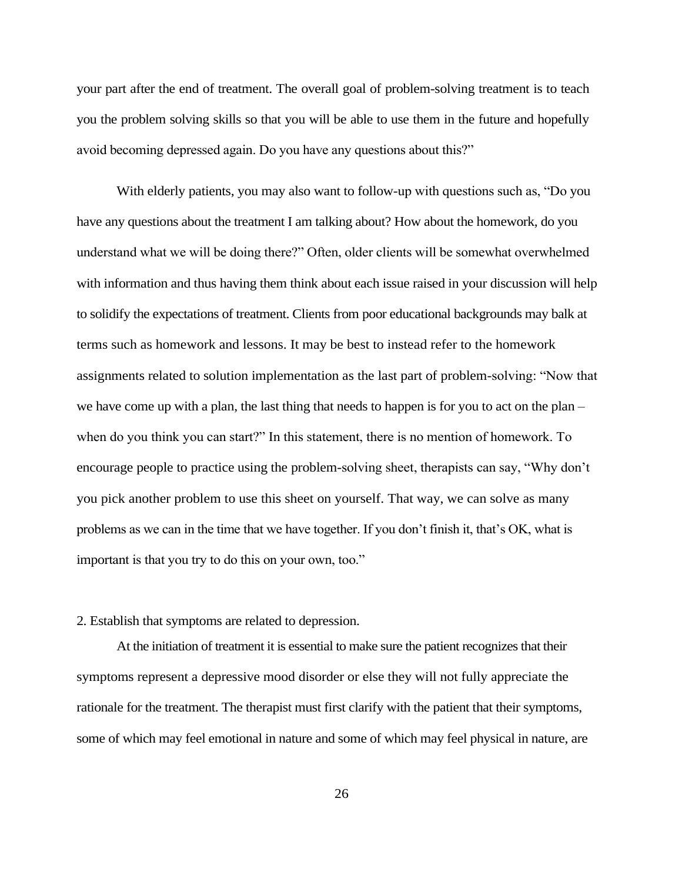your part after the end of treatment. The overall goal of problem-solving treatment is to teach you the problem solving skills so that you will be able to use them in the future and hopefully avoid becoming depressed again. Do you have any questions about this?"

With elderly patients, you may also want to follow-up with questions such as, "Do you have any questions about the treatment I am talking about? How about the homework, do you understand what we will be doing there?" Often, older clients will be somewhat overwhelmed with information and thus having them think about each issue raised in your discussion will help to solidify the expectations of treatment. Clients from poor educational backgrounds may balk at terms such as homework and lessons. It may be best to instead refer to the homework assignments related to solution implementation as the last part of problem-solving: "Now that we have come up with a plan, the last thing that needs to happen is for you to act on the plan – when do you think you can start?" In this statement, there is no mention of homework. To encourage people to practice using the problem-solving sheet, therapists can say, "Why don't you pick another problem to use this sheet on yourself. That way, we can solve as many problems as we can in the time that we have together. If you don't finish it, that's OK, what is important is that you try to do this on your own, too."

## 2. Establish that symptoms are related to depression.

At the initiation of treatment it is essential to make sure the patient recognizes that their symptoms represent a depressive mood disorder or else they will not fully appreciate the rationale for the treatment. The therapist must first clarify with the patient that their symptoms, some of which may feel emotional in nature and some of which may feel physical in nature, are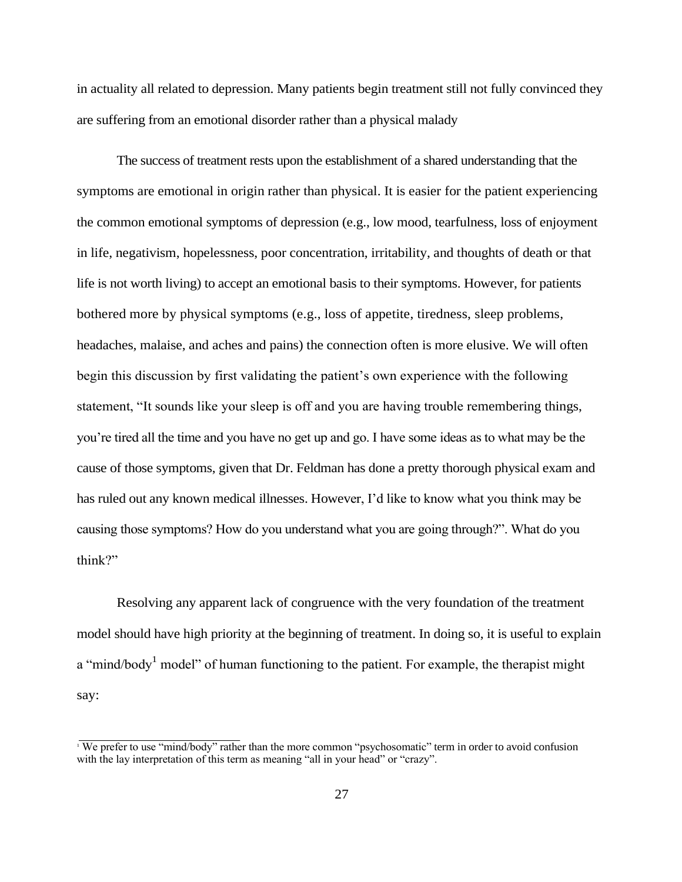in actuality all related to depression. Many patients begin treatment still not fully convinced they are suffering from an emotional disorder rather than a physical malady

The success of treatment rests upon the establishment of a shared understanding that the symptoms are emotional in origin rather than physical. It is easier for the patient experiencing the common emotional symptoms of depression (e.g., low mood, tearfulness, loss of enjoyment in life, negativism, hopelessness, poor concentration, irritability, and thoughts of death or that life is not worth living) to accept an emotional basis to their symptoms. However, for patients bothered more by physical symptoms (e.g., loss of appetite, tiredness, sleep problems, headaches, malaise, and aches and pains) the connection often is more elusive. We will often begin this discussion by first validating the patient's own experience with the following statement, "It sounds like your sleep is off and you are having trouble remembering things, you're tired all the time and you have no get up and go. I have some ideas as to what may be the cause of those symptoms, given that Dr. Feldman has done a pretty thorough physical exam and has ruled out any known medical illnesses. However, I'd like to know what you think may be causing those symptoms? How do you understand what you are going through?". What do you think?"

Resolving any apparent lack of congruence with the very foundation of the treatment model should have high priority at the beginning of treatment. In doing so, it is useful to explain a "mind/body<sup>1</sup> model" of human functioning to the patient. For example, the therapist might say:

<sup>&</sup>lt;sup>1</sup> We prefer to use "mind/body" rather than the more common "psychosomatic" term in order to avoid confusion with the lay interpretation of this term as meaning "all in your head" or "crazy".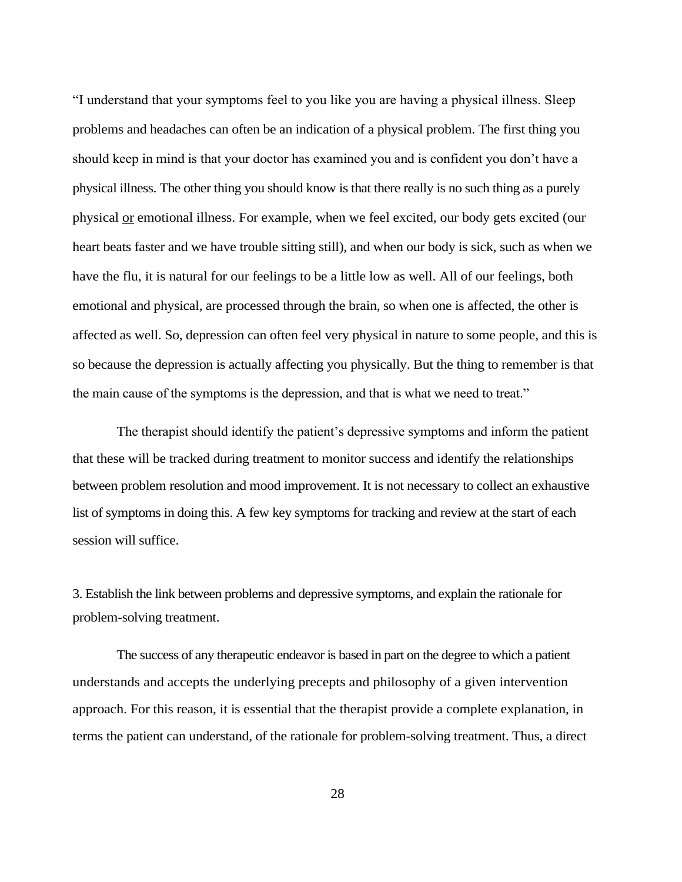"I understand that your symptoms feel to you like you are having a physical illness. Sleep problems and headaches can often be an indication of a physical problem. The first thing you should keep in mind is that your doctor has examined you and is confident you don't have a physical illness. The other thing you should know is that there really is no such thing as a purely physical or emotional illness. For example, when we feel excited, our body gets excited (our heart beats faster and we have trouble sitting still), and when our body is sick, such as when we have the flu, it is natural for our feelings to be a little low as well. All of our feelings, both emotional and physical, are processed through the brain, so when one is affected, the other is affected as well. So, depression can often feel very physical in nature to some people, and this is so because the depression is actually affecting you physically. But the thing to remember is that the main cause of the symptoms is the depression, and that is what we need to treat."

The therapist should identify the patient's depressive symptoms and inform the patient that these will be tracked during treatment to monitor success and identify the relationships between problem resolution and mood improvement. It is not necessary to collect an exhaustive list of symptoms in doing this. A few key symptoms for tracking and review at the start of each session will suffice.

3. Establish the link between problems and depressive symptoms, and explain the rationale for problem-solving treatment.

The success of any therapeutic endeavor is based in part on the degree to which a patient understands and accepts the underlying precepts and philosophy of a given intervention approach. For this reason, it is essential that the therapist provide a complete explanation, in terms the patient can understand, of the rationale for problem-solving treatment. Thus, a direct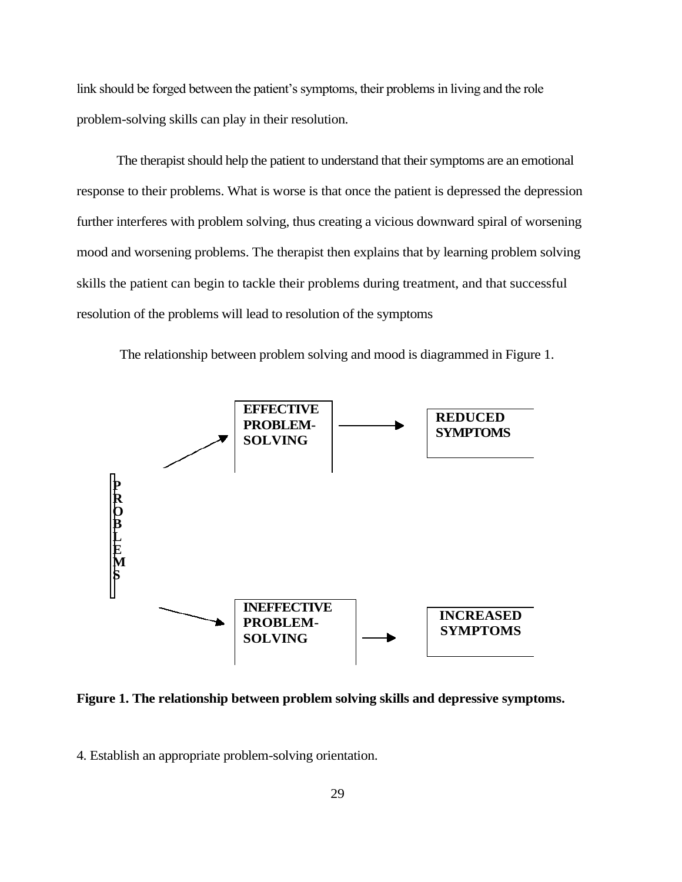link should be forged between the patient's symptoms, their problems in living and the role problem-solving skills can play in their resolution.

The therapist should help the patient to understand that their symptoms are an emotional response to their problems. What is worse is that once the patient is depressed the depression further interferes with problem solving, thus creating a vicious downward spiral of worsening mood and worsening problems. The therapist then explains that by learning problem solving skills the patient can begin to tackle their problems during treatment, and that successful resolution of the problems will lead to resolution of the symptoms



The relationship between problem solving and mood is diagrammed in Figure 1.

**Figure 1. The relationship between problem solving skills and depressive symptoms.**

4. Establish an appropriate problem-solving orientation.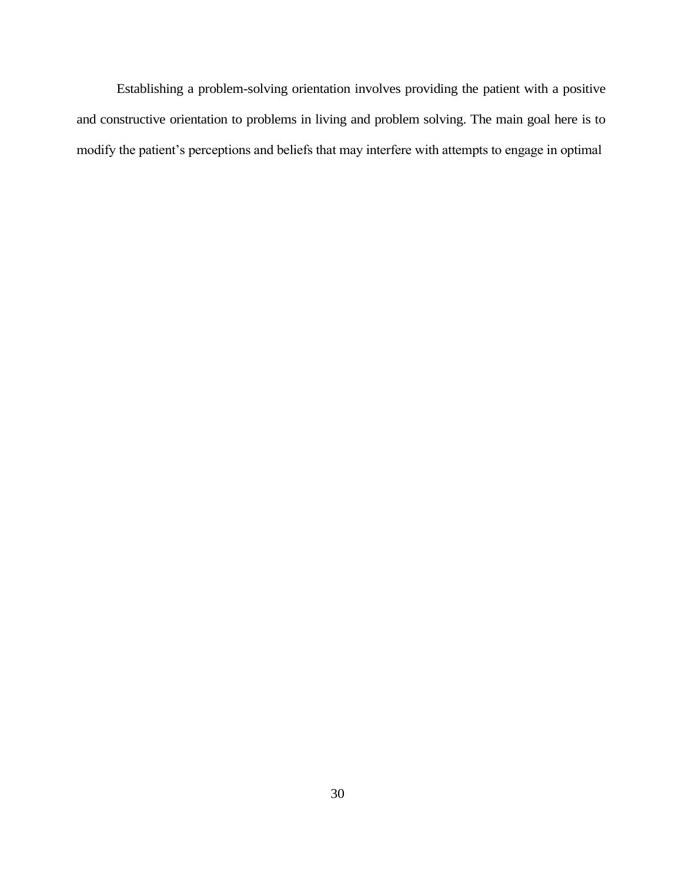Establishing a problem-solving orientation involves providing the patient with a positive and constructive orientation to problems in living and problem solving. The main goal here is to modify the patient's perceptions and beliefs that may interfere with attempts to engage in optimal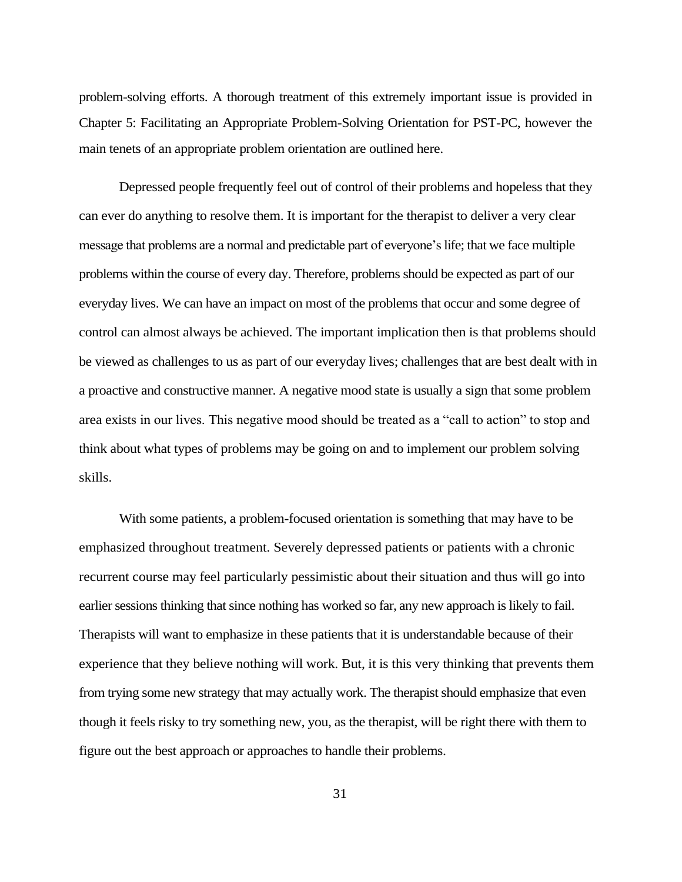problem-solving efforts. A thorough treatment of this extremely important issue is provided in Chapter 5: Facilitating an Appropriate Problem-Solving Orientation for PST-PC, however the main tenets of an appropriate problem orientation are outlined here.

Depressed people frequently feel out of control of their problems and hopeless that they can ever do anything to resolve them. It is important for the therapist to deliver a very clear message that problems are a normal and predictable part of everyone's life; that we face multiple problems within the course of every day. Therefore, problems should be expected as part of our everyday lives. We can have an impact on most of the problems that occur and some degree of control can almost always be achieved. The important implication then is that problems should be viewed as challenges to us as part of our everyday lives; challenges that are best dealt with in a proactive and constructive manner. A negative mood state is usually a sign that some problem area exists in our lives. This negative mood should be treated as a "call to action" to stop and think about what types of problems may be going on and to implement our problem solving skills.

With some patients, a problem-focused orientation is something that may have to be emphasized throughout treatment. Severely depressed patients or patients with a chronic recurrent course may feel particularly pessimistic about their situation and thus will go into earlier sessions thinking that since nothing has worked so far, any new approach is likely to fail. Therapists will want to emphasize in these patients that it is understandable because of their experience that they believe nothing will work. But, it is this very thinking that prevents them from trying some new strategy that may actually work. The therapist should emphasize that even though it feels risky to try something new, you, as the therapist, will be right there with them to figure out the best approach or approaches to handle their problems.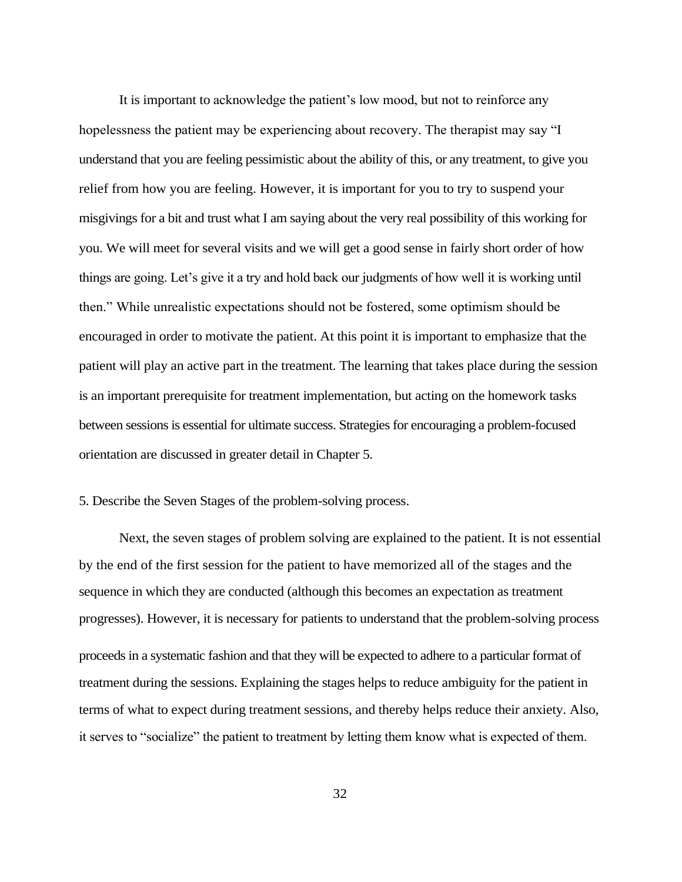It is important to acknowledge the patient's low mood, but not to reinforce any hopelessness the patient may be experiencing about recovery. The therapist may say "I understand that you are feeling pessimistic about the ability of this, or any treatment, to give you relief from how you are feeling. However, it is important for you to try to suspend your misgivings for a bit and trust what I am saying about the very real possibility of this working for you. We will meet for several visits and we will get a good sense in fairly short order of how things are going. Let's give it a try and hold back our judgments of how well it is working until then." While unrealistic expectations should not be fostered, some optimism should be encouraged in order to motivate the patient. At this point it is important to emphasize that the patient will play an active part in the treatment. The learning that takes place during the session is an important prerequisite for treatment implementation, but acting on the homework tasks between sessions is essential for ultimate success. Strategies for encouraging a problem-focused orientation are discussed in greater detail in Chapter 5.

## 5. Describe the Seven Stages of the problem-solving process.

Next, the seven stages of problem solving are explained to the patient. It is not essential by the end of the first session for the patient to have memorized all of the stages and the sequence in which they are conducted (although this becomes an expectation as treatment progresses). However, it is necessary for patients to understand that the problem-solving process proceeds in a systematic fashion and that they will be expected to adhere to a particular format of treatment during the sessions. Explaining the stages helps to reduce ambiguity for the patient in terms of what to expect during treatment sessions, and thereby helps reduce their anxiety. Also, it serves to "socialize" the patient to treatment by letting them know what is expected of them.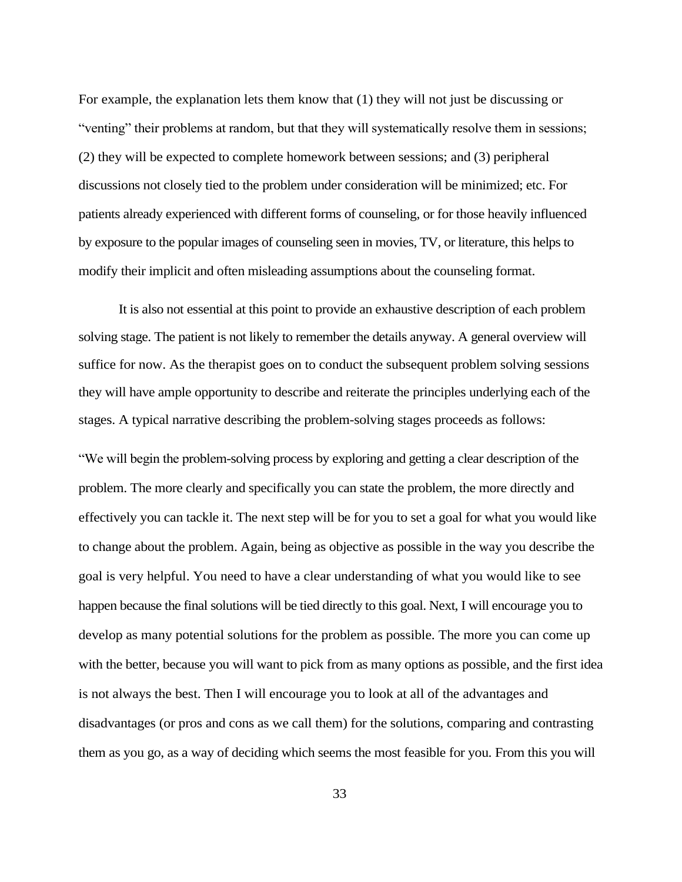For example, the explanation lets them know that (1) they will not just be discussing or "venting" their problems at random, but that they will systematically resolve them in sessions; (2) they will be expected to complete homework between sessions; and (3) peripheral discussions not closely tied to the problem under consideration will be minimized; etc. For patients already experienced with different forms of counseling, or for those heavily influenced by exposure to the popular images of counseling seen in movies, TV, or literature, this helps to modify their implicit and often misleading assumptions about the counseling format.

It is also not essential at this point to provide an exhaustive description of each problem solving stage. The patient is not likely to remember the details anyway. A general overview will suffice for now. As the therapist goes on to conduct the subsequent problem solving sessions they will have ample opportunity to describe and reiterate the principles underlying each of the stages. A typical narrative describing the problem-solving stages proceeds as follows:

"We will begin the problem-solving process by exploring and getting a clear description of the problem. The more clearly and specifically you can state the problem, the more directly and effectively you can tackle it. The next step will be for you to set a goal for what you would like to change about the problem. Again, being as objective as possible in the way you describe the goal is very helpful. You need to have a clear understanding of what you would like to see happen because the final solutions will be tied directly to this goal. Next, I will encourage you to develop as many potential solutions for the problem as possible. The more you can come up with the better, because you will want to pick from as many options as possible, and the first idea is not always the best. Then I will encourage you to look at all of the advantages and disadvantages (or pros and cons as we call them) for the solutions, comparing and contrasting them as you go, as a way of deciding which seems the most feasible for you. From this you will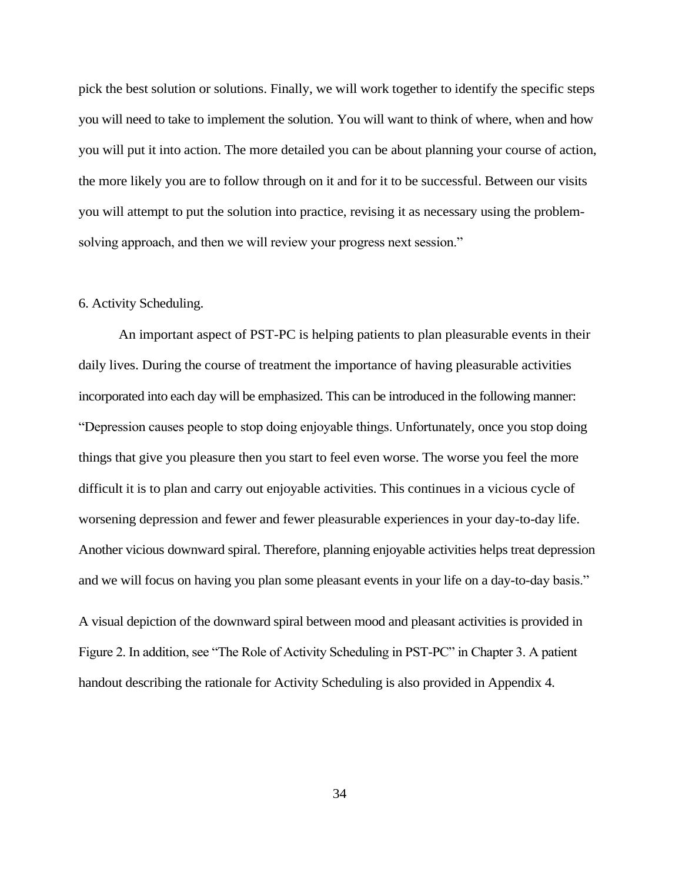pick the best solution or solutions. Finally, we will work together to identify the specific steps you will need to take to implement the solution. You will want to think of where, when and how you will put it into action. The more detailed you can be about planning your course of action, the more likely you are to follow through on it and for it to be successful. Between our visits you will attempt to put the solution into practice, revising it as necessary using the problemsolving approach, and then we will review your progress next session."

#### 6. Activity Scheduling.

An important aspect of PST-PC is helping patients to plan pleasurable events in their daily lives. During the course of treatment the importance of having pleasurable activities incorporated into each day will be emphasized. This can be introduced in the following manner: "Depression causes people to stop doing enjoyable things. Unfortunately, once you stop doing things that give you pleasure then you start to feel even worse. The worse you feel the more difficult it is to plan and carry out enjoyable activities. This continues in a vicious cycle of worsening depression and fewer and fewer pleasurable experiences in your day-to-day life. Another vicious downward spiral. Therefore, planning enjoyable activities helps treat depression and we will focus on having you plan some pleasant events in your life on a day-to-day basis."

A visual depiction of the downward spiral between mood and pleasant activities is provided in Figure 2. In addition, see "The Role of Activity Scheduling in PST-PC" in Chapter 3. A patient handout describing the rationale for Activity Scheduling is also provided in Appendix 4.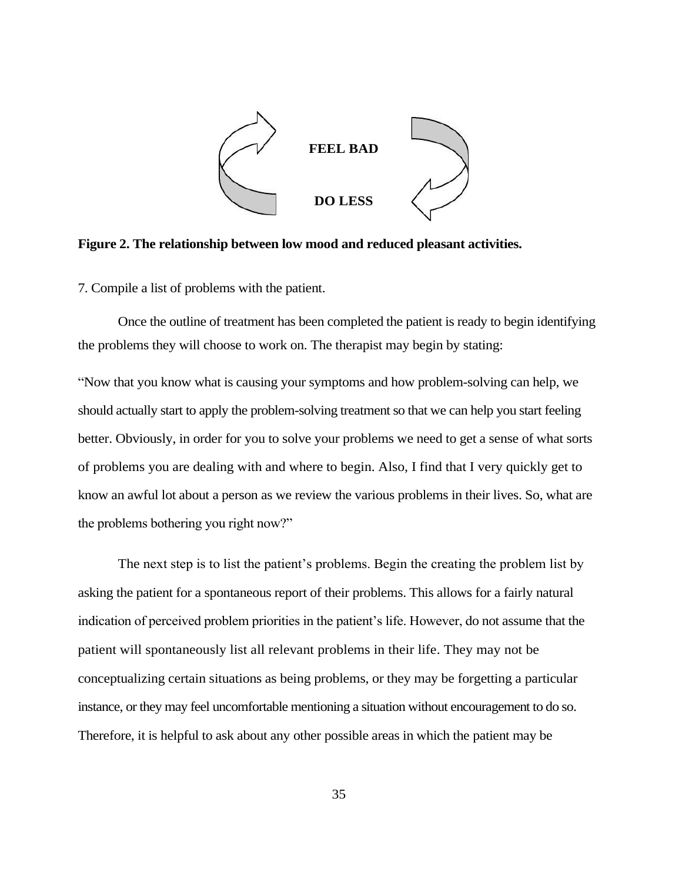

**Figure 2. The relationship between low mood and reduced pleasant activities.**

7. Compile a list of problems with the patient.

Once the outline of treatment has been completed the patient is ready to begin identifying the problems they will choose to work on. The therapist may begin by stating:

"Now that you know what is causing your symptoms and how problem-solving can help, we should actually start to apply the problem-solving treatment so that we can help you start feeling better. Obviously, in order for you to solve your problems we need to get a sense of what sorts of problems you are dealing with and where to begin. Also, I find that I very quickly get to know an awful lot about a person as we review the various problems in their lives. So, what are the problems bothering you right now?"

The next step is to list the patient's problems. Begin the creating the problem list by asking the patient for a spontaneous report of their problems. This allows for a fairly natural indication of perceived problem priorities in the patient's life. However, do not assume that the patient will spontaneously list all relevant problems in their life. They may not be conceptualizing certain situations as being problems, or they may be forgetting a particular instance, or they may feel uncomfortable mentioning a situation without encouragement to do so. Therefore, it is helpful to ask about any other possible areas in which the patient may be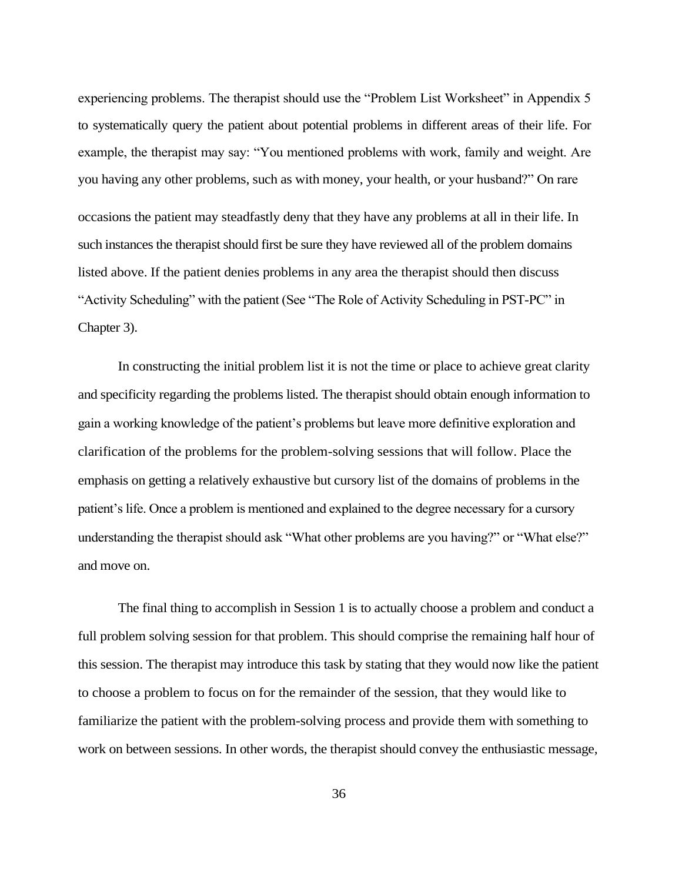experiencing problems. The therapist should use the "Problem List Worksheet" in Appendix 5 to systematically query the patient about potential problems in different areas of their life. For example, the therapist may say: "You mentioned problems with work, family and weight. Are you having any other problems, such as with money, your health, or your husband?" On rare occasions the patient may steadfastly deny that they have any problems at all in their life. In such instances the therapist should first be sure they have reviewed all of the problem domains listed above. If the patient denies problems in any area the therapist should then discuss "Activity Scheduling" with the patient (See "The Role of Activity Scheduling in PST-PC" in Chapter 3).

In constructing the initial problem list it is not the time or place to achieve great clarity and specificity regarding the problems listed. The therapist should obtain enough information to gain a working knowledge of the patient's problems but leave more definitive exploration and clarification of the problems for the problem-solving sessions that will follow. Place the emphasis on getting a relatively exhaustive but cursory list of the domains of problems in the patient's life. Once a problem is mentioned and explained to the degree necessary for a cursory understanding the therapist should ask "What other problems are you having?" or "What else?" and move on.

The final thing to accomplish in Session 1 is to actually choose a problem and conduct a full problem solving session for that problem. This should comprise the remaining half hour of this session. The therapist may introduce this task by stating that they would now like the patient to choose a problem to focus on for the remainder of the session, that they would like to familiarize the patient with the problem-solving process and provide them with something to work on between sessions. In other words, the therapist should convey the enthusiastic message,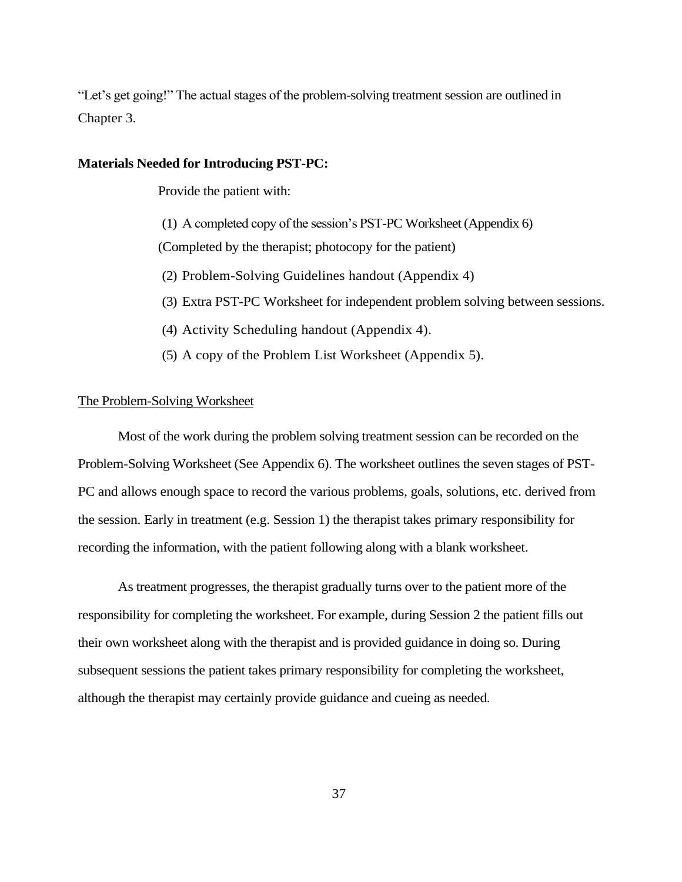"Let's get going!" The actual stages of the problem-solving treatment session are outlined in Chapter 3.

#### **Materials Needed for Introducing PST-PC:**

Provide the patient with:

(1) A completed copy of the session's PST-PC Worksheet (Appendix 6) (Completed by the therapist; photocopy for the patient)

(2) Problem-Solving Guidelines handout (Appendix 4)

- (3) Extra PST-PC Worksheet for independent problem solving between sessions.
- (4) Activity Scheduling handout (Appendix 4).
- (5) A copy of the Problem List Worksheet (Appendix 5).

## The Problem-Solving Worksheet

Most of the work during the problem solving treatment session can be recorded on the Problem-Solving Worksheet (See Appendix 6). The worksheet outlines the seven stages of PST-PC and allows enough space to record the various problems, goals, solutions, etc. derived from the session. Early in treatment (e.g. Session 1) the therapist takes primary responsibility for recording the information, with the patient following along with a blank worksheet.

As treatment progresses, the therapist gradually turns over to the patient more of the responsibility for completing the worksheet. For example, during Session 2 the patient fills out their own worksheet along with the therapist and is provided guidance in doing so. During subsequent sessions the patient takes primary responsibility for completing the worksheet, although the therapist may certainly provide guidance and cueing as needed.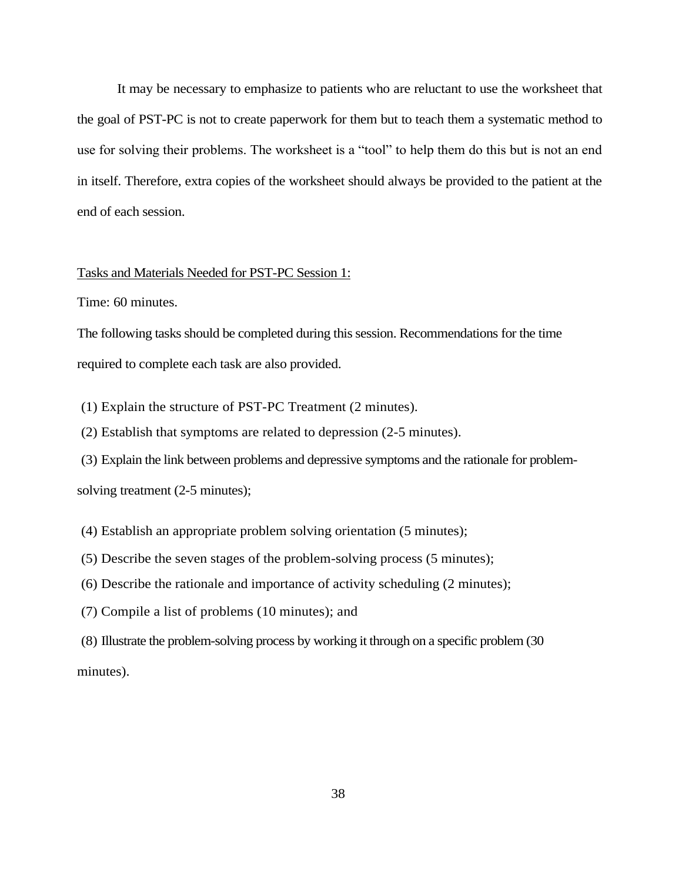It may be necessary to emphasize to patients who are reluctant to use the worksheet that the goal of PST-PC is not to create paperwork for them but to teach them a systematic method to use for solving their problems. The worksheet is a "tool" to help them do this but is not an end in itself. Therefore, extra copies of the worksheet should always be provided to the patient at the end of each session.

## Tasks and Materials Needed for PST-PC Session 1:

Time: 60 minutes.

The following tasks should be completed during this session. Recommendations for the time required to complete each task are also provided.

(1) Explain the structure of PST-PC Treatment (2 minutes).

(2) Establish that symptoms are related to depression (2-5 minutes).

(3) Explain the link between problems and depressive symptoms and the rationale for problem-

solving treatment (2-5 minutes);

(4) Establish an appropriate problem solving orientation (5 minutes);

(5) Describe the seven stages of the problem-solving process (5 minutes);

(6) Describe the rationale and importance of activity scheduling (2 minutes);

(7) Compile a list of problems (10 minutes); and

(8) Illustrate the problem-solving process by working it through on a specific problem (30 minutes).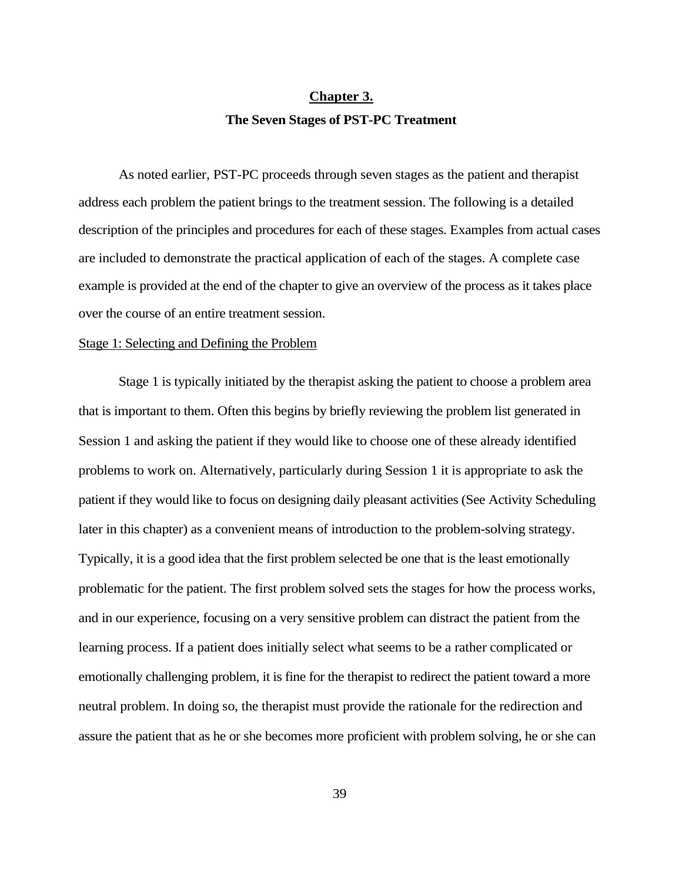## **Chapter 3. The Seven Stages of PST-PC Treatment**

As noted earlier, PST-PC proceeds through seven stages as the patient and therapist address each problem the patient brings to the treatment session. The following is a detailed description of the principles and procedures for each of these stages. Examples from actual cases are included to demonstrate the practical application of each of the stages. A complete case example is provided at the end of the chapter to give an overview of the process as it takes place over the course of an entire treatment session.

## Stage 1: Selecting and Defining the Problem

Stage 1 is typically initiated by the therapist asking the patient to choose a problem area that is important to them. Often this begins by briefly reviewing the problem list generated in Session 1 and asking the patient if they would like to choose one of these already identified problems to work on. Alternatively, particularly during Session 1 it is appropriate to ask the patient if they would like to focus on designing daily pleasant activities (See Activity Scheduling later in this chapter) as a convenient means of introduction to the problem-solving strategy. Typically, it is a good idea that the first problem selected be one that is the least emotionally problematic for the patient. The first problem solved sets the stages for how the process works, and in our experience, focusing on a very sensitive problem can distract the patient from the learning process. If a patient does initially select what seems to be a rather complicated or emotionally challenging problem, it is fine for the therapist to redirect the patient toward a more neutral problem. In doing so, the therapist must provide the rationale for the redirection and assure the patient that as he or she becomes more proficient with problem solving, he or she can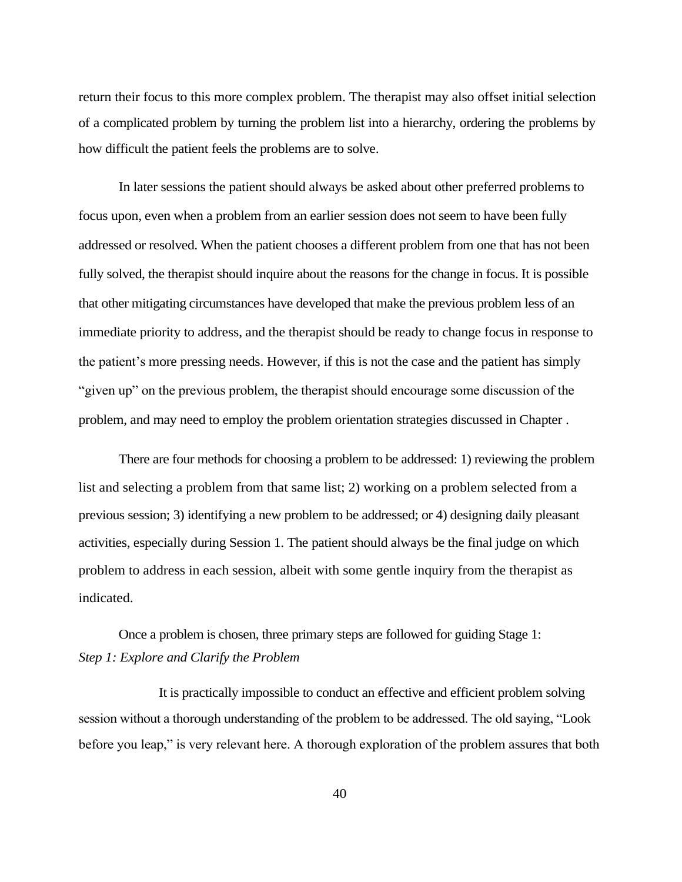return their focus to this more complex problem. The therapist may also offset initial selection of a complicated problem by turning the problem list into a hierarchy, ordering the problems by how difficult the patient feels the problems are to solve.

In later sessions the patient should always be asked about other preferred problems to focus upon, even when a problem from an earlier session does not seem to have been fully addressed or resolved. When the patient chooses a different problem from one that has not been fully solved, the therapist should inquire about the reasons for the change in focus. It is possible that other mitigating circumstances have developed that make the previous problem less of an immediate priority to address, and the therapist should be ready to change focus in response to the patient's more pressing needs. However, if this is not the case and the patient has simply "given up" on the previous problem, the therapist should encourage some discussion of the problem, and may need to employ the problem orientation strategies discussed in Chapter .

There are four methods for choosing a problem to be addressed: 1) reviewing the problem list and selecting a problem from that same list; 2) working on a problem selected from a previous session; 3) identifying a new problem to be addressed; or 4) designing daily pleasant activities, especially during Session 1. The patient should always be the final judge on which problem to address in each session, albeit with some gentle inquiry from the therapist as indicated.

Once a problem is chosen, three primary steps are followed for guiding Stage 1: *Step 1: Explore and Clarify the Problem*

It is practically impossible to conduct an effective and efficient problem solving session without a thorough understanding of the problem to be addressed. The old saying, "Look before you leap," is very relevant here. A thorough exploration of the problem assures that both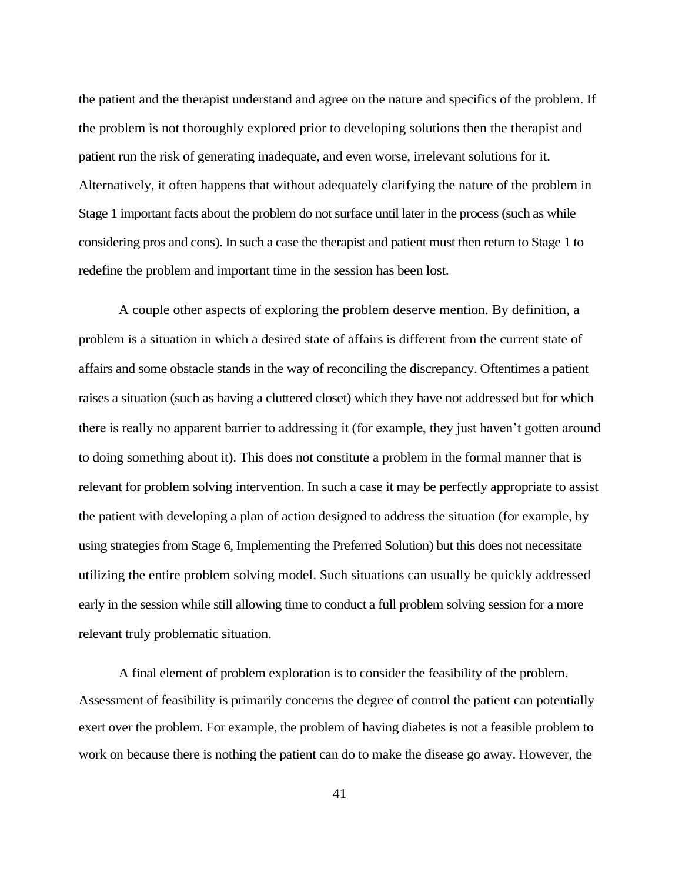the patient and the therapist understand and agree on the nature and specifics of the problem. If the problem is not thoroughly explored prior to developing solutions then the therapist and patient run the risk of generating inadequate, and even worse, irrelevant solutions for it. Alternatively, it often happens that without adequately clarifying the nature of the problem in Stage 1 important facts about the problem do not surface until later in the process (such as while considering pros and cons). In such a case the therapist and patient must then return to Stage 1 to redefine the problem and important time in the session has been lost.

A couple other aspects of exploring the problem deserve mention. By definition, a problem is a situation in which a desired state of affairs is different from the current state of affairs and some obstacle stands in the way of reconciling the discrepancy. Oftentimes a patient raises a situation (such as having a cluttered closet) which they have not addressed but for which there is really no apparent barrier to addressing it (for example, they just haven't gotten around to doing something about it). This does not constitute a problem in the formal manner that is relevant for problem solving intervention. In such a case it may be perfectly appropriate to assist the patient with developing a plan of action designed to address the situation (for example, by using strategies from Stage 6, Implementing the Preferred Solution) but this does not necessitate utilizing the entire problem solving model. Such situations can usually be quickly addressed early in the session while still allowing time to conduct a full problem solving session for a more relevant truly problematic situation.

A final element of problem exploration is to consider the feasibility of the problem. Assessment of feasibility is primarily concerns the degree of control the patient can potentially exert over the problem. For example, the problem of having diabetes is not a feasible problem to work on because there is nothing the patient can do to make the disease go away. However, the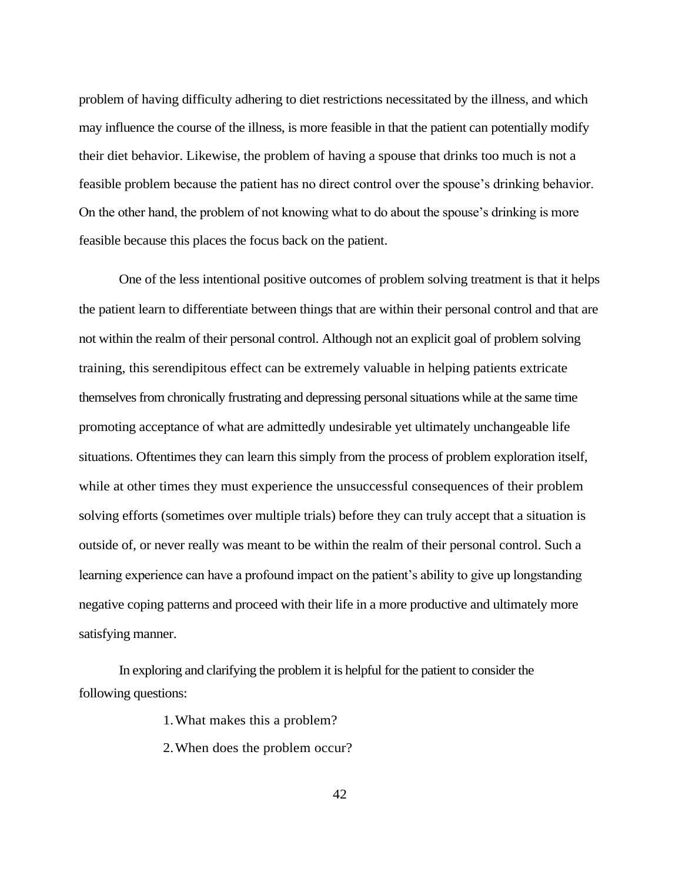problem of having difficulty adhering to diet restrictions necessitated by the illness, and which may influence the course of the illness, is more feasible in that the patient can potentially modify their diet behavior. Likewise, the problem of having a spouse that drinks too much is not a feasible problem because the patient has no direct control over the spouse's drinking behavior. On the other hand, the problem of not knowing what to do about the spouse's drinking is more feasible because this places the focus back on the patient.

One of the less intentional positive outcomes of problem solving treatment is that it helps the patient learn to differentiate between things that are within their personal control and that are not within the realm of their personal control. Although not an explicit goal of problem solving training, this serendipitous effect can be extremely valuable in helping patients extricate themselves from chronically frustrating and depressing personal situations while at the same time promoting acceptance of what are admittedly undesirable yet ultimately unchangeable life situations. Oftentimes they can learn this simply from the process of problem exploration itself, while at other times they must experience the unsuccessful consequences of their problem solving efforts (sometimes over multiple trials) before they can truly accept that a situation is outside of, or never really was meant to be within the realm of their personal control. Such a learning experience can have a profound impact on the patient's ability to give up longstanding negative coping patterns and proceed with their life in a more productive and ultimately more satisfying manner.

In exploring and clarifying the problem it is helpful for the patient to consider the following questions:

1.What makes this a problem?

2.When does the problem occur?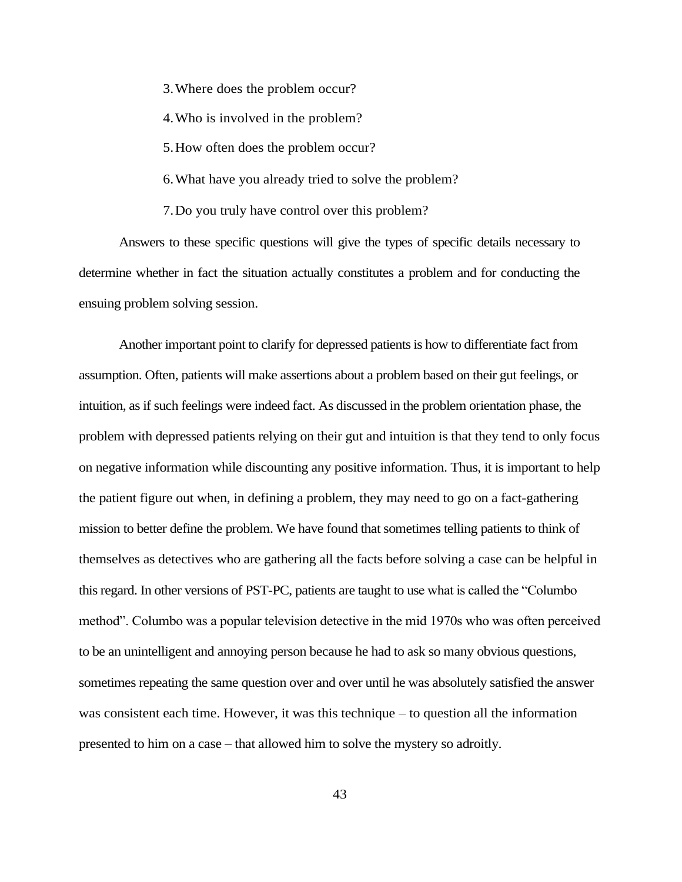3.Where does the problem occur?

4.Who is involved in the problem?

5.How often does the problem occur?

6.What have you already tried to solve the problem?

7.Do you truly have control over this problem?

Answers to these specific questions will give the types of specific details necessary to determine whether in fact the situation actually constitutes a problem and for conducting the ensuing problem solving session.

Another important point to clarify for depressed patients is how to differentiate fact from assumption. Often, patients will make assertions about a problem based on their gut feelings, or intuition, as if such feelings were indeed fact. As discussed in the problem orientation phase, the problem with depressed patients relying on their gut and intuition is that they tend to only focus on negative information while discounting any positive information. Thus, it is important to help the patient figure out when, in defining a problem, they may need to go on a fact-gathering mission to better define the problem. We have found that sometimes telling patients to think of themselves as detectives who are gathering all the facts before solving a case can be helpful in this regard. In other versions of PST-PC, patients are taught to use what is called the "Columbo method". Columbo was a popular television detective in the mid 1970s who was often perceived to be an unintelligent and annoying person because he had to ask so many obvious questions, sometimes repeating the same question over and over until he was absolutely satisfied the answer was consistent each time. However, it was this technique – to question all the information presented to him on a case – that allowed him to solve the mystery so adroitly.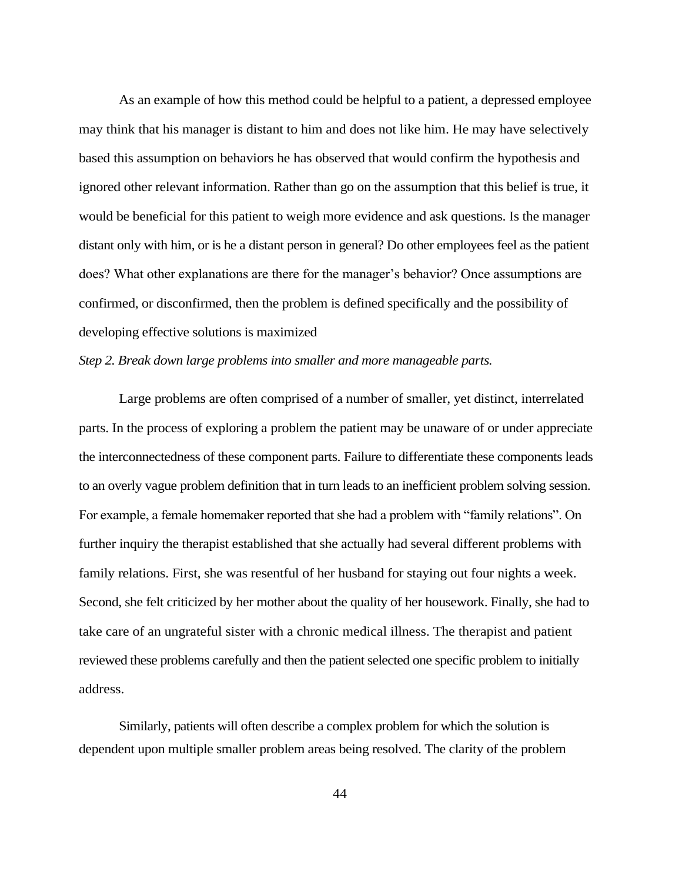As an example of how this method could be helpful to a patient, a depressed employee may think that his manager is distant to him and does not like him. He may have selectively based this assumption on behaviors he has observed that would confirm the hypothesis and ignored other relevant information. Rather than go on the assumption that this belief is true, it would be beneficial for this patient to weigh more evidence and ask questions. Is the manager distant only with him, or is he a distant person in general? Do other employees feel as the patient does? What other explanations are there for the manager's behavior? Once assumptions are confirmed, or disconfirmed, then the problem is defined specifically and the possibility of developing effective solutions is maximized

## *Step 2. Break down large problems into smaller and more manageable parts.*

Large problems are often comprised of a number of smaller, yet distinct, interrelated parts. In the process of exploring a problem the patient may be unaware of or under appreciate the interconnectedness of these component parts. Failure to differentiate these components leads to an overly vague problem definition that in turn leads to an inefficient problem solving session. For example, a female homemaker reported that she had a problem with "family relations". On further inquiry the therapist established that she actually had several different problems with family relations. First, she was resentful of her husband for staying out four nights a week. Second, she felt criticized by her mother about the quality of her housework. Finally, she had to take care of an ungrateful sister with a chronic medical illness. The therapist and patient reviewed these problems carefully and then the patient selected one specific problem to initially address.

Similarly, patients will often describe a complex problem for which the solution is dependent upon multiple smaller problem areas being resolved. The clarity of the problem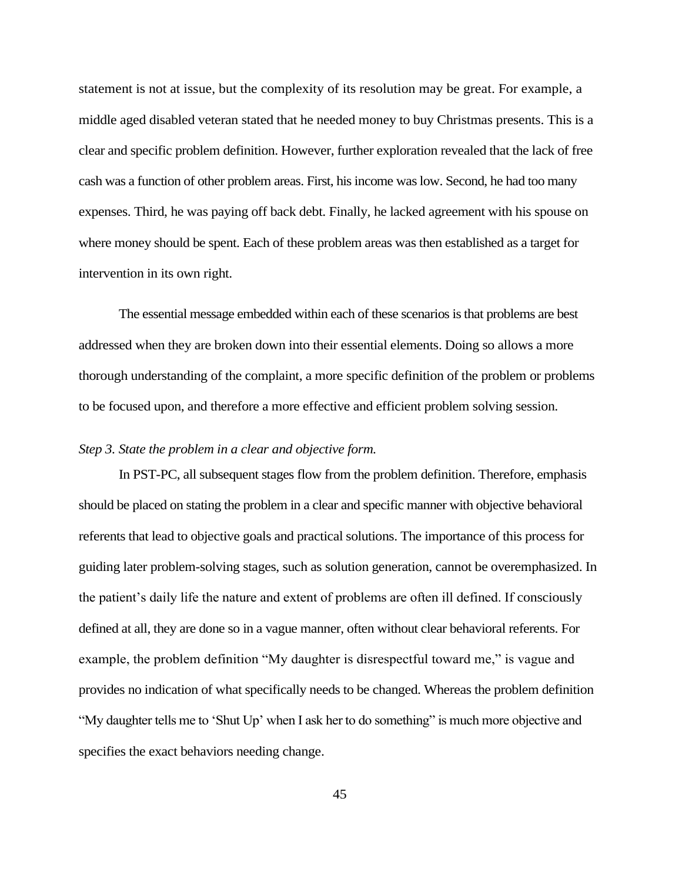statement is not at issue, but the complexity of its resolution may be great. For example, a middle aged disabled veteran stated that he needed money to buy Christmas presents. This is a clear and specific problem definition. However, further exploration revealed that the lack of free cash was a function of other problem areas. First, his income was low. Second, he had too many expenses. Third, he was paying off back debt. Finally, he lacked agreement with his spouse on where money should be spent. Each of these problem areas was then established as a target for intervention in its own right.

The essential message embedded within each of these scenarios is that problems are best addressed when they are broken down into their essential elements. Doing so allows a more thorough understanding of the complaint, a more specific definition of the problem or problems to be focused upon, and therefore a more effective and efficient problem solving session.

## *Step 3. State the problem in a clear and objective form.*

In PST-PC, all subsequent stages flow from the problem definition. Therefore, emphasis should be placed on stating the problem in a clear and specific manner with objective behavioral referents that lead to objective goals and practical solutions. The importance of this process for guiding later problem-solving stages, such as solution generation, cannot be overemphasized. In the patient's daily life the nature and extent of problems are often ill defined. If consciously defined at all, they are done so in a vague manner, often without clear behavioral referents. For example, the problem definition "My daughter is disrespectful toward me," is vague and provides no indication of what specifically needs to be changed. Whereas the problem definition "My daughter tells me to 'Shut Up' when I ask her to do something" is much more objective and specifies the exact behaviors needing change.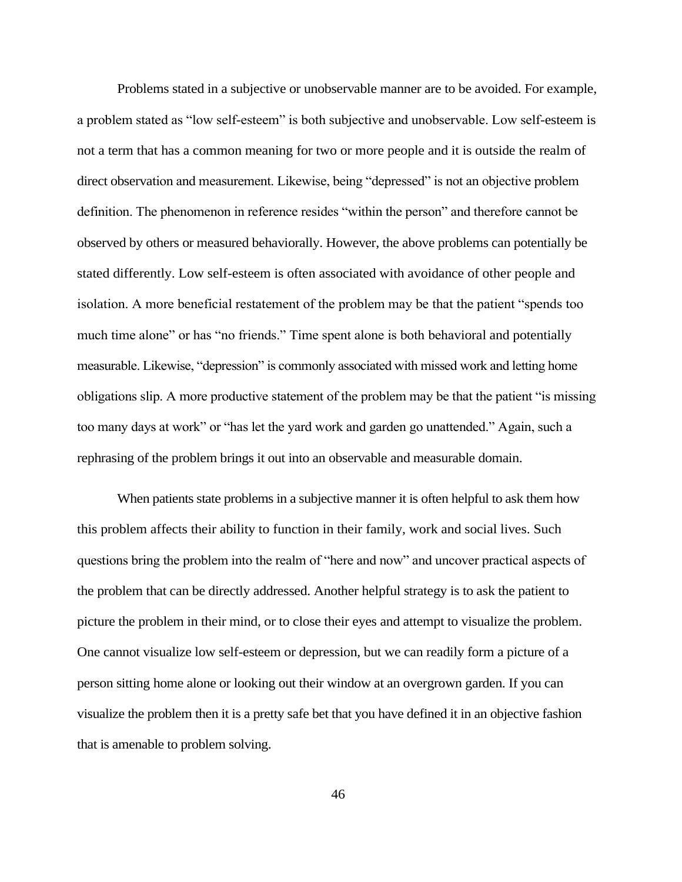Problems stated in a subjective or unobservable manner are to be avoided. For example, a problem stated as "low self-esteem" is both subjective and unobservable. Low self-esteem is not a term that has a common meaning for two or more people and it is outside the realm of direct observation and measurement. Likewise, being "depressed" is not an objective problem definition. The phenomenon in reference resides "within the person" and therefore cannot be observed by others or measured behaviorally. However, the above problems can potentially be stated differently. Low self-esteem is often associated with avoidance of other people and isolation. A more beneficial restatement of the problem may be that the patient "spends too much time alone" or has "no friends." Time spent alone is both behavioral and potentially measurable. Likewise, "depression" is commonly associated with missed work and letting home obligations slip. A more productive statement of the problem may be that the patient "is missing too many days at work" or "has let the yard work and garden go unattended." Again, such a rephrasing of the problem brings it out into an observable and measurable domain.

When patients state problems in a subjective manner it is often helpful to ask them how this problem affects their ability to function in their family, work and social lives. Such questions bring the problem into the realm of "here and now" and uncover practical aspects of the problem that can be directly addressed. Another helpful strategy is to ask the patient to picture the problem in their mind, or to close their eyes and attempt to visualize the problem. One cannot visualize low self-esteem or depression, but we can readily form a picture of a person sitting home alone or looking out their window at an overgrown garden. If you can visualize the problem then it is a pretty safe bet that you have defined it in an objective fashion that is amenable to problem solving.

46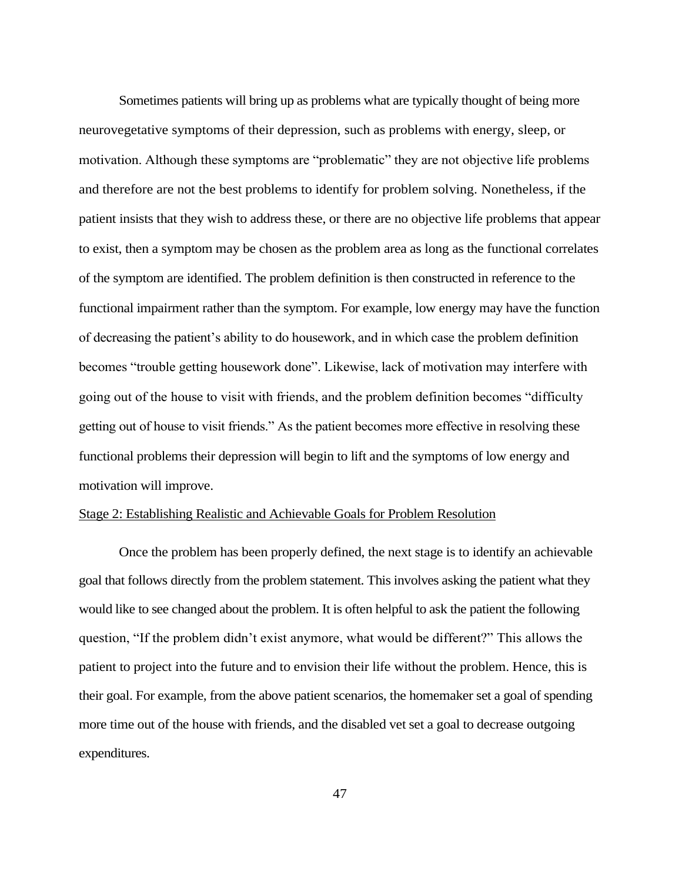Sometimes patients will bring up as problems what are typically thought of being more neurovegetative symptoms of their depression, such as problems with energy, sleep, or motivation. Although these symptoms are "problematic" they are not objective life problems and therefore are not the best problems to identify for problem solving. Nonetheless, if the patient insists that they wish to address these, or there are no objective life problems that appear to exist, then a symptom may be chosen as the problem area as long as the functional correlates of the symptom are identified. The problem definition is then constructed in reference to the functional impairment rather than the symptom. For example, low energy may have the function of decreasing the patient's ability to do housework, and in which case the problem definition becomes "trouble getting housework done". Likewise, lack of motivation may interfere with going out of the house to visit with friends, and the problem definition becomes "difficulty getting out of house to visit friends." As the patient becomes more effective in resolving these functional problems their depression will begin to lift and the symptoms of low energy and motivation will improve.

## Stage 2: Establishing Realistic and Achievable Goals for Problem Resolution

Once the problem has been properly defined, the next stage is to identify an achievable goal that follows directly from the problem statement. This involves asking the patient what they would like to see changed about the problem. It is often helpful to ask the patient the following question, "If the problem didn't exist anymore, what would be different?" This allows the patient to project into the future and to envision their life without the problem. Hence, this is their goal. For example, from the above patient scenarios, the homemaker set a goal of spending more time out of the house with friends, and the disabled vet set a goal to decrease outgoing expenditures.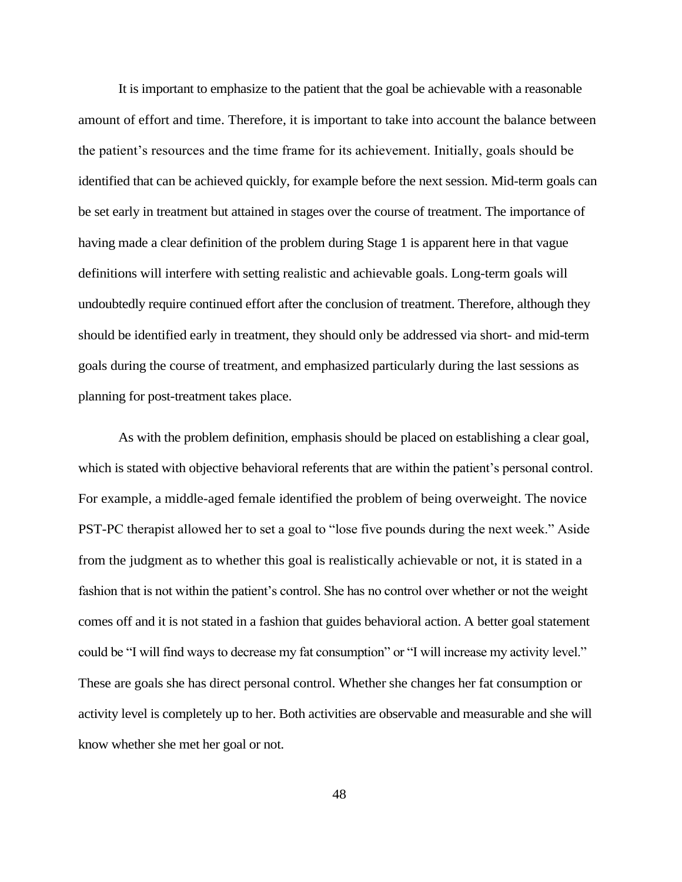It is important to emphasize to the patient that the goal be achievable with a reasonable amount of effort and time. Therefore, it is important to take into account the balance between the patient's resources and the time frame for its achievement. Initially, goals should be identified that can be achieved quickly, for example before the next session. Mid-term goals can be set early in treatment but attained in stages over the course of treatment. The importance of having made a clear definition of the problem during Stage 1 is apparent here in that vague definitions will interfere with setting realistic and achievable goals. Long-term goals will undoubtedly require continued effort after the conclusion of treatment. Therefore, although they should be identified early in treatment, they should only be addressed via short- and mid-term goals during the course of treatment, and emphasized particularly during the last sessions as planning for post-treatment takes place.

As with the problem definition, emphasis should be placed on establishing a clear goal, which is stated with objective behavioral referents that are within the patient's personal control. For example, a middle-aged female identified the problem of being overweight. The novice PST-PC therapist allowed her to set a goal to "lose five pounds during the next week." Aside from the judgment as to whether this goal is realistically achievable or not, it is stated in a fashion that is not within the patient's control. She has no control over whether or not the weight comes off and it is not stated in a fashion that guides behavioral action. A better goal statement could be "I will find ways to decrease my fat consumption" or "I will increase my activity level." These are goals she has direct personal control. Whether she changes her fat consumption or activity level is completely up to her. Both activities are observable and measurable and she will know whether she met her goal or not.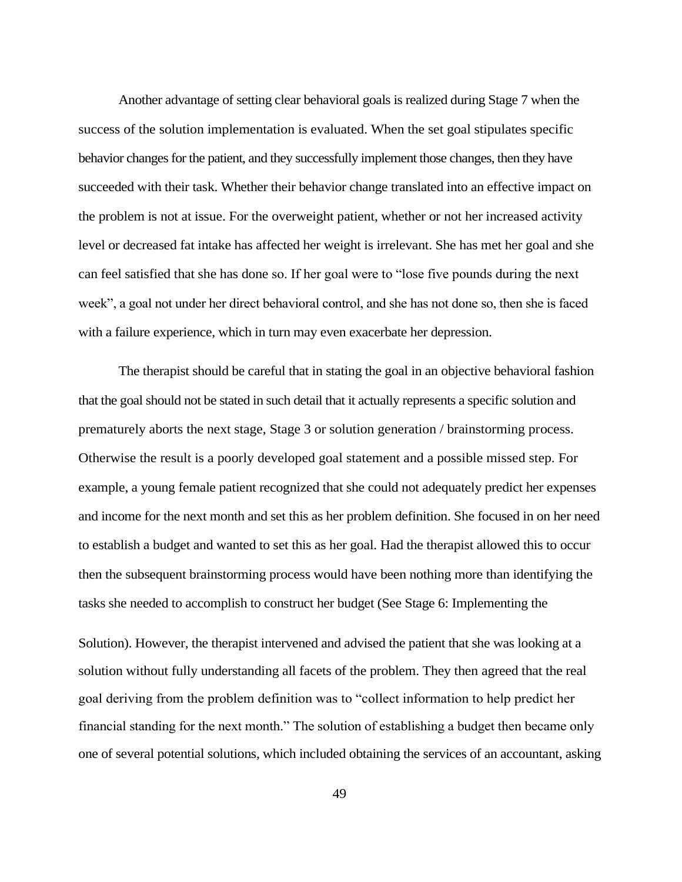Another advantage of setting clear behavioral goals is realized during Stage 7 when the success of the solution implementation is evaluated. When the set goal stipulates specific behavior changes for the patient, and they successfully implement those changes, then they have succeeded with their task. Whether their behavior change translated into an effective impact on the problem is not at issue. For the overweight patient, whether or not her increased activity level or decreased fat intake has affected her weight is irrelevant. She has met her goal and she can feel satisfied that she has done so. If her goal were to "lose five pounds during the next week", a goal not under her direct behavioral control, and she has not done so, then she is faced with a failure experience, which in turn may even exacerbate her depression.

The therapist should be careful that in stating the goal in an objective behavioral fashion that the goal should not be stated in such detail that it actually represents a specific solution and prematurely aborts the next stage, Stage 3 or solution generation / brainstorming process. Otherwise the result is a poorly developed goal statement and a possible missed step. For example, a young female patient recognized that she could not adequately predict her expenses and income for the next month and set this as her problem definition. She focused in on her need to establish a budget and wanted to set this as her goal. Had the therapist allowed this to occur then the subsequent brainstorming process would have been nothing more than identifying the tasks she needed to accomplish to construct her budget (See Stage 6: Implementing the

Solution). However, the therapist intervened and advised the patient that she was looking at a solution without fully understanding all facets of the problem. They then agreed that the real goal deriving from the problem definition was to "collect information to help predict her financial standing for the next month." The solution of establishing a budget then became only one of several potential solutions, which included obtaining the services of an accountant, asking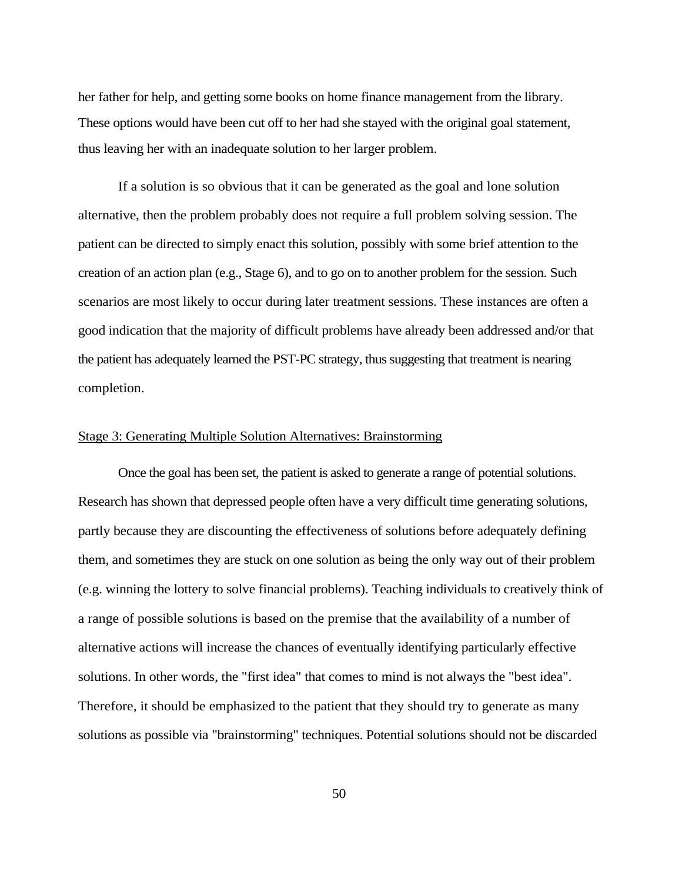her father for help, and getting some books on home finance management from the library. These options would have been cut off to her had she stayed with the original goal statement, thus leaving her with an inadequate solution to her larger problem.

If a solution is so obvious that it can be generated as the goal and lone solution alternative, then the problem probably does not require a full problem solving session. The patient can be directed to simply enact this solution, possibly with some brief attention to the creation of an action plan (e.g., Stage 6), and to go on to another problem for the session. Such scenarios are most likely to occur during later treatment sessions. These instances are often a good indication that the majority of difficult problems have already been addressed and/or that the patient has adequately learned the PST-PC strategy, thus suggesting that treatment is nearing completion.

## Stage 3: Generating Multiple Solution Alternatives: Brainstorming

Once the goal has been set, the patient is asked to generate a range of potential solutions. Research has shown that depressed people often have a very difficult time generating solutions, partly because they are discounting the effectiveness of solutions before adequately defining them, and sometimes they are stuck on one solution as being the only way out of their problem (e.g. winning the lottery to solve financial problems). Teaching individuals to creatively think of a range of possible solutions is based on the premise that the availability of a number of alternative actions will increase the chances of eventually identifying particularly effective solutions. In other words, the "first idea" that comes to mind is not always the "best idea". Therefore, it should be emphasized to the patient that they should try to generate as many solutions as possible via "brainstorming" techniques. Potential solutions should not be discarded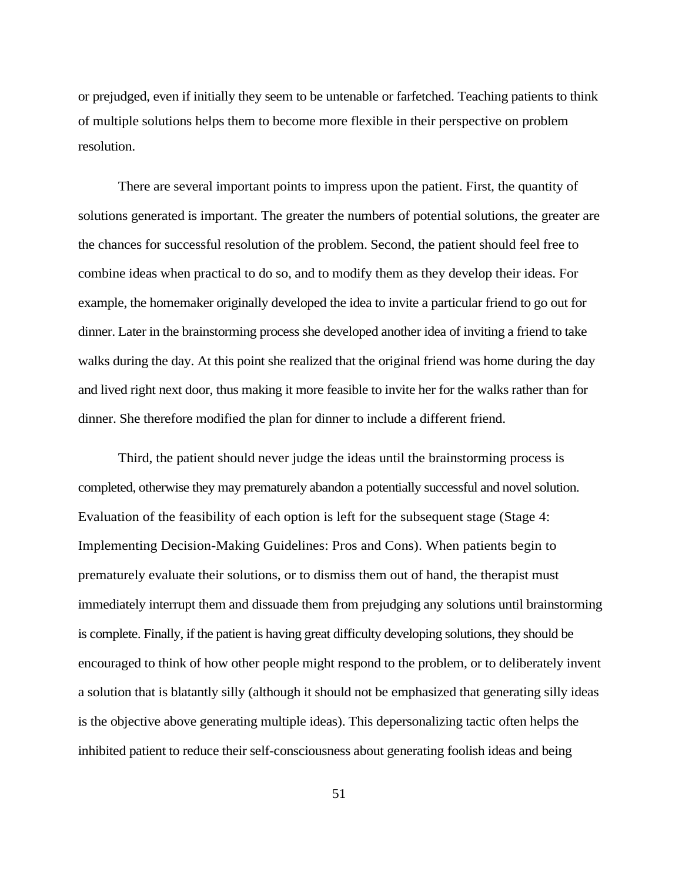or prejudged, even if initially they seem to be untenable or farfetched. Teaching patients to think of multiple solutions helps them to become more flexible in their perspective on problem resolution.

There are several important points to impress upon the patient. First, the quantity of solutions generated is important. The greater the numbers of potential solutions, the greater are the chances for successful resolution of the problem. Second, the patient should feel free to combine ideas when practical to do so, and to modify them as they develop their ideas. For example, the homemaker originally developed the idea to invite a particular friend to go out for dinner. Later in the brainstorming process she developed another idea of inviting a friend to take walks during the day. At this point she realized that the original friend was home during the day and lived right next door, thus making it more feasible to invite her for the walks rather than for dinner. She therefore modified the plan for dinner to include a different friend.

Third, the patient should never judge the ideas until the brainstorming process is completed, otherwise they may prematurely abandon a potentially successful and novel solution. Evaluation of the feasibility of each option is left for the subsequent stage (Stage 4: Implementing Decision-Making Guidelines: Pros and Cons). When patients begin to prematurely evaluate their solutions, or to dismiss them out of hand, the therapist must immediately interrupt them and dissuade them from prejudging any solutions until brainstorming is complete. Finally, if the patient is having great difficulty developing solutions, they should be encouraged to think of how other people might respond to the problem, or to deliberately invent a solution that is blatantly silly (although it should not be emphasized that generating silly ideas is the objective above generating multiple ideas). This depersonalizing tactic often helps the inhibited patient to reduce their self-consciousness about generating foolish ideas and being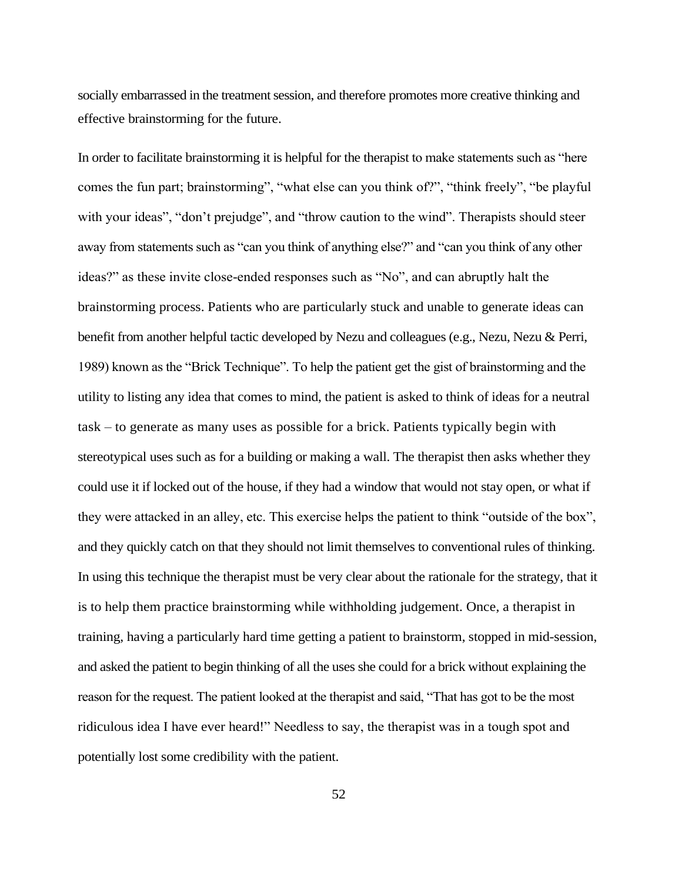socially embarrassed in the treatment session, and therefore promotes more creative thinking and effective brainstorming for the future.

In order to facilitate brainstorming it is helpful for the therapist to make statements such as "here comes the fun part; brainstorming", "what else can you think of?", "think freely", "be playful with your ideas", "don't prejudge", and "throw caution to the wind". Therapists should steer away from statements such as "can you think of anything else?" and "can you think of any other ideas?" as these invite close-ended responses such as "No", and can abruptly halt the brainstorming process. Patients who are particularly stuck and unable to generate ideas can benefit from another helpful tactic developed by Nezu and colleagues (e.g., Nezu, Nezu & Perri, 1989) known as the "Brick Technique". To help the patient get the gist of brainstorming and the utility to listing any idea that comes to mind, the patient is asked to think of ideas for a neutral task – to generate as many uses as possible for a brick. Patients typically begin with stereotypical uses such as for a building or making a wall. The therapist then asks whether they could use it if locked out of the house, if they had a window that would not stay open, or what if they were attacked in an alley, etc. This exercise helps the patient to think "outside of the box", and they quickly catch on that they should not limit themselves to conventional rules of thinking. In using this technique the therapist must be very clear about the rationale for the strategy, that it is to help them practice brainstorming while withholding judgement. Once, a therapist in training, having a particularly hard time getting a patient to brainstorm, stopped in mid-session, and asked the patient to begin thinking of all the uses she could for a brick without explaining the reason for the request. The patient looked at the therapist and said, "That has got to be the most ridiculous idea I have ever heard!" Needless to say, the therapist was in a tough spot and potentially lost some credibility with the patient.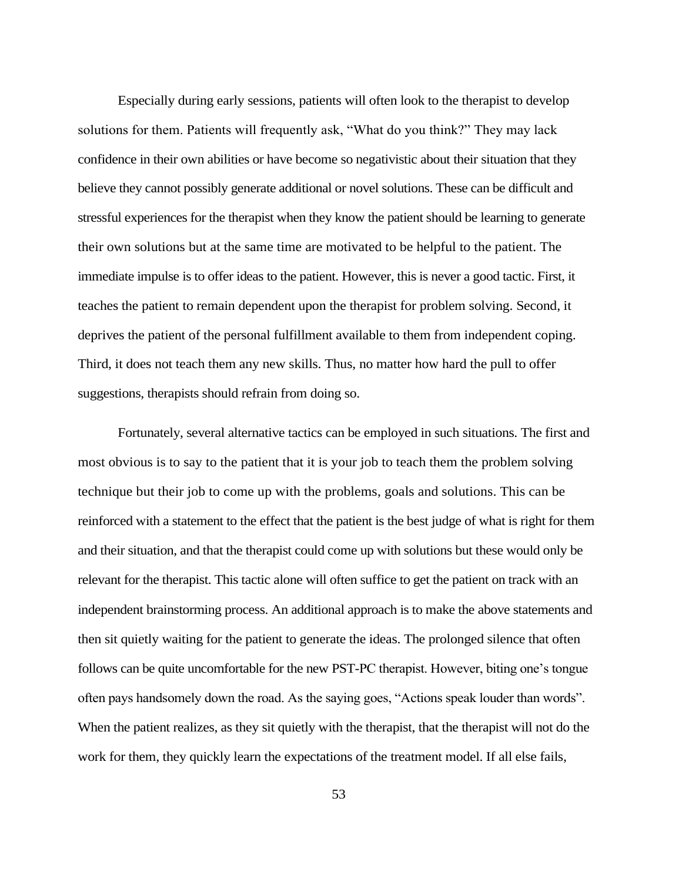Especially during early sessions, patients will often look to the therapist to develop solutions for them. Patients will frequently ask, "What do you think?" They may lack confidence in their own abilities or have become so negativistic about their situation that they believe they cannot possibly generate additional or novel solutions. These can be difficult and stressful experiences for the therapist when they know the patient should be learning to generate their own solutions but at the same time are motivated to be helpful to the patient. The immediate impulse is to offer ideas to the patient. However, this is never a good tactic. First, it teaches the patient to remain dependent upon the therapist for problem solving. Second, it deprives the patient of the personal fulfillment available to them from independent coping. Third, it does not teach them any new skills. Thus, no matter how hard the pull to offer suggestions, therapists should refrain from doing so.

Fortunately, several alternative tactics can be employed in such situations. The first and most obvious is to say to the patient that it is your job to teach them the problem solving technique but their job to come up with the problems, goals and solutions. This can be reinforced with a statement to the effect that the patient is the best judge of what is right for them and their situation, and that the therapist could come up with solutions but these would only be relevant for the therapist. This tactic alone will often suffice to get the patient on track with an independent brainstorming process. An additional approach is to make the above statements and then sit quietly waiting for the patient to generate the ideas. The prolonged silence that often follows can be quite uncomfortable for the new PST-PC therapist. However, biting one's tongue often pays handsomely down the road. As the saying goes, "Actions speak louder than words". When the patient realizes, as they sit quietly with the therapist, that the therapist will not do the work for them, they quickly learn the expectations of the treatment model. If all else fails,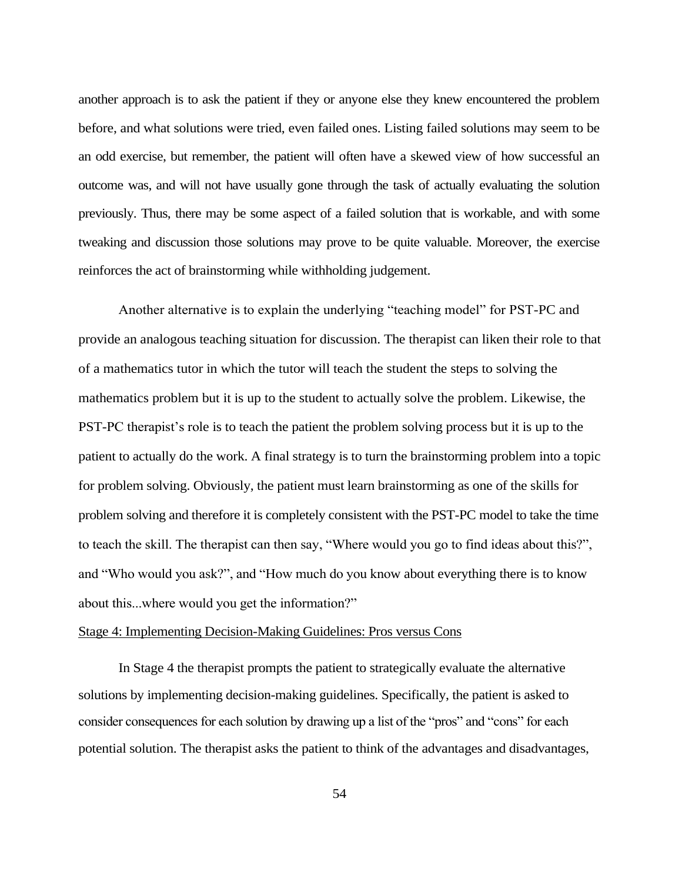another approach is to ask the patient if they or anyone else they knew encountered the problem before, and what solutions were tried, even failed ones. Listing failed solutions may seem to be an odd exercise, but remember, the patient will often have a skewed view of how successful an outcome was, and will not have usually gone through the task of actually evaluating the solution previously. Thus, there may be some aspect of a failed solution that is workable, and with some tweaking and discussion those solutions may prove to be quite valuable. Moreover, the exercise reinforces the act of brainstorming while withholding judgement.

Another alternative is to explain the underlying "teaching model" for PST-PC and provide an analogous teaching situation for discussion. The therapist can liken their role to that of a mathematics tutor in which the tutor will teach the student the steps to solving the mathematics problem but it is up to the student to actually solve the problem. Likewise, the PST-PC therapist's role is to teach the patient the problem solving process but it is up to the patient to actually do the work. A final strategy is to turn the brainstorming problem into a topic for problem solving. Obviously, the patient must learn brainstorming as one of the skills for problem solving and therefore it is completely consistent with the PST-PC model to take the time to teach the skill. The therapist can then say, "Where would you go to find ideas about this?", and "Who would you ask?", and "How much do you know about everything there is to know about this...where would you get the information?"

## Stage 4: Implementing Decision-Making Guidelines: Pros versus Cons

In Stage 4 the therapist prompts the patient to strategically evaluate the alternative solutions by implementing decision-making guidelines. Specifically, the patient is asked to consider consequences for each solution by drawing up a list of the "pros" and "cons" for each potential solution. The therapist asks the patient to think of the advantages and disadvantages,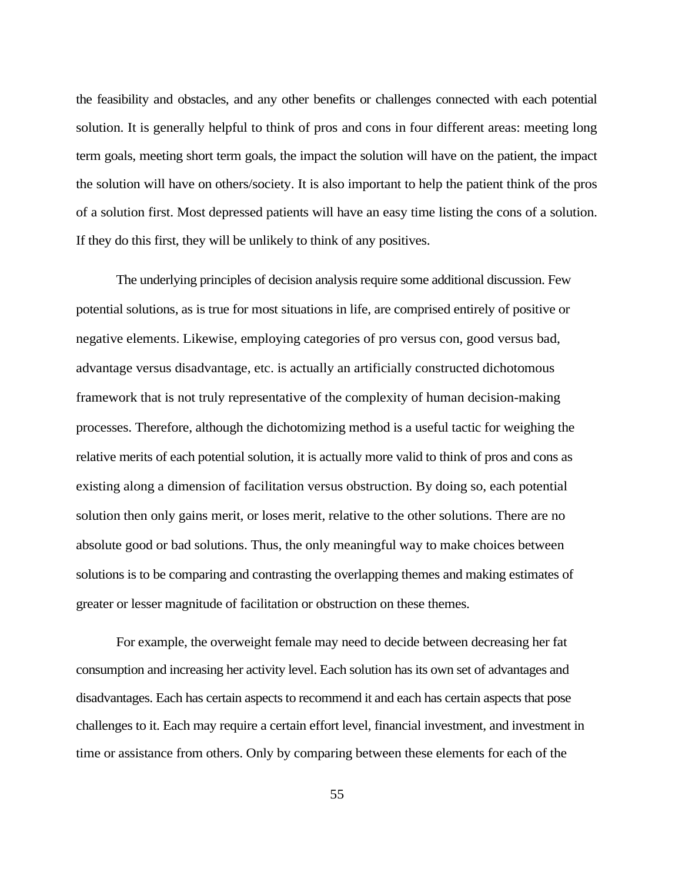the feasibility and obstacles, and any other benefits or challenges connected with each potential solution. It is generally helpful to think of pros and cons in four different areas: meeting long term goals, meeting short term goals, the impact the solution will have on the patient, the impact the solution will have on others/society. It is also important to help the patient think of the pros of a solution first. Most depressed patients will have an easy time listing the cons of a solution. If they do this first, they will be unlikely to think of any positives.

The underlying principles of decision analysis require some additional discussion. Few potential solutions, as is true for most situations in life, are comprised entirely of positive or negative elements. Likewise, employing categories of pro versus con, good versus bad, advantage versus disadvantage, etc. is actually an artificially constructed dichotomous framework that is not truly representative of the complexity of human decision-making processes. Therefore, although the dichotomizing method is a useful tactic for weighing the relative merits of each potential solution, it is actually more valid to think of pros and cons as existing along a dimension of facilitation versus obstruction. By doing so, each potential solution then only gains merit, or loses merit, relative to the other solutions. There are no absolute good or bad solutions. Thus, the only meaningful way to make choices between solutions is to be comparing and contrasting the overlapping themes and making estimates of greater or lesser magnitude of facilitation or obstruction on these themes.

For example, the overweight female may need to decide between decreasing her fat consumption and increasing her activity level. Each solution has its own set of advantages and disadvantages. Each has certain aspects to recommend it and each has certain aspects that pose challenges to it. Each may require a certain effort level, financial investment, and investment in time or assistance from others. Only by comparing between these elements for each of the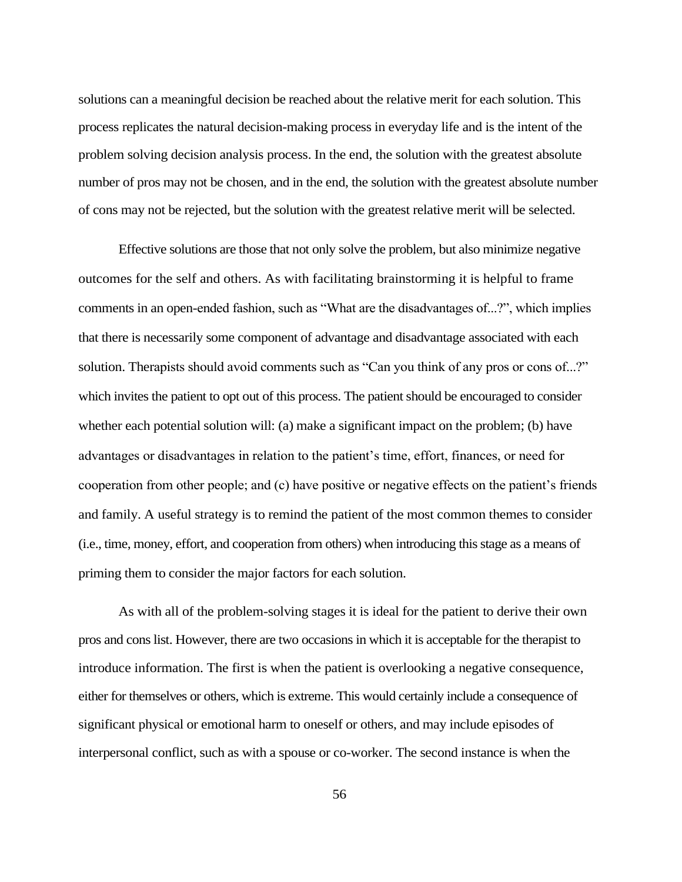solutions can a meaningful decision be reached about the relative merit for each solution. This process replicates the natural decision-making process in everyday life and is the intent of the problem solving decision analysis process. In the end, the solution with the greatest absolute number of pros may not be chosen, and in the end, the solution with the greatest absolute number of cons may not be rejected, but the solution with the greatest relative merit will be selected.

Effective solutions are those that not only solve the problem, but also minimize negative outcomes for the self and others. As with facilitating brainstorming it is helpful to frame comments in an open-ended fashion, such as "What are the disadvantages of...?", which implies that there is necessarily some component of advantage and disadvantage associated with each solution. Therapists should avoid comments such as "Can you think of any pros or cons of...?" which invites the patient to opt out of this process. The patient should be encouraged to consider whether each potential solution will: (a) make a significant impact on the problem; (b) have advantages or disadvantages in relation to the patient's time, effort, finances, or need for cooperation from other people; and (c) have positive or negative effects on the patient's friends and family. A useful strategy is to remind the patient of the most common themes to consider (i.e., time, money, effort, and cooperation from others) when introducing this stage as a means of priming them to consider the major factors for each solution.

As with all of the problem-solving stages it is ideal for the patient to derive their own pros and cons list. However, there are two occasions in which it is acceptable for the therapist to introduce information. The first is when the patient is overlooking a negative consequence, either for themselves or others, which is extreme. This would certainly include a consequence of significant physical or emotional harm to oneself or others, and may include episodes of interpersonal conflict, such as with a spouse or co-worker. The second instance is when the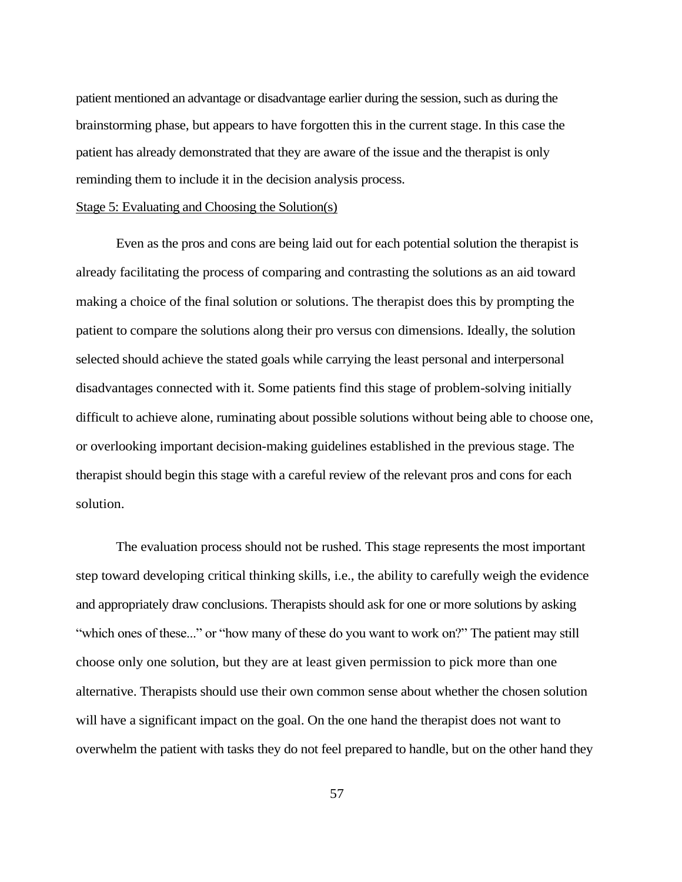patient mentioned an advantage or disadvantage earlier during the session, such as during the brainstorming phase, but appears to have forgotten this in the current stage. In this case the patient has already demonstrated that they are aware of the issue and the therapist is only reminding them to include it in the decision analysis process.

#### Stage 5: Evaluating and Choosing the Solution(s)

Even as the pros and cons are being laid out for each potential solution the therapist is already facilitating the process of comparing and contrasting the solutions as an aid toward making a choice of the final solution or solutions. The therapist does this by prompting the patient to compare the solutions along their pro versus con dimensions. Ideally, the solution selected should achieve the stated goals while carrying the least personal and interpersonal disadvantages connected with it. Some patients find this stage of problem-solving initially difficult to achieve alone, ruminating about possible solutions without being able to choose one, or overlooking important decision-making guidelines established in the previous stage. The therapist should begin this stage with a careful review of the relevant pros and cons for each solution.

The evaluation process should not be rushed. This stage represents the most important step toward developing critical thinking skills, i.e., the ability to carefully weigh the evidence and appropriately draw conclusions. Therapists should ask for one or more solutions by asking "which ones of these..." or "how many of these do you want to work on?" The patient may still choose only one solution, but they are at least given permission to pick more than one alternative. Therapists should use their own common sense about whether the chosen solution will have a significant impact on the goal. On the one hand the therapist does not want to overwhelm the patient with tasks they do not feel prepared to handle, but on the other hand they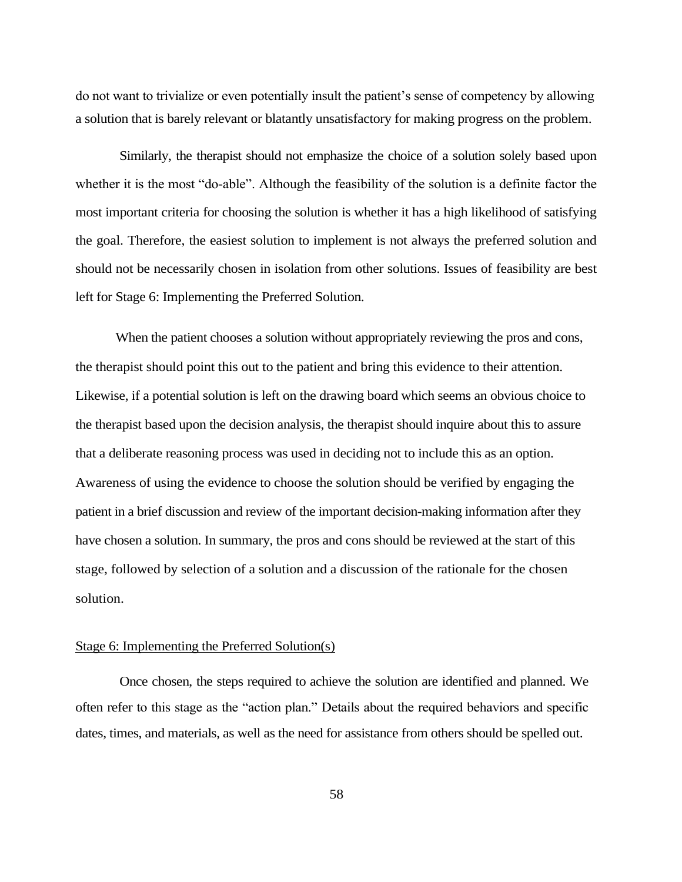do not want to trivialize or even potentially insult the patient's sense of competency by allowing a solution that is barely relevant or blatantly unsatisfactory for making progress on the problem.

Similarly, the therapist should not emphasize the choice of a solution solely based upon whether it is the most "do-able". Although the feasibility of the solution is a definite factor the most important criteria for choosing the solution is whether it has a high likelihood of satisfying the goal. Therefore, the easiest solution to implement is not always the preferred solution and should not be necessarily chosen in isolation from other solutions. Issues of feasibility are best left for Stage 6: Implementing the Preferred Solution.

When the patient chooses a solution without appropriately reviewing the pros and cons, the therapist should point this out to the patient and bring this evidence to their attention. Likewise, if a potential solution is left on the drawing board which seems an obvious choice to the therapist based upon the decision analysis, the therapist should inquire about this to assure that a deliberate reasoning process was used in deciding not to include this as an option. Awareness of using the evidence to choose the solution should be verified by engaging the patient in a brief discussion and review of the important decision-making information after they have chosen a solution. In summary, the pros and cons should be reviewed at the start of this stage, followed by selection of a solution and a discussion of the rationale for the chosen solution.

## Stage 6: Implementing the Preferred Solution(s)

Once chosen, the steps required to achieve the solution are identified and planned. We often refer to this stage as the "action plan." Details about the required behaviors and specific dates, times, and materials, as well as the need for assistance from others should be spelled out.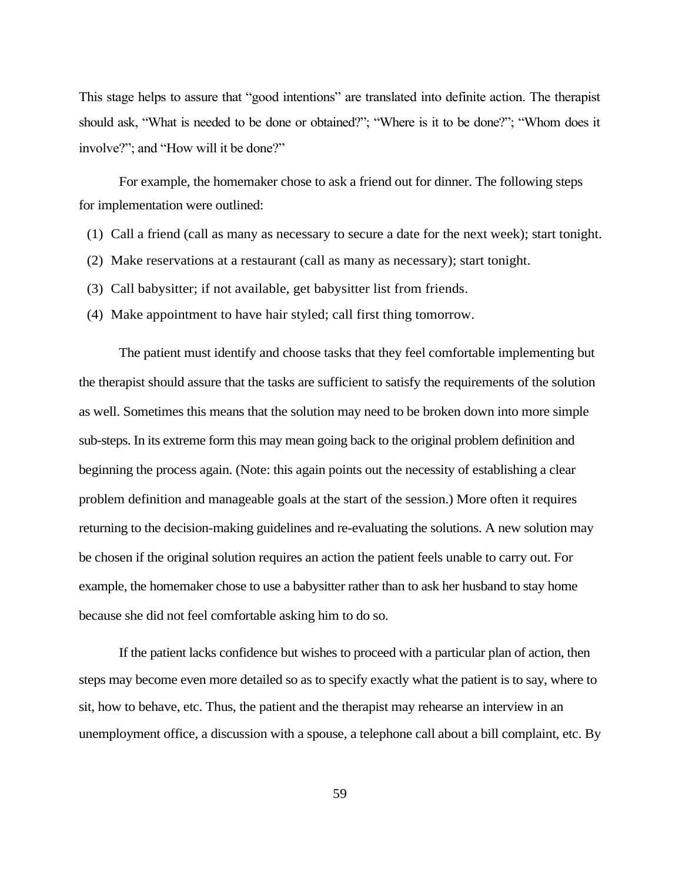This stage helps to assure that "good intentions" are translated into definite action. The therapist should ask, "What is needed to be done or obtained?"; "Where is it to be done?"; "Whom does it involve?"; and "How will it be done?"

For example, the homemaker chose to ask a friend out for dinner. The following steps for implementation were outlined:

- (1) Call a friend (call as many as necessary to secure a date for the next week); start tonight.
- (2) Make reservations at a restaurant (call as many as necessary); start tonight.
- (3) Call babysitter; if not available, get babysitter list from friends.
- (4) Make appointment to have hair styled; call first thing tomorrow.

The patient must identify and choose tasks that they feel comfortable implementing but the therapist should assure that the tasks are sufficient to satisfy the requirements of the solution as well. Sometimes this means that the solution may need to be broken down into more simple sub-steps. In its extreme form this may mean going back to the original problem definition and beginning the process again. (Note: this again points out the necessity of establishing a clear problem definition and manageable goals at the start of the session.) More often it requires returning to the decision-making guidelines and re-evaluating the solutions. A new solution may be chosen if the original solution requires an action the patient feels unable to carry out. For example, the homemaker chose to use a babysitter rather than to ask her husband to stay home because she did not feel comfortable asking him to do so.

If the patient lacks confidence but wishes to proceed with a particular plan of action, then steps may become even more detailed so as to specify exactly what the patient is to say, where to sit, how to behave, etc. Thus, the patient and the therapist may rehearse an interview in an unemployment office, a discussion with a spouse, a telephone call about a bill complaint, etc. By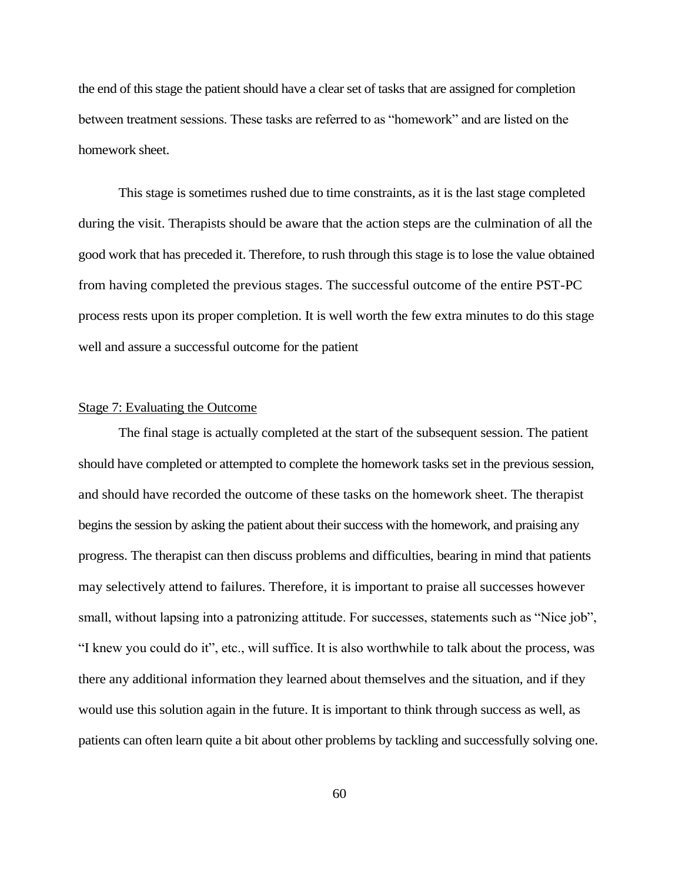the end of this stage the patient should have a clear set of tasks that are assigned for completion between treatment sessions. These tasks are referred to as "homework" and are listed on the homework sheet.

This stage is sometimes rushed due to time constraints, as it is the last stage completed during the visit. Therapists should be aware that the action steps are the culmination of all the good work that has preceded it. Therefore, to rush through this stage is to lose the value obtained from having completed the previous stages. The successful outcome of the entire PST-PC process rests upon its proper completion. It is well worth the few extra minutes to do this stage well and assure a successful outcome for the patient

## Stage 7: Evaluating the Outcome

The final stage is actually completed at the start of the subsequent session. The patient should have completed or attempted to complete the homework tasks set in the previous session, and should have recorded the outcome of these tasks on the homework sheet. The therapist begins the session by asking the patient about their success with the homework, and praising any progress. The therapist can then discuss problems and difficulties, bearing in mind that patients may selectively attend to failures. Therefore, it is important to praise all successes however small, without lapsing into a patronizing attitude. For successes, statements such as "Nice job", "I knew you could do it", etc., will suffice. It is also worthwhile to talk about the process, was there any additional information they learned about themselves and the situation, and if they would use this solution again in the future. It is important to think through success as well, as patients can often learn quite a bit about other problems by tackling and successfully solving one.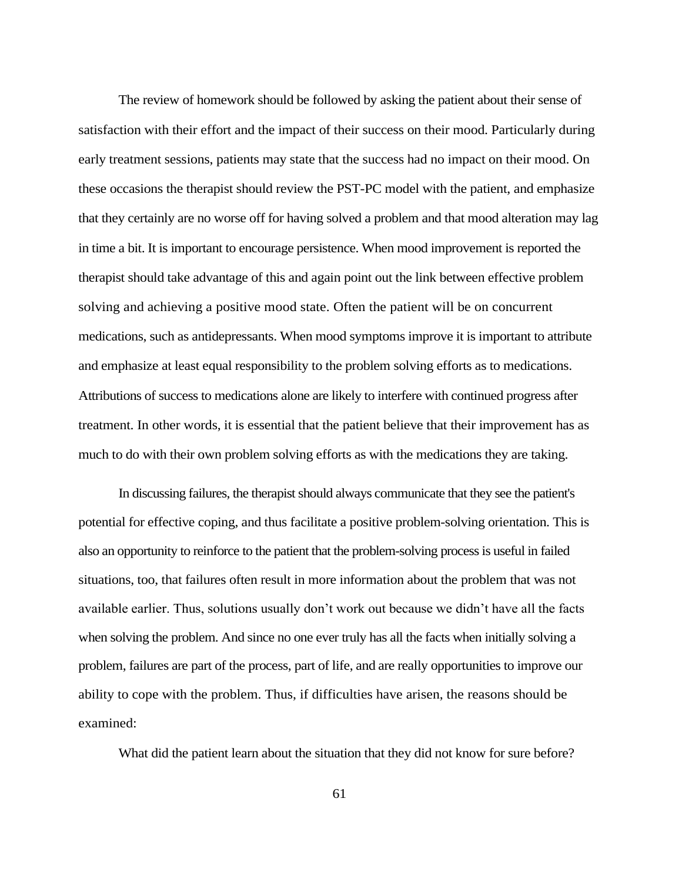The review of homework should be followed by asking the patient about their sense of satisfaction with their effort and the impact of their success on their mood. Particularly during early treatment sessions, patients may state that the success had no impact on their mood. On these occasions the therapist should review the PST-PC model with the patient, and emphasize that they certainly are no worse off for having solved a problem and that mood alteration may lag in time a bit. It is important to encourage persistence. When mood improvement is reported the therapist should take advantage of this and again point out the link between effective problem solving and achieving a positive mood state. Often the patient will be on concurrent medications, such as antidepressants. When mood symptoms improve it is important to attribute and emphasize at least equal responsibility to the problem solving efforts as to medications. Attributions of success to medications alone are likely to interfere with continued progress after treatment. In other words, it is essential that the patient believe that their improvement has as much to do with their own problem solving efforts as with the medications they are taking.

In discussing failures, the therapist should always communicate that they see the patient's potential for effective coping, and thus facilitate a positive problem-solving orientation. This is also an opportunity to reinforce to the patient that the problem-solving process is useful in failed situations, too, that failures often result in more information about the problem that was not available earlier. Thus, solutions usually don't work out because we didn't have all the facts when solving the problem. And since no one ever truly has all the facts when initially solving a problem, failures are part of the process, part of life, and are really opportunities to improve our ability to cope with the problem. Thus, if difficulties have arisen, the reasons should be examined:

What did the patient learn about the situation that they did not know for sure before?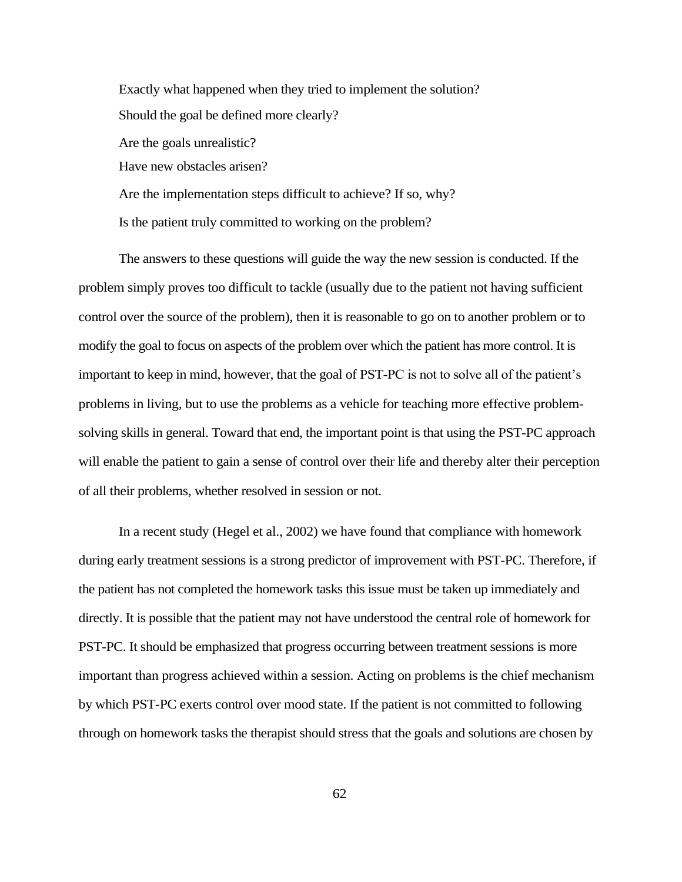Exactly what happened when they tried to implement the solution? Should the goal be defined more clearly? Are the goals unrealistic? Have new obstacles arisen? Are the implementation steps difficult to achieve? If so, why? Is the patient truly committed to working on the problem?

The answers to these questions will guide the way the new session is conducted. If the problem simply proves too difficult to tackle (usually due to the patient not having sufficient control over the source of the problem), then it is reasonable to go on to another problem or to modify the goal to focus on aspects of the problem over which the patient has more control. It is important to keep in mind, however, that the goal of PST-PC is not to solve all of the patient's problems in living, but to use the problems as a vehicle for teaching more effective problemsolving skills in general. Toward that end, the important point is that using the PST-PC approach will enable the patient to gain a sense of control over their life and thereby alter their perception of all their problems, whether resolved in session or not.

In a recent study (Hegel et al., 2002) we have found that compliance with homework during early treatment sessions is a strong predictor of improvement with PST-PC. Therefore, if the patient has not completed the homework tasks this issue must be taken up immediately and directly. It is possible that the patient may not have understood the central role of homework for PST-PC. It should be emphasized that progress occurring between treatment sessions is more important than progress achieved within a session. Acting on problems is the chief mechanism by which PST-PC exerts control over mood state. If the patient is not committed to following through on homework tasks the therapist should stress that the goals and solutions are chosen by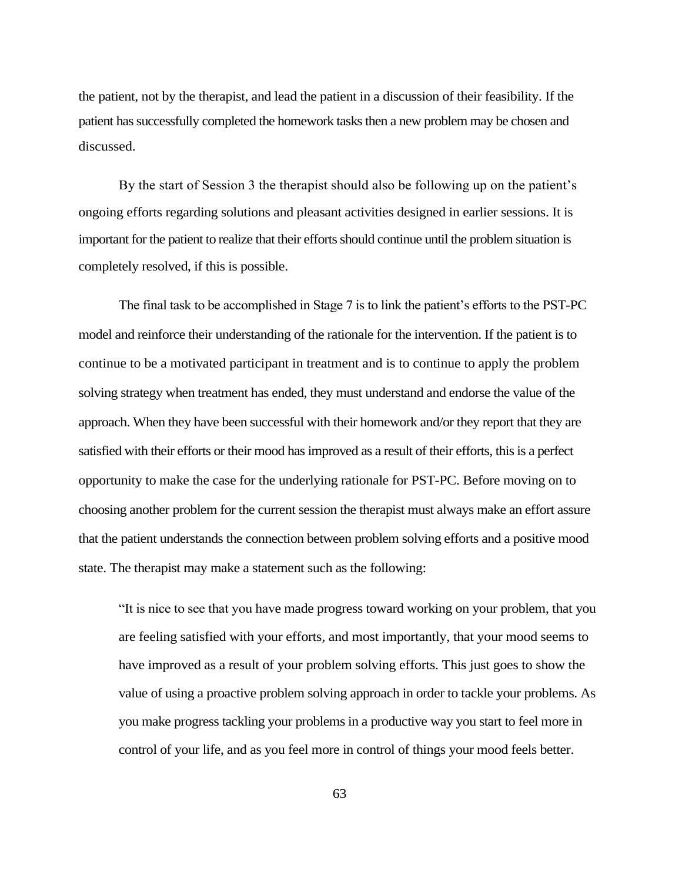the patient, not by the therapist, and lead the patient in a discussion of their feasibility. If the patient has successfully completed the homework tasks then a new problem may be chosen and discussed.

By the start of Session 3 the therapist should also be following up on the patient's ongoing efforts regarding solutions and pleasant activities designed in earlier sessions. It is important for the patient to realize that their efforts should continue until the problem situation is completely resolved, if this is possible.

The final task to be accomplished in Stage 7 is to link the patient's efforts to the PST-PC model and reinforce their understanding of the rationale for the intervention. If the patient is to continue to be a motivated participant in treatment and is to continue to apply the problem solving strategy when treatment has ended, they must understand and endorse the value of the approach. When they have been successful with their homework and/or they report that they are satisfied with their efforts or their mood has improved as a result of their efforts, this is a perfect opportunity to make the case for the underlying rationale for PST-PC. Before moving on to choosing another problem for the current session the therapist must always make an effort assure that the patient understands the connection between problem solving efforts and a positive mood state. The therapist may make a statement such as the following:

"It is nice to see that you have made progress toward working on your problem, that you are feeling satisfied with your efforts, and most importantly, that your mood seems to have improved as a result of your problem solving efforts. This just goes to show the value of using a proactive problem solving approach in order to tackle your problems. As you make progress tackling your problems in a productive way you start to feel more in control of your life, and as you feel more in control of things your mood feels better.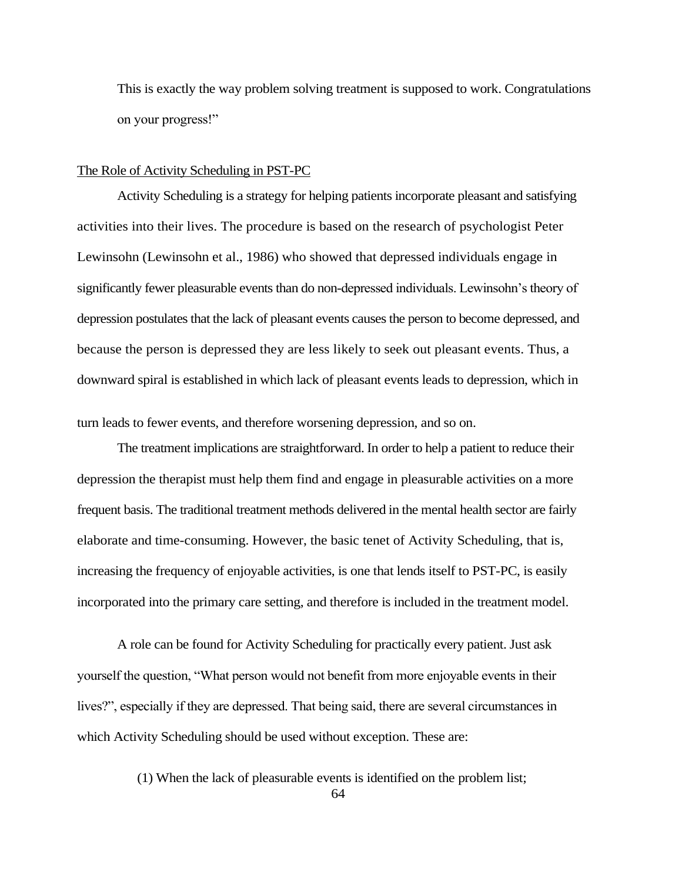This is exactly the way problem solving treatment is supposed to work. Congratulations on your progress!"

#### The Role of Activity Scheduling in PST-PC

Activity Scheduling is a strategy for helping patients incorporate pleasant and satisfying activities into their lives. The procedure is based on the research of psychologist Peter Lewinsohn (Lewinsohn et al., 1986) who showed that depressed individuals engage in significantly fewer pleasurable events than do non-depressed individuals. Lewinsohn's theory of depression postulates that the lack of pleasant events causes the person to become depressed, and because the person is depressed they are less likely to seek out pleasant events. Thus, a downward spiral is established in which lack of pleasant events leads to depression, which in

turn leads to fewer events, and therefore worsening depression, and so on.

The treatment implications are straightforward. In order to help a patient to reduce their depression the therapist must help them find and engage in pleasurable activities on a more frequent basis. The traditional treatment methods delivered in the mental health sector are fairly elaborate and time-consuming. However, the basic tenet of Activity Scheduling, that is, increasing the frequency of enjoyable activities, is one that lends itself to PST-PC, is easily incorporated into the primary care setting, and therefore is included in the treatment model.

A role can be found for Activity Scheduling for practically every patient. Just ask yourself the question, "What person would not benefit from more enjoyable events in their lives?", especially if they are depressed. That being said, there are several circumstances in which Activity Scheduling should be used without exception. These are:

(1) When the lack of pleasurable events is identified on the problem list;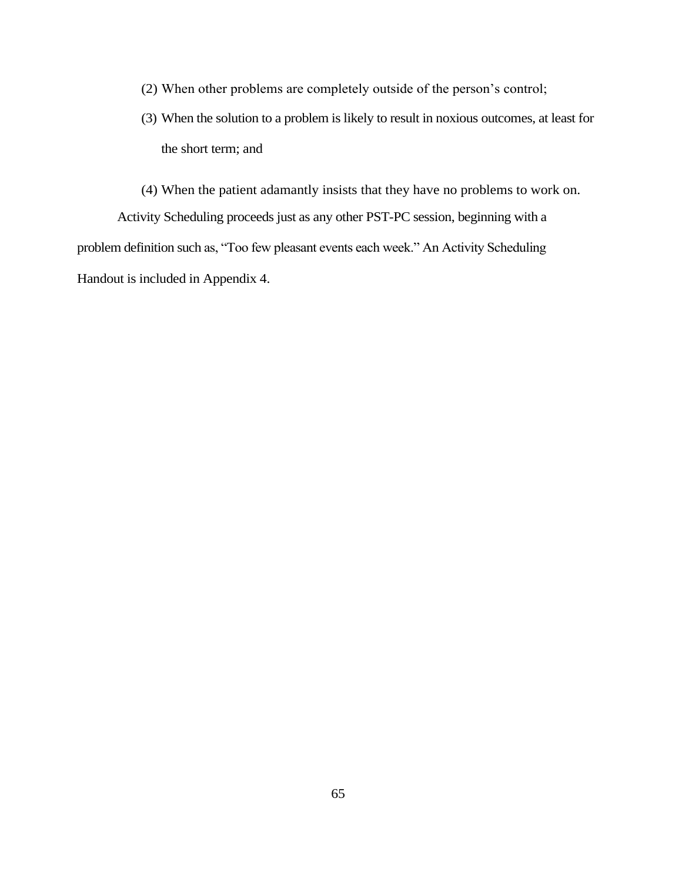- (2) When other problems are completely outside of the person's control;
- (3) When the solution to a problem is likely to result in noxious outcomes, at least for the short term; and

(4) When the patient adamantly insists that they have no problems to work on. Activity Scheduling proceeds just as any other PST-PC session, beginning with a problem definition such as, "Too few pleasant events each week." An Activity Scheduling Handout is included in Appendix 4.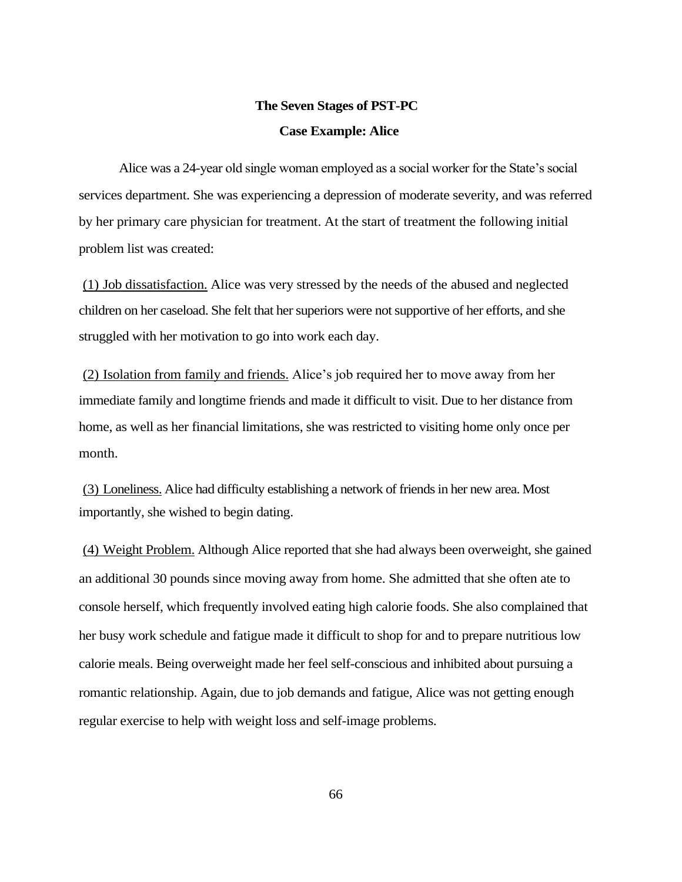# **The Seven Stages of PST-PC Case Example: Alice**

Alice was a 24-year old single woman employed as a social worker for the State's social services department. She was experiencing a depression of moderate severity, and was referred by her primary care physician for treatment. At the start of treatment the following initial problem list was created:

(1) Job dissatisfaction. Alice was very stressed by the needs of the abused and neglected children on her caseload. She felt that her superiors were not supportive of her efforts, and she struggled with her motivation to go into work each day.

(2) Isolation from family and friends. Alice's job required her to move away from her immediate family and longtime friends and made it difficult to visit. Due to her distance from home, as well as her financial limitations, she was restricted to visiting home only once per month.

(3) Loneliness. Alice had difficulty establishing a network of friends in her new area. Most importantly, she wished to begin dating.

(4) Weight Problem. Although Alice reported that she had always been overweight, she gained an additional 30 pounds since moving away from home. She admitted that she often ate to console herself, which frequently involved eating high calorie foods. She also complained that her busy work schedule and fatigue made it difficult to shop for and to prepare nutritious low calorie meals. Being overweight made her feel self-conscious and inhibited about pursuing a romantic relationship. Again, due to job demands and fatigue, Alice was not getting enough regular exercise to help with weight loss and self-image problems.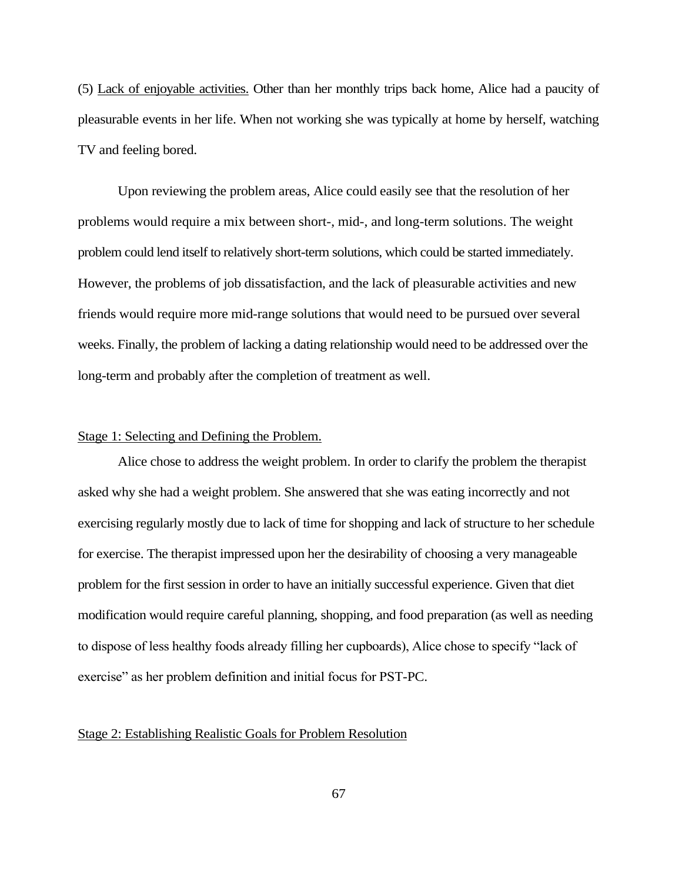(5) Lack of enjoyable activities. Other than her monthly trips back home, Alice had a paucity of pleasurable events in her life. When not working she was typically at home by herself, watching TV and feeling bored.

Upon reviewing the problem areas, Alice could easily see that the resolution of her problems would require a mix between short-, mid-, and long-term solutions. The weight problem could lend itself to relatively short-term solutions, which could be started immediately. However, the problems of job dissatisfaction, and the lack of pleasurable activities and new friends would require more mid-range solutions that would need to be pursued over several weeks. Finally, the problem of lacking a dating relationship would need to be addressed over the long-term and probably after the completion of treatment as well.

## Stage 1: Selecting and Defining the Problem.

Alice chose to address the weight problem. In order to clarify the problem the therapist asked why she had a weight problem. She answered that she was eating incorrectly and not exercising regularly mostly due to lack of time for shopping and lack of structure to her schedule for exercise. The therapist impressed upon her the desirability of choosing a very manageable problem for the first session in order to have an initially successful experience. Given that diet modification would require careful planning, shopping, and food preparation (as well as needing to dispose of less healthy foods already filling her cupboards), Alice chose to specify "lack of exercise" as her problem definition and initial focus for PST-PC.

## Stage 2: Establishing Realistic Goals for Problem Resolution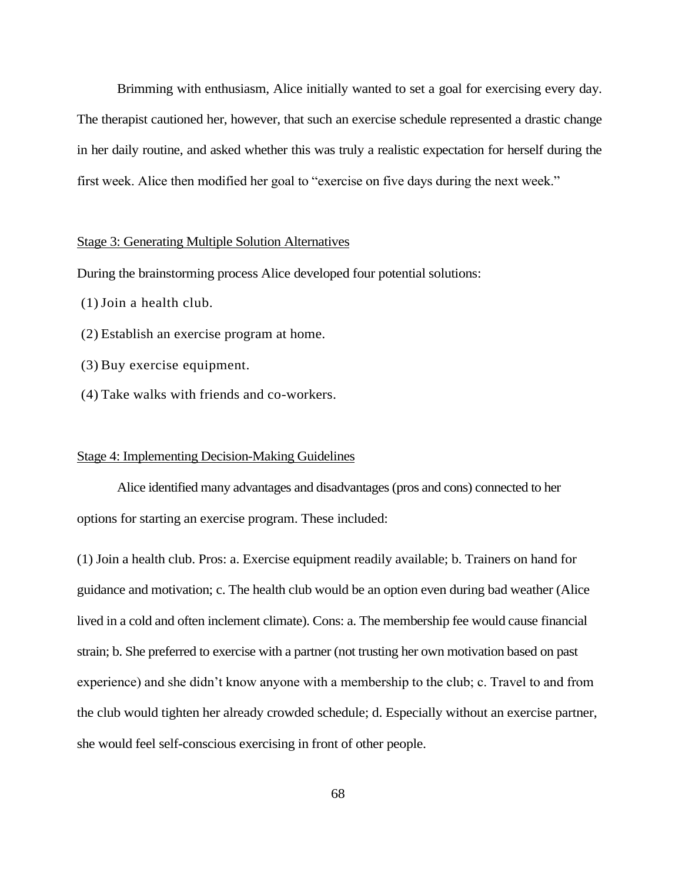Brimming with enthusiasm, Alice initially wanted to set a goal for exercising every day. The therapist cautioned her, however, that such an exercise schedule represented a drastic change in her daily routine, and asked whether this was truly a realistic expectation for herself during the first week. Alice then modified her goal to "exercise on five days during the next week."

### Stage 3: Generating Multiple Solution Alternatives

During the brainstorming process Alice developed four potential solutions:

- (1)Join a health club.
- (2) Establish an exercise program at home.
- (3) Buy exercise equipment.
- (4) Take walks with friends and co-workers.

## Stage 4: Implementing Decision-Making Guidelines

Alice identified many advantages and disadvantages (pros and cons) connected to her options for starting an exercise program. These included:

(1) Join a health club. Pros: a. Exercise equipment readily available; b. Trainers on hand for guidance and motivation; c. The health club would be an option even during bad weather (Alice lived in a cold and often inclement climate). Cons: a. The membership fee would cause financial strain; b. She preferred to exercise with a partner (not trusting her own motivation based on past experience) and she didn't know anyone with a membership to the club; c. Travel to and from the club would tighten her already crowded schedule; d. Especially without an exercise partner, she would feel self-conscious exercising in front of other people.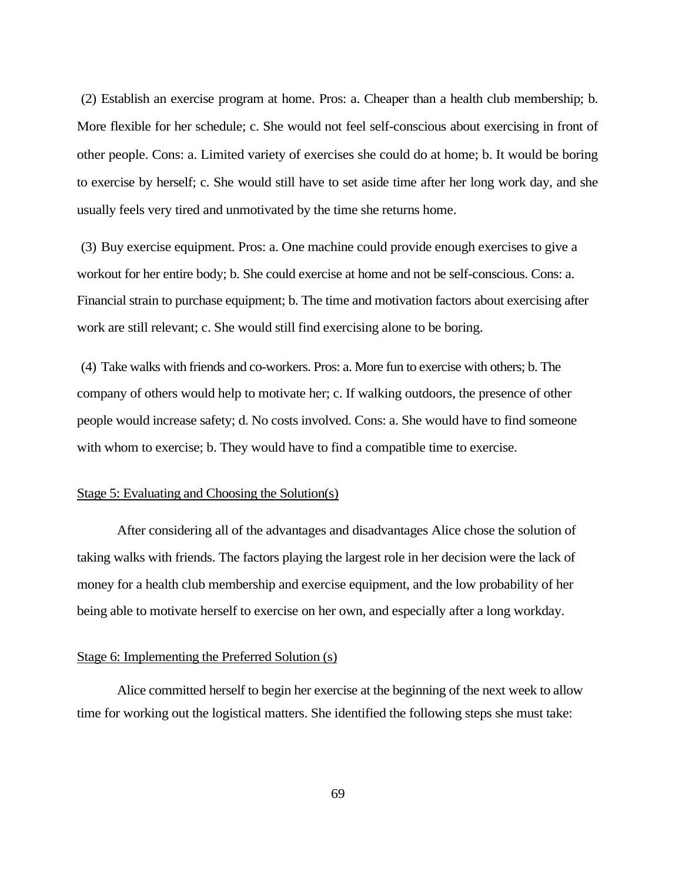(2) Establish an exercise program at home. Pros: a. Cheaper than a health club membership; b. More flexible for her schedule; c. She would not feel self-conscious about exercising in front of other people. Cons: a. Limited variety of exercises she could do at home; b. It would be boring to exercise by herself; c. She would still have to set aside time after her long work day, and she usually feels very tired and unmotivated by the time she returns home.

(3) Buy exercise equipment. Pros: a. One machine could provide enough exercises to give a workout for her entire body; b. She could exercise at home and not be self-conscious. Cons: a. Financial strain to purchase equipment; b. The time and motivation factors about exercising after work are still relevant; c. She would still find exercising alone to be boring.

(4) Take walks with friends and co-workers. Pros: a. More fun to exercise with others; b. The company of others would help to motivate her; c. If walking outdoors, the presence of other people would increase safety; d. No costs involved. Cons: a. She would have to find someone with whom to exercise; b. They would have to find a compatible time to exercise.

#### Stage 5: Evaluating and Choosing the Solution(s)

After considering all of the advantages and disadvantages Alice chose the solution of taking walks with friends. The factors playing the largest role in her decision were the lack of money for a health club membership and exercise equipment, and the low probability of her being able to motivate herself to exercise on her own, and especially after a long workday.

## Stage 6: Implementing the Preferred Solution (s)

Alice committed herself to begin her exercise at the beginning of the next week to allow time for working out the logistical matters. She identified the following steps she must take: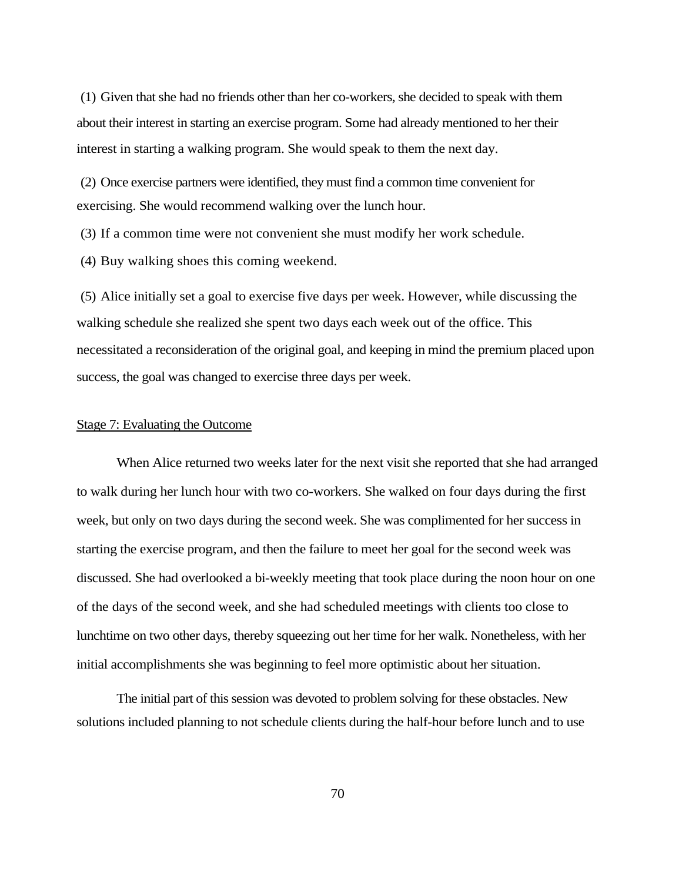(1) Given that she had no friends other than her co-workers, she decided to speak with them about their interest in starting an exercise program. Some had already mentioned to her their interest in starting a walking program. She would speak to them the next day.

(2) Once exercise partners were identified, they must find a common time convenient for exercising. She would recommend walking over the lunch hour.

(3) If a common time were not convenient she must modify her work schedule.

(4) Buy walking shoes this coming weekend.

(5) Alice initially set a goal to exercise five days per week. However, while discussing the walking schedule she realized she spent two days each week out of the office. This necessitated a reconsideration of the original goal, and keeping in mind the premium placed upon success, the goal was changed to exercise three days per week.

## Stage 7: Evaluating the Outcome

When Alice returned two weeks later for the next visit she reported that she had arranged to walk during her lunch hour with two co-workers. She walked on four days during the first week, but only on two days during the second week. She was complimented for her success in starting the exercise program, and then the failure to meet her goal for the second week was discussed. She had overlooked a bi-weekly meeting that took place during the noon hour on one of the days of the second week, and she had scheduled meetings with clients too close to lunchtime on two other days, thereby squeezing out her time for her walk. Nonetheless, with her initial accomplishments she was beginning to feel more optimistic about her situation.

The initial part of this session was devoted to problem solving for these obstacles. New solutions included planning to not schedule clients during the half-hour before lunch and to use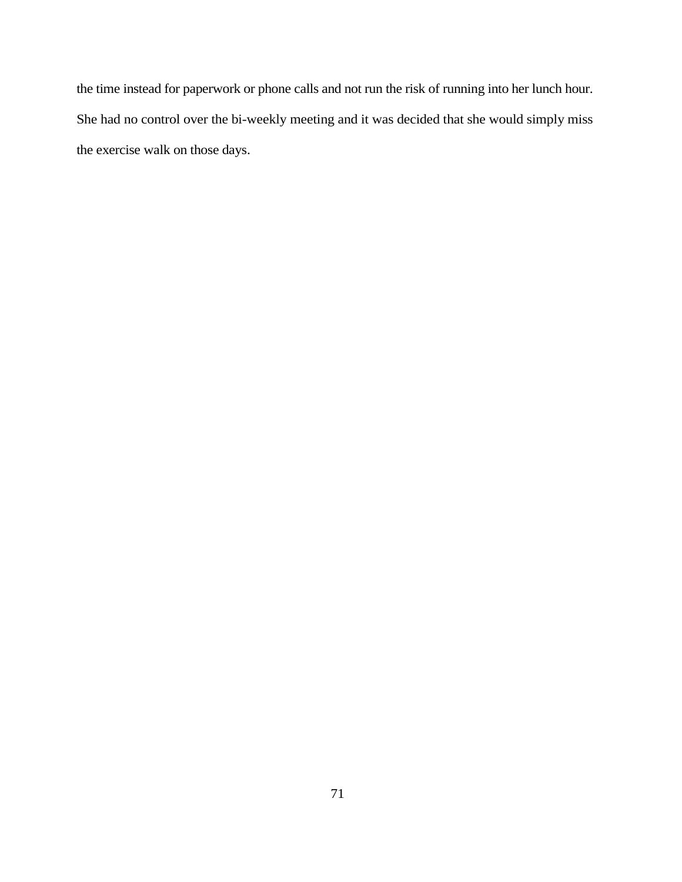the time instead for paperwork or phone calls and not run the risk of running into her lunch hour. She had no control over the bi-weekly meeting and it was decided that she would simply miss the exercise walk on those days.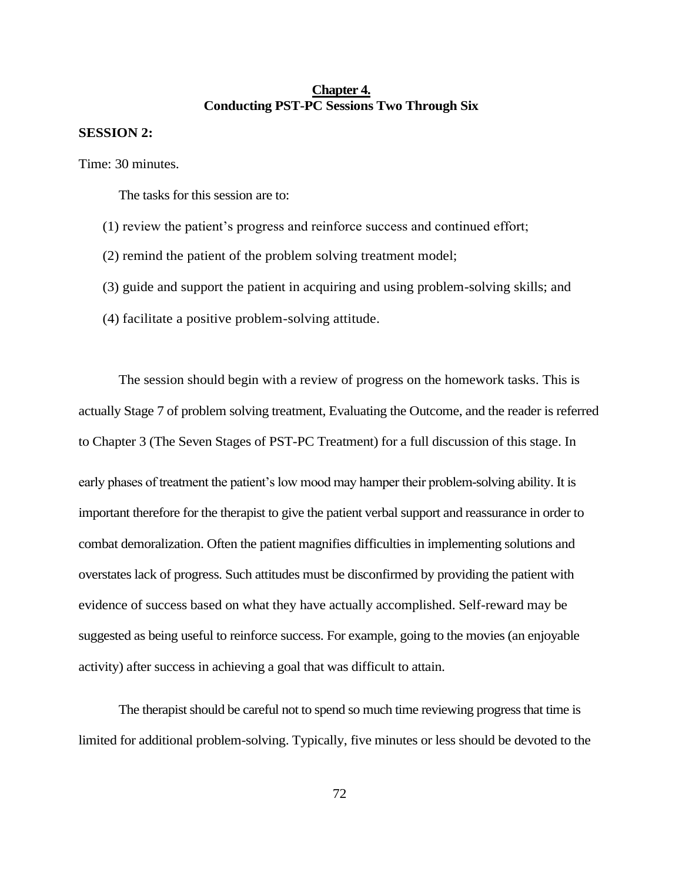## **Chapter 4. Conducting PST-PC Sessions Two Through Six**

## **SESSION 2:**

Time: 30 minutes.

The tasks for this session are to:

- (1) review the patient's progress and reinforce success and continued effort;
- (2) remind the patient of the problem solving treatment model;
- (3) guide and support the patient in acquiring and using problem-solving skills; and
- (4) facilitate a positive problem-solving attitude.

The session should begin with a review of progress on the homework tasks. This is actually Stage 7 of problem solving treatment, Evaluating the Outcome, and the reader is referred to Chapter 3 (The Seven Stages of PST-PC Treatment) for a full discussion of this stage. In

early phases of treatment the patient's low mood may hamper their problem-solving ability. It is important therefore for the therapist to give the patient verbal support and reassurance in order to combat demoralization. Often the patient magnifies difficulties in implementing solutions and overstates lack of progress. Such attitudes must be disconfirmed by providing the patient with evidence of success based on what they have actually accomplished. Self-reward may be suggested as being useful to reinforce success. For example, going to the movies (an enjoyable activity) after success in achieving a goal that was difficult to attain.

The therapist should be careful not to spend so much time reviewing progress that time is limited for additional problem-solving. Typically, five minutes or less should be devoted to the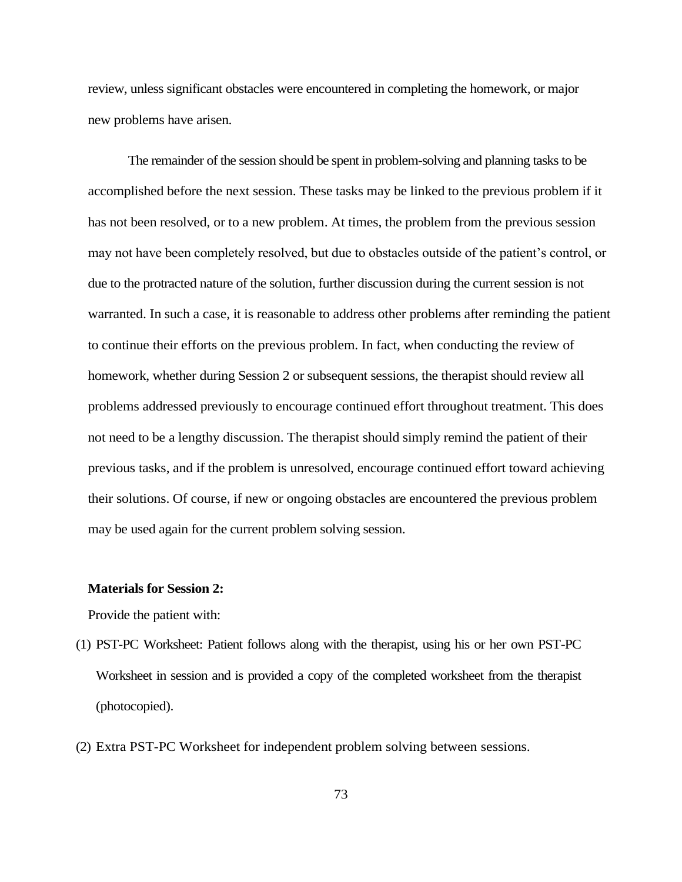review, unless significant obstacles were encountered in completing the homework, or major new problems have arisen.

The remainder of the session should be spent in problem-solving and planning tasks to be accomplished before the next session. These tasks may be linked to the previous problem if it has not been resolved, or to a new problem. At times, the problem from the previous session may not have been completely resolved, but due to obstacles outside of the patient's control, or due to the protracted nature of the solution, further discussion during the current session is not warranted. In such a case, it is reasonable to address other problems after reminding the patient to continue their efforts on the previous problem. In fact, when conducting the review of homework, whether during Session 2 or subsequent sessions, the therapist should review all problems addressed previously to encourage continued effort throughout treatment. This does not need to be a lengthy discussion. The therapist should simply remind the patient of their previous tasks, and if the problem is unresolved, encourage continued effort toward achieving their solutions. Of course, if new or ongoing obstacles are encountered the previous problem may be used again for the current problem solving session.

## **Materials for Session 2:**

Provide the patient with:

- (1) PST-PC Worksheet: Patient follows along with the therapist, using his or her own PST-PC Worksheet in session and is provided a copy of the completed worksheet from the therapist (photocopied).
- (2) Extra PST-PC Worksheet for independent problem solving between sessions.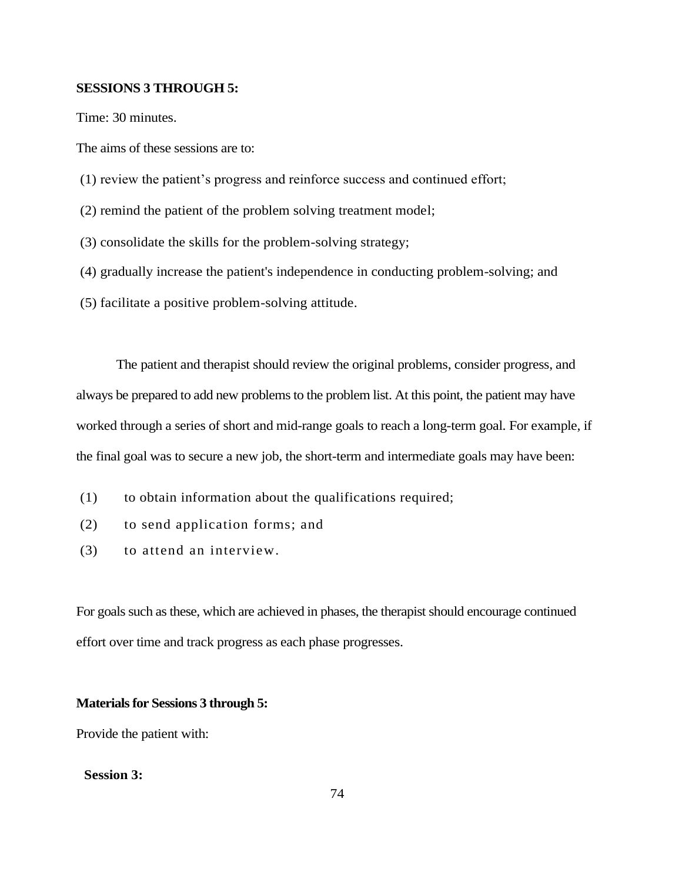## **SESSIONS 3 THROUGH 5:**

Time: 30 minutes.

The aims of these sessions are to:

- (1) review the patient's progress and reinforce success and continued effort;
- (2) remind the patient of the problem solving treatment model;
- (3) consolidate the skills for the problem-solving strategy;
- (4) gradually increase the patient's independence in conducting problem-solving; and
- (5) facilitate a positive problem-solving attitude.

The patient and therapist should review the original problems, consider progress, and always be prepared to add new problems to the problem list. At this point, the patient may have worked through a series of short and mid-range goals to reach a long-term goal. For example, if the final goal was to secure a new job, the short-term and intermediate goals may have been:

- (1) to obtain information about the qualifications required;
- (2) to send application forms; and
- (3) to attend an interview.

For goals such as these, which are achieved in phases, the therapist should encourage continued effort over time and track progress as each phase progresses.

#### **Materials for Sessions 3 through 5:**

Provide the patient with:

## **Session 3:**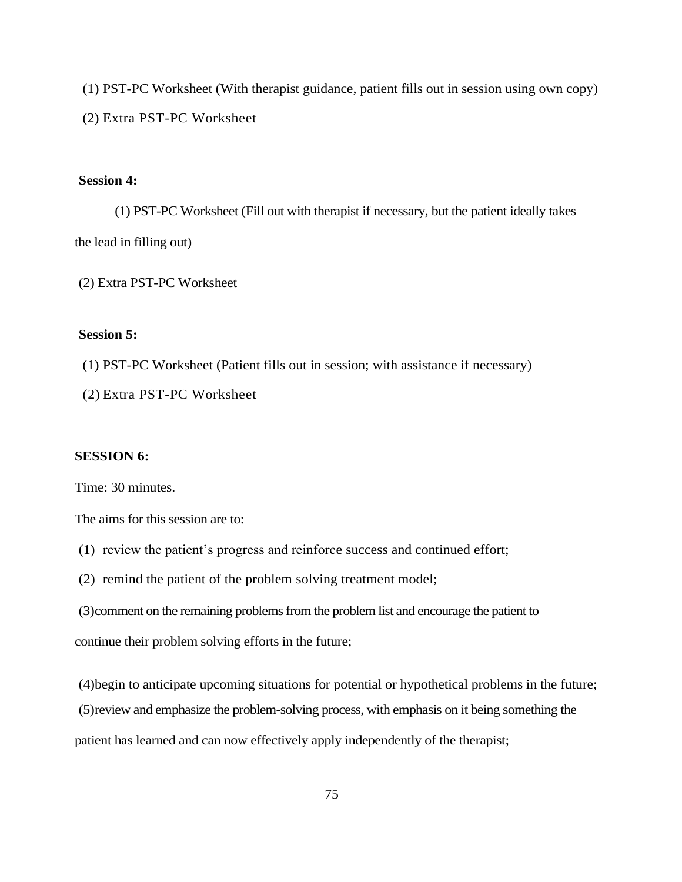(1) PST-PC Worksheet (With therapist guidance, patient fills out in session using own copy) (2) Extra PST-PC Worksheet

## **Session 4:**

(1) PST-PC Worksheet (Fill out with therapist if necessary, but the patient ideally takes the lead in filling out)

(2) Extra PST-PC Worksheet

## **Session 5:**

- (1) PST-PC Worksheet (Patient fills out in session; with assistance if necessary)
- (2) Extra PST-PC Worksheet

## **SESSION 6:**

Time: 30 minutes.

The aims for this session are to:

- (1) review the patient's progress and reinforce success and continued effort;
- (2) remind the patient of the problem solving treatment model;
- (3)comment on the remaining problems from the problem list and encourage the patient to

continue their problem solving efforts in the future;

(4)begin to anticipate upcoming situations for potential or hypothetical problems in the future;

(5)review and emphasize the problem-solving process, with emphasis on it being something the

patient has learned and can now effectively apply independently of the therapist;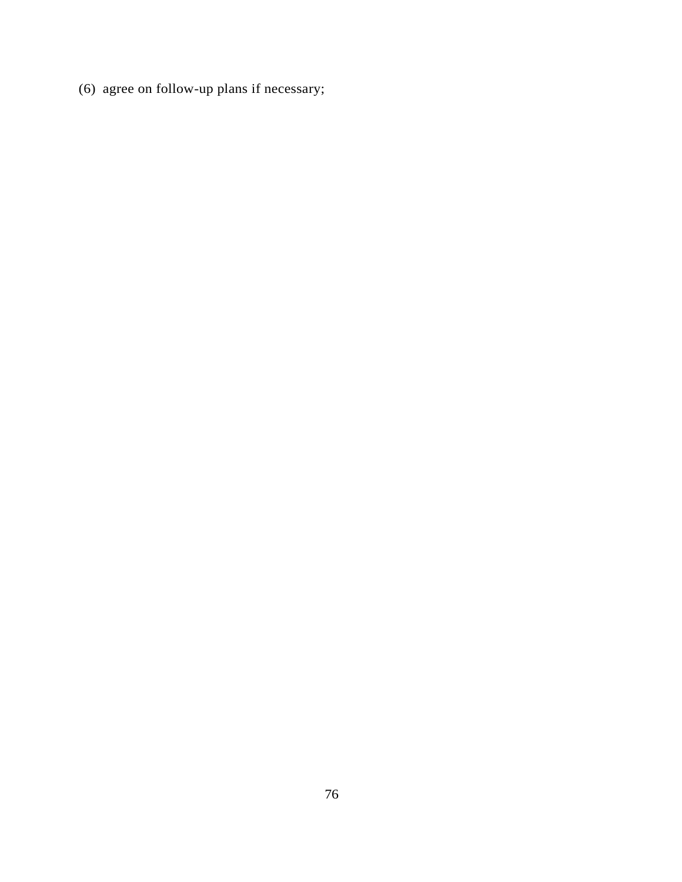(6) agree on follow-up plans if necessary;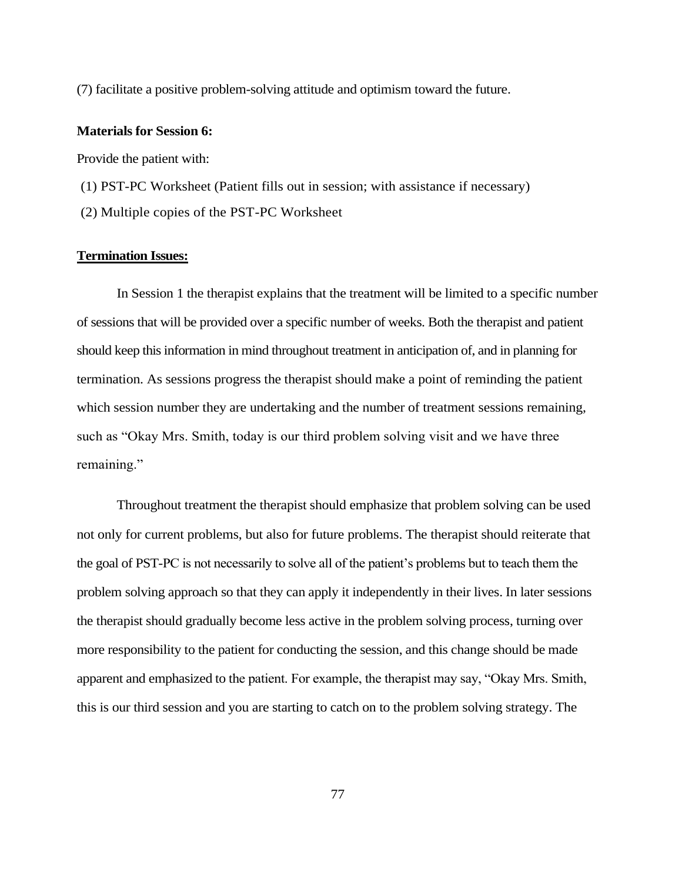(7) facilitate a positive problem-solving attitude and optimism toward the future.

## **Materials for Session 6:**

Provide the patient with:

- (1) PST-PC Worksheet (Patient fills out in session; with assistance if necessary)
- (2) Multiple copies of the PST-PC Worksheet

## **Termination Issues:**

In Session 1 the therapist explains that the treatment will be limited to a specific number of sessions that will be provided over a specific number of weeks. Both the therapist and patient should keep this information in mind throughout treatment in anticipation of, and in planning for termination. As sessions progress the therapist should make a point of reminding the patient which session number they are undertaking and the number of treatment sessions remaining, such as "Okay Mrs. Smith, today is our third problem solving visit and we have three remaining."

Throughout treatment the therapist should emphasize that problem solving can be used not only for current problems, but also for future problems. The therapist should reiterate that the goal of PST-PC is not necessarily to solve all of the patient's problems but to teach them the problem solving approach so that they can apply it independently in their lives. In later sessions the therapist should gradually become less active in the problem solving process, turning over more responsibility to the patient for conducting the session, and this change should be made apparent and emphasized to the patient. For example, the therapist may say, "Okay Mrs. Smith, this is our third session and you are starting to catch on to the problem solving strategy. The

77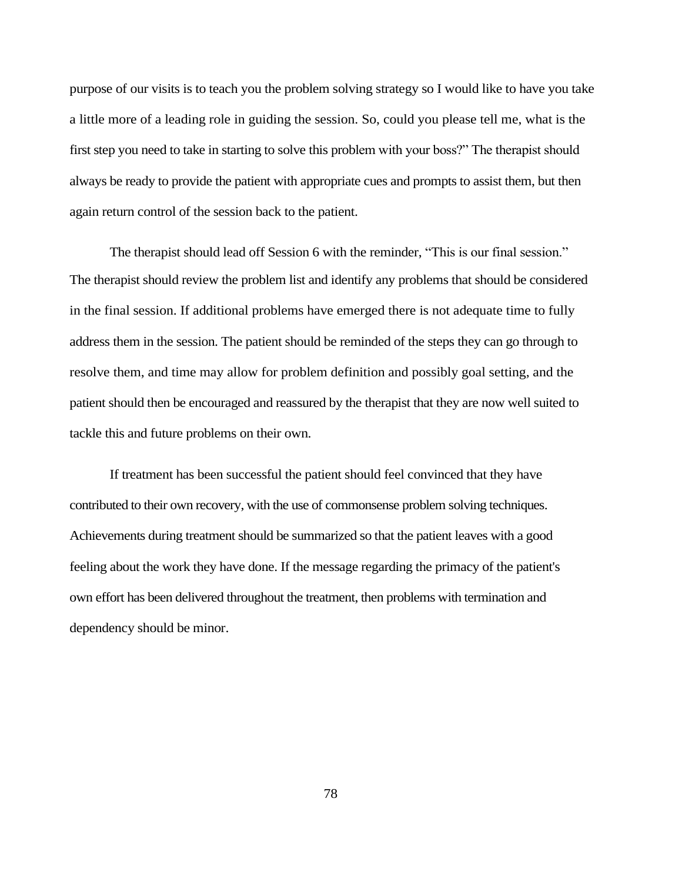purpose of our visits is to teach you the problem solving strategy so I would like to have you take a little more of a leading role in guiding the session. So, could you please tell me, what is the first step you need to take in starting to solve this problem with your boss?" The therapist should always be ready to provide the patient with appropriate cues and prompts to assist them, but then again return control of the session back to the patient.

The therapist should lead off Session 6 with the reminder, "This is our final session." The therapist should review the problem list and identify any problems that should be considered in the final session. If additional problems have emerged there is not adequate time to fully address them in the session. The patient should be reminded of the steps they can go through to resolve them, and time may allow for problem definition and possibly goal setting, and the patient should then be encouraged and reassured by the therapist that they are now well suited to tackle this and future problems on their own.

If treatment has been successful the patient should feel convinced that they have contributed to their own recovery, with the use of commonsense problem solving techniques. Achievements during treatment should be summarized so that the patient leaves with a good feeling about the work they have done. If the message regarding the primacy of the patient's own effort has been delivered throughout the treatment, then problems with termination and dependency should be minor.

78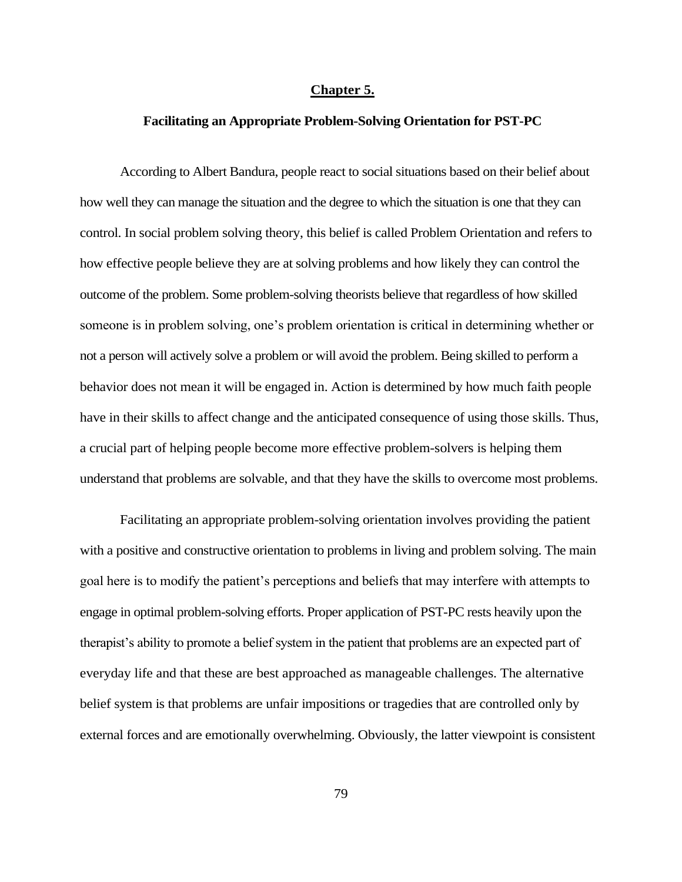#### **Chapter 5.**

#### **Facilitating an Appropriate Problem-Solving Orientation for PST-PC**

According to Albert Bandura, people react to social situations based on their belief about how well they can manage the situation and the degree to which the situation is one that they can control. In social problem solving theory, this belief is called Problem Orientation and refers to how effective people believe they are at solving problems and how likely they can control the outcome of the problem. Some problem-solving theorists believe that regardless of how skilled someone is in problem solving, one's problem orientation is critical in determining whether or not a person will actively solve a problem or will avoid the problem. Being skilled to perform a behavior does not mean it will be engaged in. Action is determined by how much faith people have in their skills to affect change and the anticipated consequence of using those skills. Thus, a crucial part of helping people become more effective problem-solvers is helping them understand that problems are solvable, and that they have the skills to overcome most problems.

Facilitating an appropriate problem-solving orientation involves providing the patient with a positive and constructive orientation to problems in living and problem solving. The main goal here is to modify the patient's perceptions and beliefs that may interfere with attempts to engage in optimal problem-solving efforts. Proper application of PST-PC rests heavily upon the therapist's ability to promote a belief system in the patient that problems are an expected part of everyday life and that these are best approached as manageable challenges. The alternative belief system is that problems are unfair impositions or tragedies that are controlled only by external forces and are emotionally overwhelming. Obviously, the latter viewpoint is consistent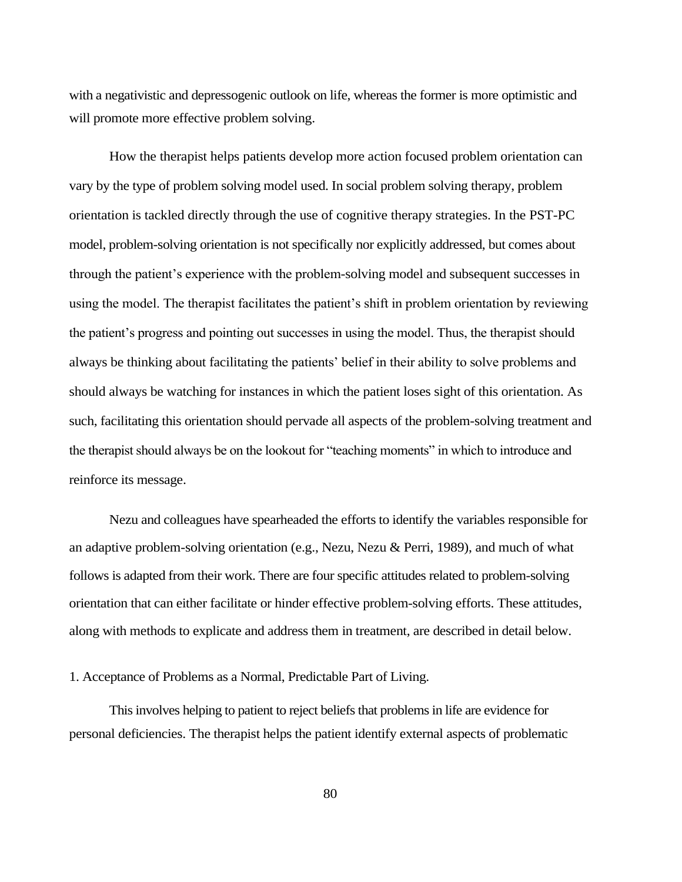with a negativistic and depressogenic outlook on life, whereas the former is more optimistic and will promote more effective problem solving.

How the therapist helps patients develop more action focused problem orientation can vary by the type of problem solving model used. In social problem solving therapy, problem orientation is tackled directly through the use of cognitive therapy strategies. In the PST-PC model, problem-solving orientation is not specifically nor explicitly addressed, but comes about through the patient's experience with the problem-solving model and subsequent successes in using the model. The therapist facilitates the patient's shift in problem orientation by reviewing the patient's progress and pointing out successes in using the model. Thus, the therapist should always be thinking about facilitating the patients' belief in their ability to solve problems and should always be watching for instances in which the patient loses sight of this orientation. As such, facilitating this orientation should pervade all aspects of the problem-solving treatment and the therapist should always be on the lookout for "teaching moments" in which to introduce and reinforce its message.

Nezu and colleagues have spearheaded the efforts to identify the variables responsible for an adaptive problem-solving orientation (e.g., Nezu, Nezu & Perri, 1989), and much of what follows is adapted from their work. There are four specific attitudes related to problem-solving orientation that can either facilitate or hinder effective problem-solving efforts. These attitudes, along with methods to explicate and address them in treatment, are described in detail below.

1. Acceptance of Problems as a Normal, Predictable Part of Living.

This involves helping to patient to reject beliefs that problems in life are evidence for personal deficiencies. The therapist helps the patient identify external aspects of problematic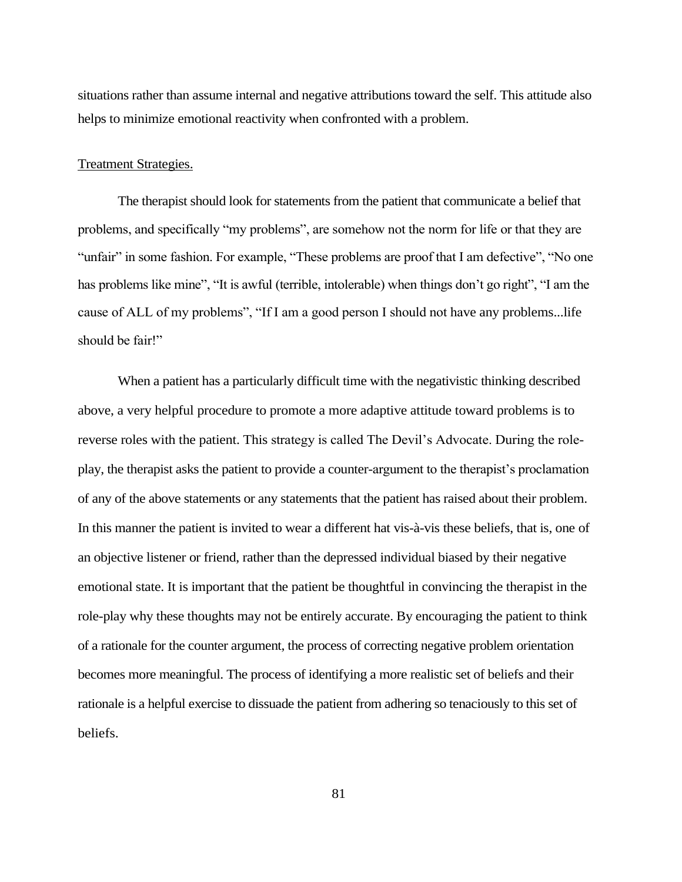situations rather than assume internal and negative attributions toward the self. This attitude also helps to minimize emotional reactivity when confronted with a problem.

#### Treatment Strategies.

The therapist should look for statements from the patient that communicate a belief that problems, and specifically "my problems", are somehow not the norm for life or that they are "unfair" in some fashion. For example, "These problems are proof that I am defective", "No one has problems like mine", "It is awful (terrible, intolerable) when things don't go right", "I am the cause of ALL of my problems", "If I am a good person I should not have any problems...life should be fair!"

When a patient has a particularly difficult time with the negativistic thinking described above, a very helpful procedure to promote a more adaptive attitude toward problems is to reverse roles with the patient. This strategy is called The Devil's Advocate. During the roleplay, the therapist asks the patient to provide a counter-argument to the therapist's proclamation of any of the above statements or any statements that the patient has raised about their problem. In this manner the patient is invited to wear a different hat vis-à-vis these beliefs, that is, one of an objective listener or friend, rather than the depressed individual biased by their negative emotional state. It is important that the patient be thoughtful in convincing the therapist in the role-play why these thoughts may not be entirely accurate. By encouraging the patient to think of a rationale for the counter argument, the process of correcting negative problem orientation becomes more meaningful. The process of identifying a more realistic set of beliefs and their rationale is a helpful exercise to dissuade the patient from adhering so tenaciously to this set of beliefs.

81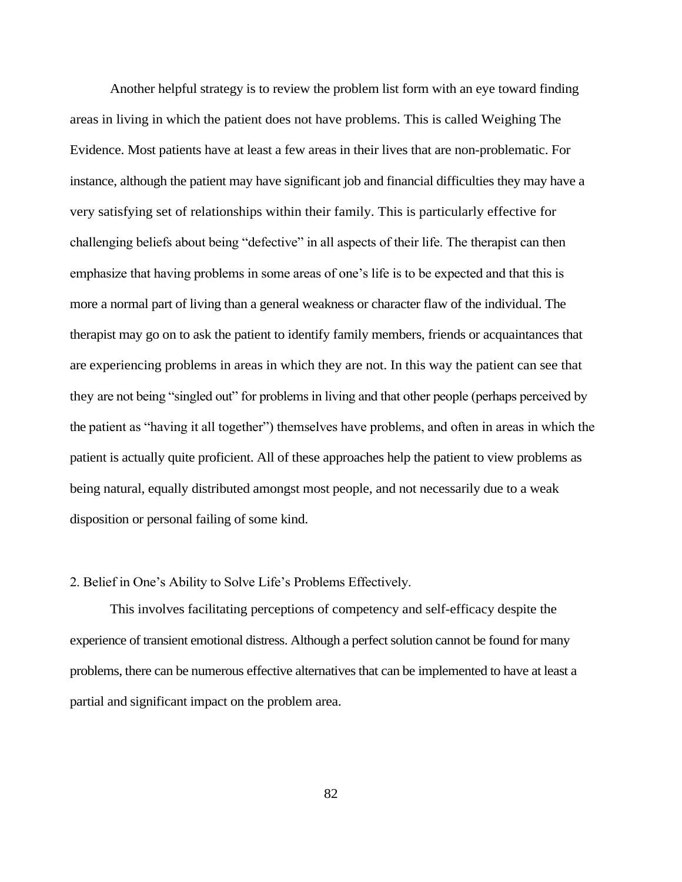Another helpful strategy is to review the problem list form with an eye toward finding areas in living in which the patient does not have problems. This is called Weighing The Evidence. Most patients have at least a few areas in their lives that are non-problematic. For instance, although the patient may have significant job and financial difficulties they may have a very satisfying set of relationships within their family. This is particularly effective for challenging beliefs about being "defective" in all aspects of their life. The therapist can then emphasize that having problems in some areas of one's life is to be expected and that this is more a normal part of living than a general weakness or character flaw of the individual. The therapist may go on to ask the patient to identify family members, friends or acquaintances that are experiencing problems in areas in which they are not. In this way the patient can see that they are not being "singled out" for problems in living and that other people (perhaps perceived by the patient as "having it all together") themselves have problems, and often in areas in which the patient is actually quite proficient. All of these approaches help the patient to view problems as being natural, equally distributed amongst most people, and not necessarily due to a weak disposition or personal failing of some kind.

## 2. Belief in One's Ability to Solve Life's Problems Effectively.

This involves facilitating perceptions of competency and self-efficacy despite the experience of transient emotional distress. Although a perfect solution cannot be found for many problems, there can be numerous effective alternatives that can be implemented to have at least a partial and significant impact on the problem area.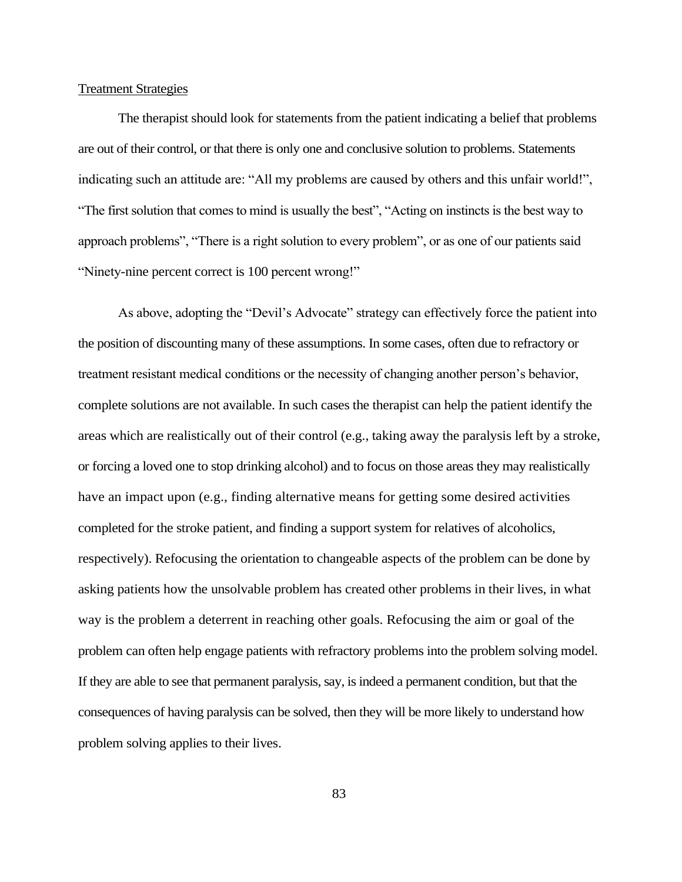## Treatment Strategies

The therapist should look for statements from the patient indicating a belief that problems are out of their control, or that there is only one and conclusive solution to problems. Statements indicating such an attitude are: "All my problems are caused by others and this unfair world!", "The first solution that comes to mind is usually the best", "Acting on instincts is the best way to approach problems", "There is a right solution to every problem", or as one of our patients said "Ninety-nine percent correct is 100 percent wrong!"

As above, adopting the "Devil's Advocate" strategy can effectively force the patient into the position of discounting many of these assumptions. In some cases, often due to refractory or treatment resistant medical conditions or the necessity of changing another person's behavior, complete solutions are not available. In such cases the therapist can help the patient identify the areas which are realistically out of their control (e.g., taking away the paralysis left by a stroke, or forcing a loved one to stop drinking alcohol) and to focus on those areas they may realistically have an impact upon (e.g., finding alternative means for getting some desired activities completed for the stroke patient, and finding a support system for relatives of alcoholics, respectively). Refocusing the orientation to changeable aspects of the problem can be done by asking patients how the unsolvable problem has created other problems in their lives, in what way is the problem a deterrent in reaching other goals. Refocusing the aim or goal of the problem can often help engage patients with refractory problems into the problem solving model. If they are able to see that permanent paralysis, say, is indeed a permanent condition, but that the consequences of having paralysis can be solved, then they will be more likely to understand how problem solving applies to their lives.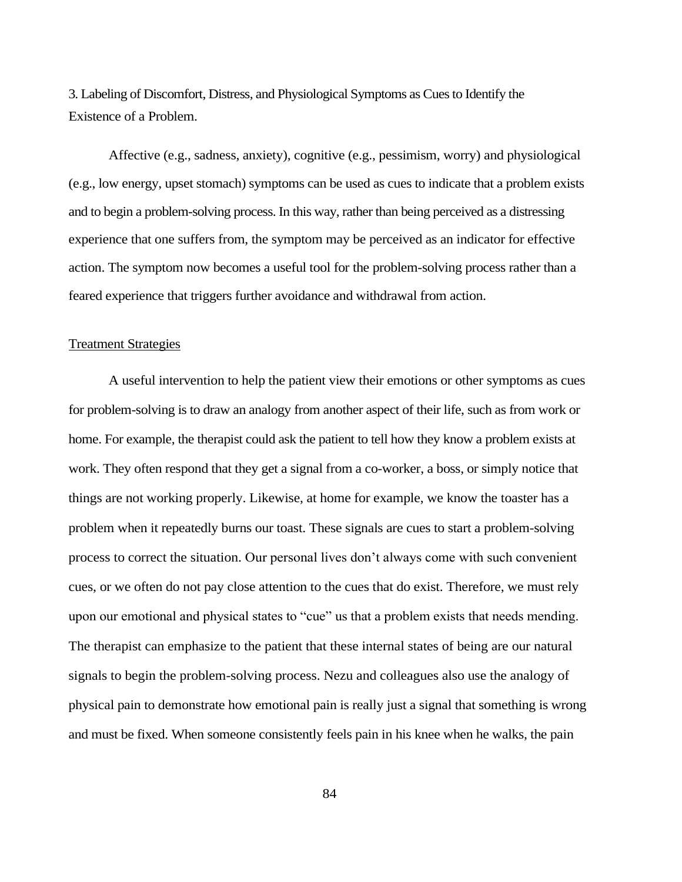3. Labeling of Discomfort, Distress, and Physiological Symptoms as Cues to Identify the Existence of a Problem.

Affective (e.g., sadness, anxiety), cognitive (e.g., pessimism, worry) and physiological (e.g., low energy, upset stomach) symptoms can be used as cues to indicate that a problem exists and to begin a problem-solving process. In this way, rather than being perceived as a distressing experience that one suffers from, the symptom may be perceived as an indicator for effective action. The symptom now becomes a useful tool for the problem-solving process rather than a feared experience that triggers further avoidance and withdrawal from action.

## Treatment Strategies

A useful intervention to help the patient view their emotions or other symptoms as cues for problem-solving is to draw an analogy from another aspect of their life, such as from work or home. For example, the therapist could ask the patient to tell how they know a problem exists at work. They often respond that they get a signal from a co-worker, a boss, or simply notice that things are not working properly. Likewise, at home for example, we know the toaster has a problem when it repeatedly burns our toast. These signals are cues to start a problem-solving process to correct the situation. Our personal lives don't always come with such convenient cues, or we often do not pay close attention to the cues that do exist. Therefore, we must rely upon our emotional and physical states to "cue" us that a problem exists that needs mending. The therapist can emphasize to the patient that these internal states of being are our natural signals to begin the problem-solving process. Nezu and colleagues also use the analogy of physical pain to demonstrate how emotional pain is really just a signal that something is wrong and must be fixed. When someone consistently feels pain in his knee when he walks, the pain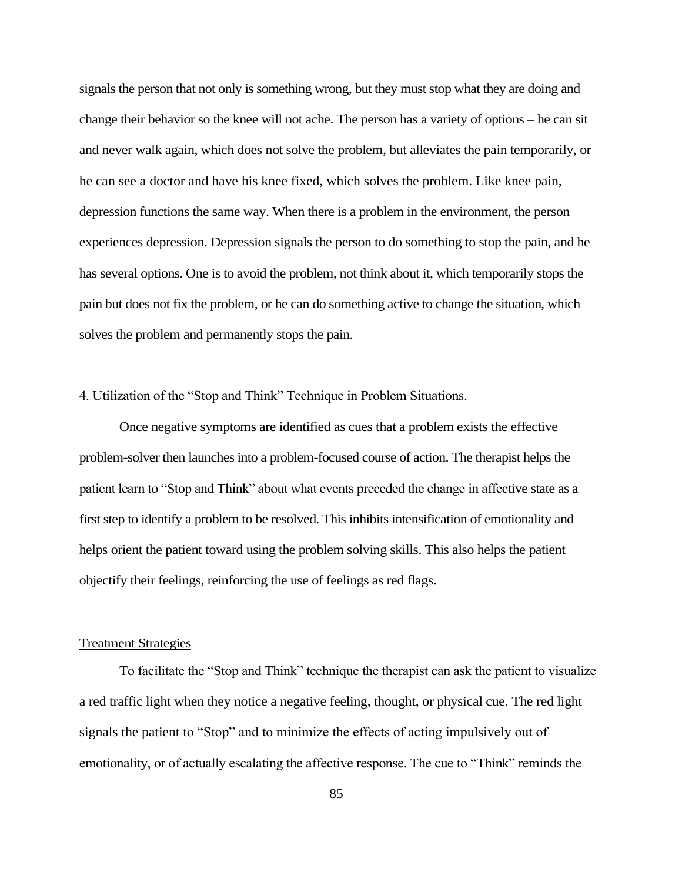signals the person that not only is something wrong, but they must stop what they are doing and change their behavior so the knee will not ache. The person has a variety of options – he can sit and never walk again, which does not solve the problem, but alleviates the pain temporarily, or he can see a doctor and have his knee fixed, which solves the problem. Like knee pain, depression functions the same way. When there is a problem in the environment, the person experiences depression. Depression signals the person to do something to stop the pain, and he has several options. One is to avoid the problem, not think about it, which temporarily stops the pain but does not fix the problem, or he can do something active to change the situation, which solves the problem and permanently stops the pain.

#### 4. Utilization of the "Stop and Think" Technique in Problem Situations.

Once negative symptoms are identified as cues that a problem exists the effective problem-solver then launches into a problem-focused course of action. The therapist helps the patient learn to "Stop and Think" about what events preceded the change in affective state as a first step to identify a problem to be resolved. This inhibits intensification of emotionality and helps orient the patient toward using the problem solving skills. This also helps the patient objectify their feelings, reinforcing the use of feelings as red flags.

#### Treatment Strategies

To facilitate the "Stop and Think" technique the therapist can ask the patient to visualize a red traffic light when they notice a negative feeling, thought, or physical cue. The red light signals the patient to "Stop" and to minimize the effects of acting impulsively out of emotionality, or of actually escalating the affective response. The cue to "Think" reminds the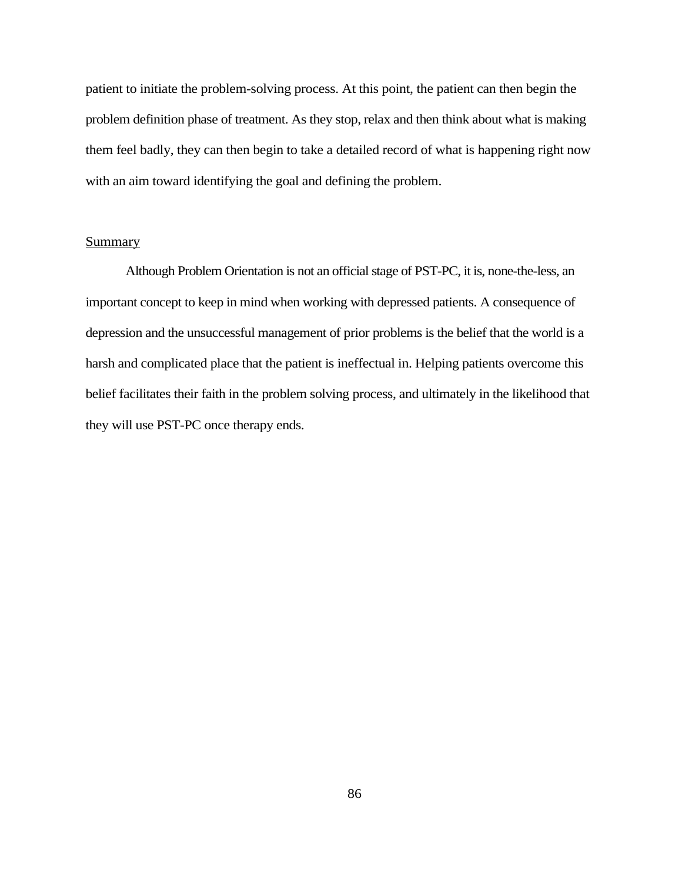patient to initiate the problem-solving process. At this point, the patient can then begin the problem definition phase of treatment. As they stop, relax and then think about what is making them feel badly, they can then begin to take a detailed record of what is happening right now with an aim toward identifying the goal and defining the problem.

## **Summary**

Although Problem Orientation is not an official stage of PST-PC, it is, none-the-less, an important concept to keep in mind when working with depressed patients. A consequence of depression and the unsuccessful management of prior problems is the belief that the world is a harsh and complicated place that the patient is ineffectual in. Helping patients overcome this belief facilitates their faith in the problem solving process, and ultimately in the likelihood that they will use PST-PC once therapy ends.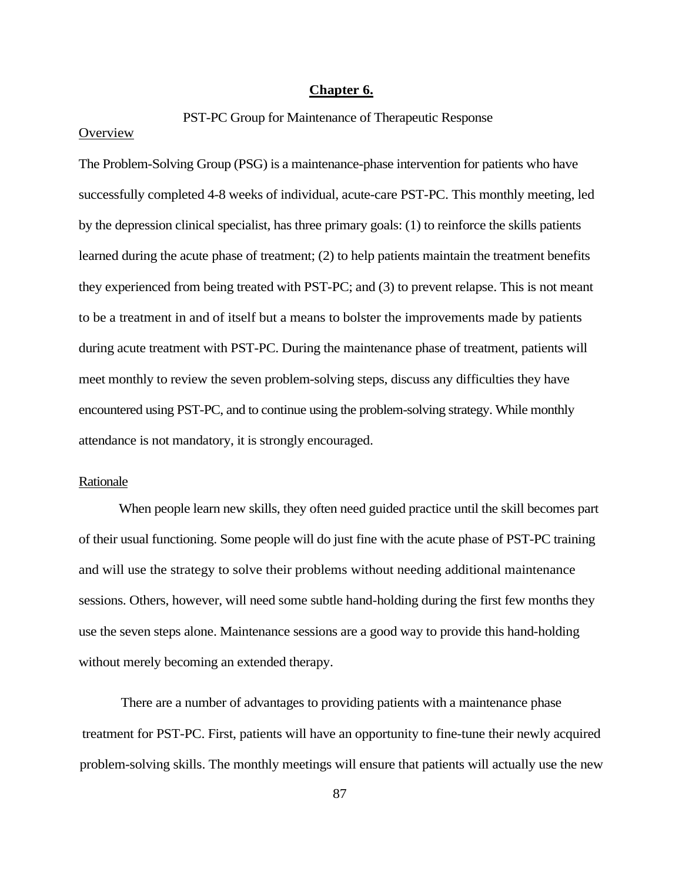## **Chapter 6.**

### PST-PC Group for Maintenance of Therapeutic Response

## **Overview**

The Problem-Solving Group (PSG) is a maintenance-phase intervention for patients who have successfully completed 4-8 weeks of individual, acute-care PST-PC. This monthly meeting, led by the depression clinical specialist, has three primary goals: (1) to reinforce the skills patients learned during the acute phase of treatment; (2) to help patients maintain the treatment benefits they experienced from being treated with PST-PC; and (3) to prevent relapse. This is not meant to be a treatment in and of itself but a means to bolster the improvements made by patients during acute treatment with PST-PC. During the maintenance phase of treatment, patients will meet monthly to review the seven problem-solving steps, discuss any difficulties they have encountered using PST-PC, and to continue using the problem-solving strategy. While monthly attendance is not mandatory, it is strongly encouraged.

#### Rationale

When people learn new skills, they often need guided practice until the skill becomes part of their usual functioning. Some people will do just fine with the acute phase of PST-PC training and will use the strategy to solve their problems without needing additional maintenance sessions. Others, however, will need some subtle hand-holding during the first few months they use the seven steps alone. Maintenance sessions are a good way to provide this hand-holding without merely becoming an extended therapy.

There are a number of advantages to providing patients with a maintenance phase treatment for PST-PC. First, patients will have an opportunity to fine-tune their newly acquired problem-solving skills. The monthly meetings will ensure that patients will actually use the new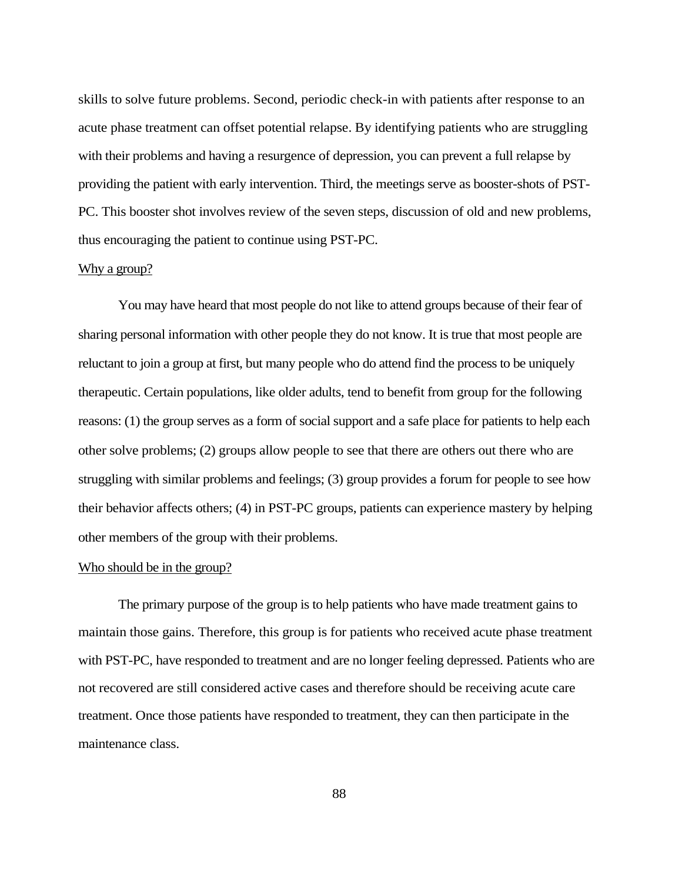skills to solve future problems. Second, periodic check-in with patients after response to an acute phase treatment can offset potential relapse. By identifying patients who are struggling with their problems and having a resurgence of depression, you can prevent a full relapse by providing the patient with early intervention. Third, the meetings serve as booster-shots of PST-PC. This booster shot involves review of the seven steps, discussion of old and new problems, thus encouraging the patient to continue using PST-PC.

## Why a group?

You may have heard that most people do not like to attend groups because of their fear of sharing personal information with other people they do not know. It is true that most people are reluctant to join a group at first, but many people who do attend find the process to be uniquely therapeutic. Certain populations, like older adults, tend to benefit from group for the following reasons: (1) the group serves as a form of social support and a safe place for patients to help each other solve problems; (2) groups allow people to see that there are others out there who are struggling with similar problems and feelings; (3) group provides a forum for people to see how their behavior affects others; (4) in PST-PC groups, patients can experience mastery by helping other members of the group with their problems.

## Who should be in the group?

The primary purpose of the group is to help patients who have made treatment gains to maintain those gains. Therefore, this group is for patients who received acute phase treatment with PST-PC, have responded to treatment and are no longer feeling depressed. Patients who are not recovered are still considered active cases and therefore should be receiving acute care treatment. Once those patients have responded to treatment, they can then participate in the maintenance class.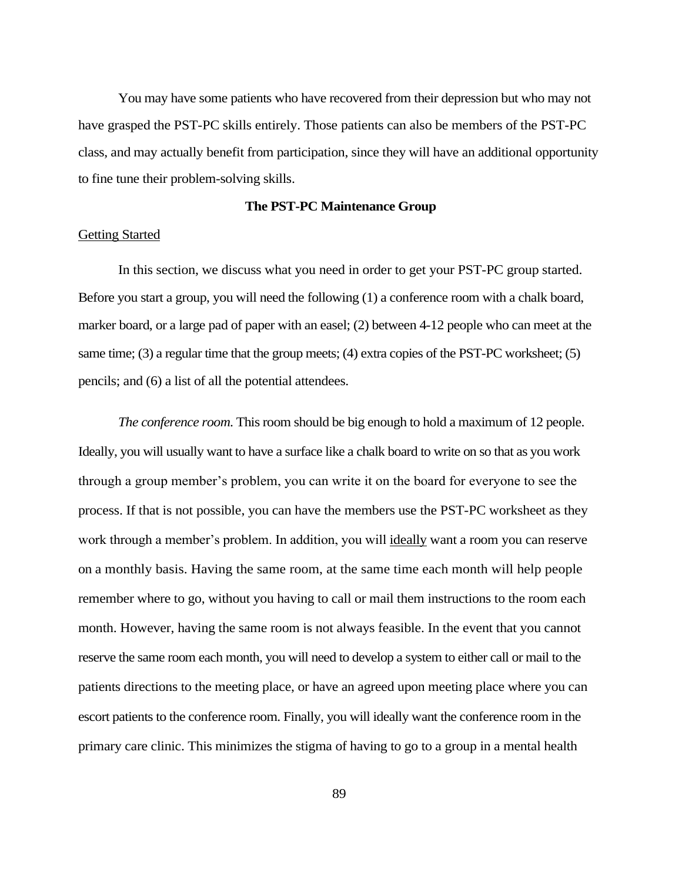You may have some patients who have recovered from their depression but who may not have grasped the PST-PC skills entirely. Those patients can also be members of the PST-PC class, and may actually benefit from participation, since they will have an additional opportunity to fine tune their problem-solving skills.

#### **The PST-PC Maintenance Group**

#### Getting Started

In this section, we discuss what you need in order to get your PST-PC group started. Before you start a group, you will need the following (1) a conference room with a chalk board, marker board, or a large pad of paper with an easel; (2) between 4-12 people who can meet at the same time; (3) a regular time that the group meets; (4) extra copies of the PST-PC worksheet; (5) pencils; and (6) a list of all the potential attendees.

*The conference room*. This room should be big enough to hold a maximum of 12 people. Ideally, you will usually want to have a surface like a chalk board to write on so that as you work through a group member's problem, you can write it on the board for everyone to see the process. If that is not possible, you can have the members use the PST-PC worksheet as they work through a member's problem. In addition, you will ideally want a room you can reserve on a monthly basis. Having the same room, at the same time each month will help people remember where to go, without you having to call or mail them instructions to the room each month. However, having the same room is not always feasible. In the event that you cannot reserve the same room each month, you will need to develop a system to either call or mail to the patients directions to the meeting place, or have an agreed upon meeting place where you can escort patients to the conference room. Finally, you will ideally want the conference room in the primary care clinic. This minimizes the stigma of having to go to a group in a mental health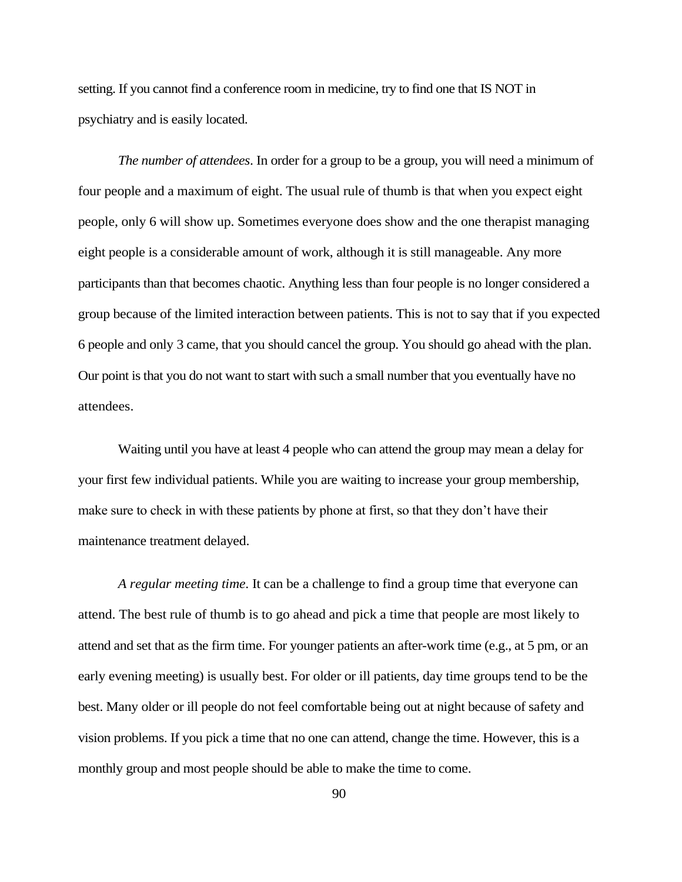setting. If you cannot find a conference room in medicine, try to find one that IS NOT in psychiatry and is easily located.

*The number of attendees*. In order for a group to be a group, you will need a minimum of four people and a maximum of eight. The usual rule of thumb is that when you expect eight people, only 6 will show up. Sometimes everyone does show and the one therapist managing eight people is a considerable amount of work, although it is still manageable. Any more participants than that becomes chaotic. Anything less than four people is no longer considered a group because of the limited interaction between patients. This is not to say that if you expected 6 people and only 3 came, that you should cancel the group. You should go ahead with the plan. Our point is that you do not want to start with such a small number that you eventually have no attendees.

Waiting until you have at least 4 people who can attend the group may mean a delay for your first few individual patients. While you are waiting to increase your group membership, make sure to check in with these patients by phone at first, so that they don't have their maintenance treatment delayed.

*A regular meeting time*. It can be a challenge to find a group time that everyone can attend. The best rule of thumb is to go ahead and pick a time that people are most likely to attend and set that as the firm time. For younger patients an after-work time (e.g., at 5 pm, or an early evening meeting) is usually best. For older or ill patients, day time groups tend to be the best. Many older or ill people do not feel comfortable being out at night because of safety and vision problems. If you pick a time that no one can attend, change the time. However, this is a monthly group and most people should be able to make the time to come.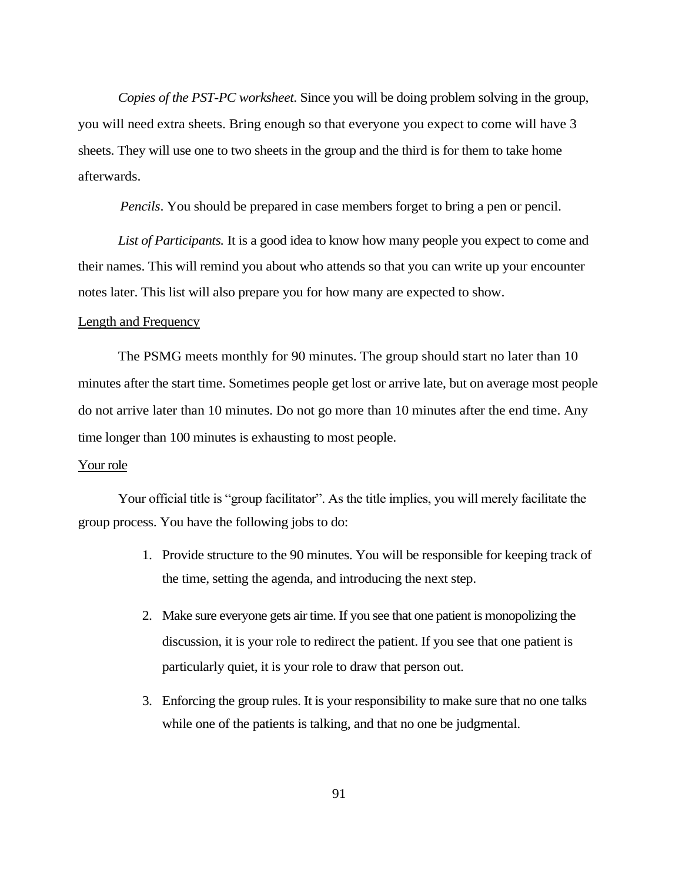*Copies of the PST-PC worksheet*. Since you will be doing problem solving in the group, you will need extra sheets. Bring enough so that everyone you expect to come will have 3 sheets. They will use one to two sheets in the group and the third is for them to take home afterwards.

*Pencils*. You should be prepared in case members forget to bring a pen or pencil.

*List of Participants.* It is a good idea to know how many people you expect to come and their names. This will remind you about who attends so that you can write up your encounter notes later. This list will also prepare you for how many are expected to show.

#### Length and Frequency

The PSMG meets monthly for 90 minutes. The group should start no later than 10 minutes after the start time. Sometimes people get lost or arrive late, but on average most people do not arrive later than 10 minutes. Do not go more than 10 minutes after the end time. Any time longer than 100 minutes is exhausting to most people.

## Your role

Your official title is "group facilitator". As the title implies, you will merely facilitate the group process. You have the following jobs to do:

- 1. Provide structure to the 90 minutes. You will be responsible for keeping track of the time, setting the agenda, and introducing the next step.
- 2. Make sure everyone gets air time. If you see that one patient is monopolizing the discussion, it is your role to redirect the patient. If you see that one patient is particularly quiet, it is your role to draw that person out.
- 3. Enforcing the group rules. It is your responsibility to make sure that no one talks while one of the patients is talking, and that no one be judgmental.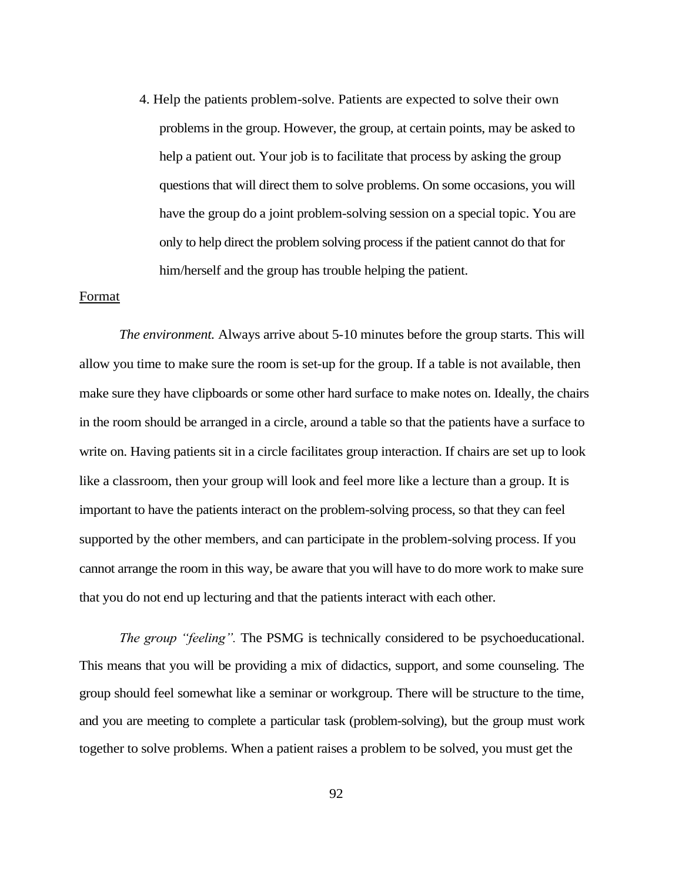4. Help the patients problem-solve. Patients are expected to solve their own problems in the group. However, the group, at certain points, may be asked to help a patient out. Your job is to facilitate that process by asking the group questions that will direct them to solve problems. On some occasions, you will have the group do a joint problem-solving session on a special topic. You are only to help direct the problem solving process if the patient cannot do that for him/herself and the group has trouble helping the patient.

#### Format

*The environment.* Always arrive about 5-10 minutes before the group starts. This will allow you time to make sure the room is set-up for the group. If a table is not available, then make sure they have clipboards or some other hard surface to make notes on. Ideally, the chairs in the room should be arranged in a circle, around a table so that the patients have a surface to write on. Having patients sit in a circle facilitates group interaction. If chairs are set up to look like a classroom, then your group will look and feel more like a lecture than a group. It is important to have the patients interact on the problem-solving process, so that they can feel supported by the other members, and can participate in the problem-solving process. If you cannot arrange the room in this way, be aware that you will have to do more work to make sure that you do not end up lecturing and that the patients interact with each other.

*The group "feeling".* The PSMG is technically considered to be psychoeducational. This means that you will be providing a mix of didactics, support, and some counseling. The group should feel somewhat like a seminar or workgroup. There will be structure to the time, and you are meeting to complete a particular task (problem-solving), but the group must work together to solve problems. When a patient raises a problem to be solved, you must get the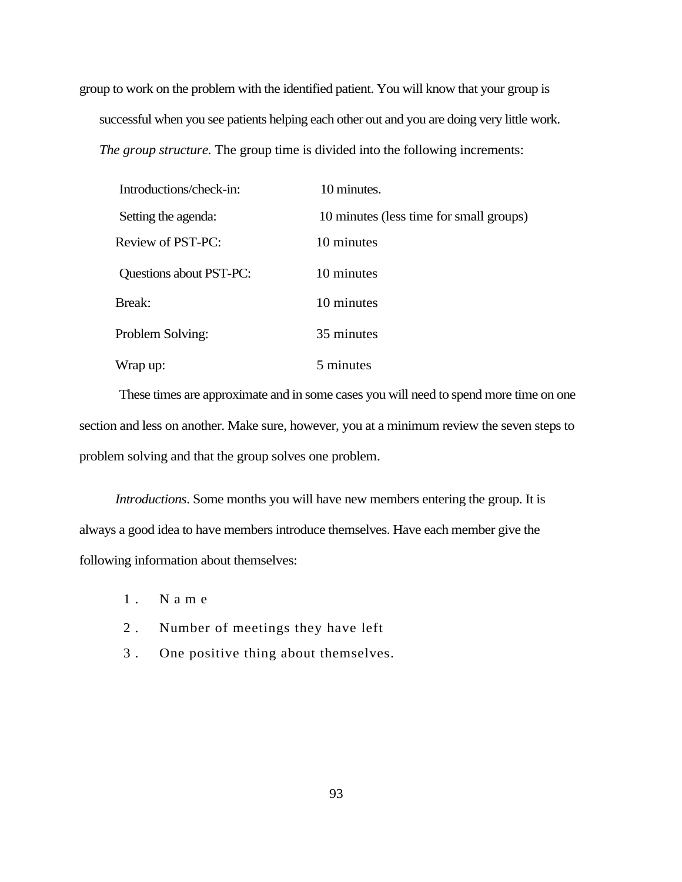group to work on the problem with the identified patient. You will know that your group is successful when you see patients helping each other out and you are doing very little work. *The group structure.* The group time is divided into the following increments:

| Introductions/check-in: | 10 minutes.                             |
|-------------------------|-----------------------------------------|
| Setting the agenda:     | 10 minutes (less time for small groups) |
| Review of PST-PC:       | 10 minutes                              |
| Questions about PST-PC: | 10 minutes                              |
| Break:                  | 10 minutes                              |
| Problem Solving:        | 35 minutes                              |
| Wrap up:                | 5 minutes                               |

These times are approximate and in some cases you will need to spend more time on one section and less on another. Make sure, however, you at a minimum review the seven steps to problem solving and that the group solves one problem.

*Introductions*. Some months you will have new members entering the group. It is always a good idea to have members introduce themselves. Have each member give the following information about themselves:

- 1 . N a m e
- 2 . Number of meetings they have left
- 3 . One positive thing about themselves.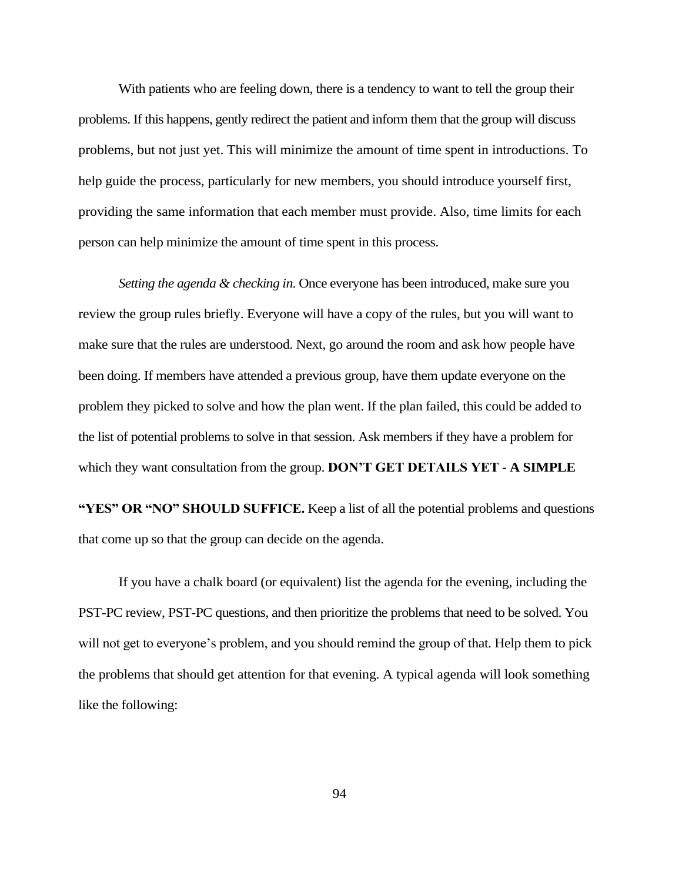With patients who are feeling down, there is a tendency to want to tell the group their problems. If this happens, gently redirect the patient and inform them that the group will discuss problems, but not just yet. This will minimize the amount of time spent in introductions. To help guide the process, particularly for new members, you should introduce yourself first, providing the same information that each member must provide. Also, time limits for each person can help minimize the amount of time spent in this process.

*Setting the agenda & checking in*. Once everyone has been introduced, make sure you review the group rules briefly. Everyone will have a copy of the rules, but you will want to make sure that the rules are understood. Next, go around the room and ask how people have been doing. If members have attended a previous group, have them update everyone on the problem they picked to solve and how the plan went. If the plan failed, this could be added to the list of potential problems to solve in that session. Ask members if they have a problem for which they want consultation from the group. **DON'T GET DETAILS YET - A SIMPLE**

**"YES" OR "NO" SHOULD SUFFICE.** Keep a list of all the potential problems and questions that come up so that the group can decide on the agenda.

If you have a chalk board (or equivalent) list the agenda for the evening, including the PST-PC review, PST-PC questions, and then prioritize the problems that need to be solved. You will not get to everyone's problem, and you should remind the group of that. Help them to pick the problems that should get attention for that evening. A typical agenda will look something like the following: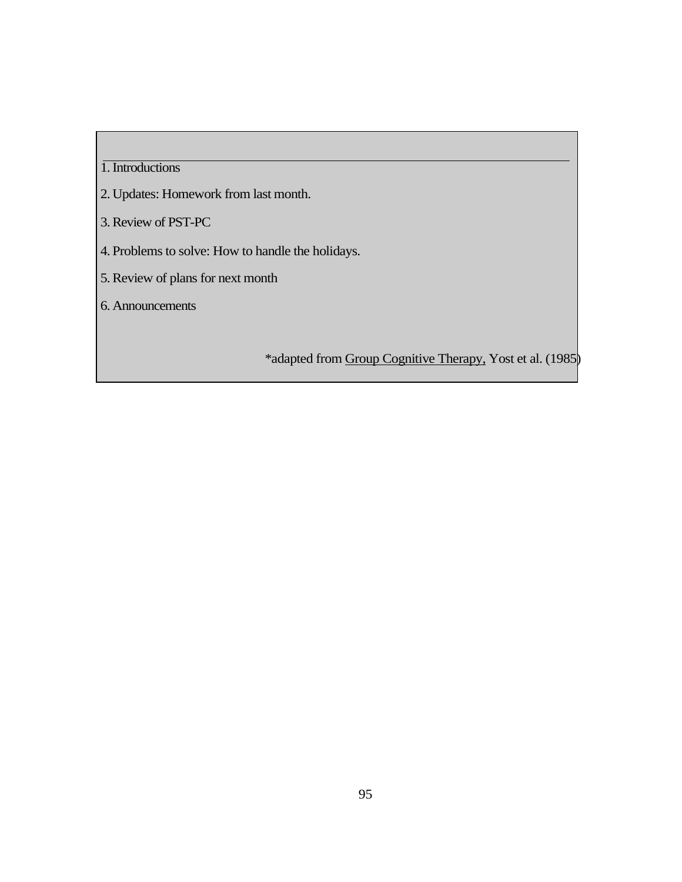## 1.Introductions

- 2. Updates: Homework from last month.
- 3.Review of PST-PC
- 4. Problems to solve: How to handle the holidays.
- 5.Review of plans for next month
- 6. Announcements

\*adapted from Group Cognitive Therapy, Yost et al. (1985)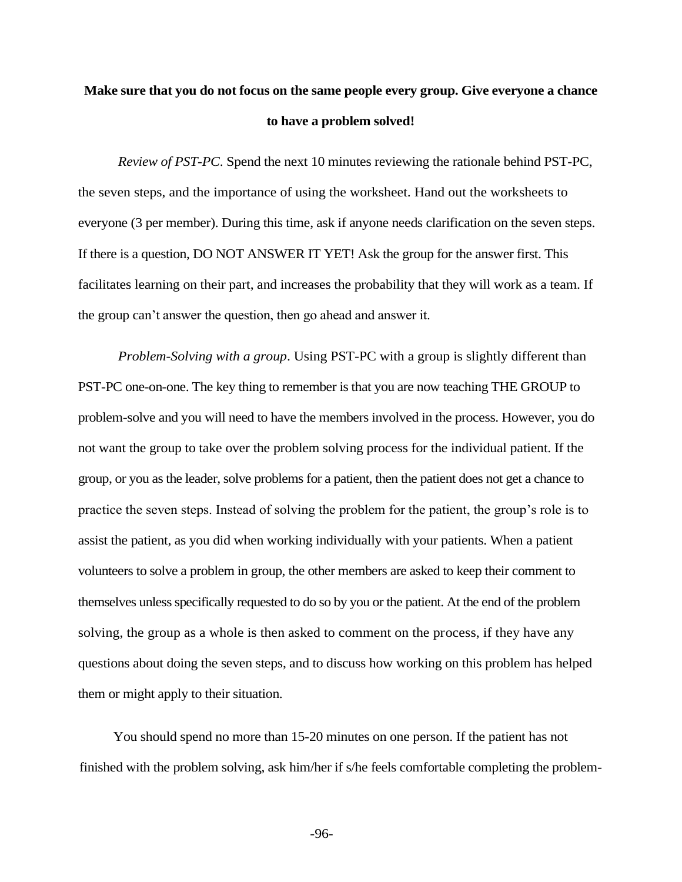# **Make sure that you do not focus on the same people every group. Give everyone a chance to have a problem solved!**

*Review of PST-PC*. Spend the next 10 minutes reviewing the rationale behind PST-PC, the seven steps, and the importance of using the worksheet. Hand out the worksheets to everyone (3 per member). During this time, ask if anyone needs clarification on the seven steps. If there is a question, DO NOT ANSWER IT YET! Ask the group for the answer first. This facilitates learning on their part, and increases the probability that they will work as a team. If the group can't answer the question, then go ahead and answer it.

*Problem-Solving with a group*. Using PST-PC with a group is slightly different than PST-PC one-on-one. The key thing to remember is that you are now teaching THE GROUP to problem-solve and you will need to have the members involved in the process. However, you do not want the group to take over the problem solving process for the individual patient. If the group, or you as the leader, solve problems for a patient, then the patient does not get a chance to practice the seven steps. Instead of solving the problem for the patient, the group's role is to assist the patient, as you did when working individually with your patients. When a patient volunteers to solve a problem in group, the other members are asked to keep their comment to themselves unless specifically requested to do so by you or the patient. At the end of the problem solving, the group as a whole is then asked to comment on the process, if they have any questions about doing the seven steps, and to discuss how working on this problem has helped them or might apply to their situation.

You should spend no more than 15-20 minutes on one person. If the patient has not finished with the problem solving, ask him/her if s/he feels comfortable completing the problem-

-96-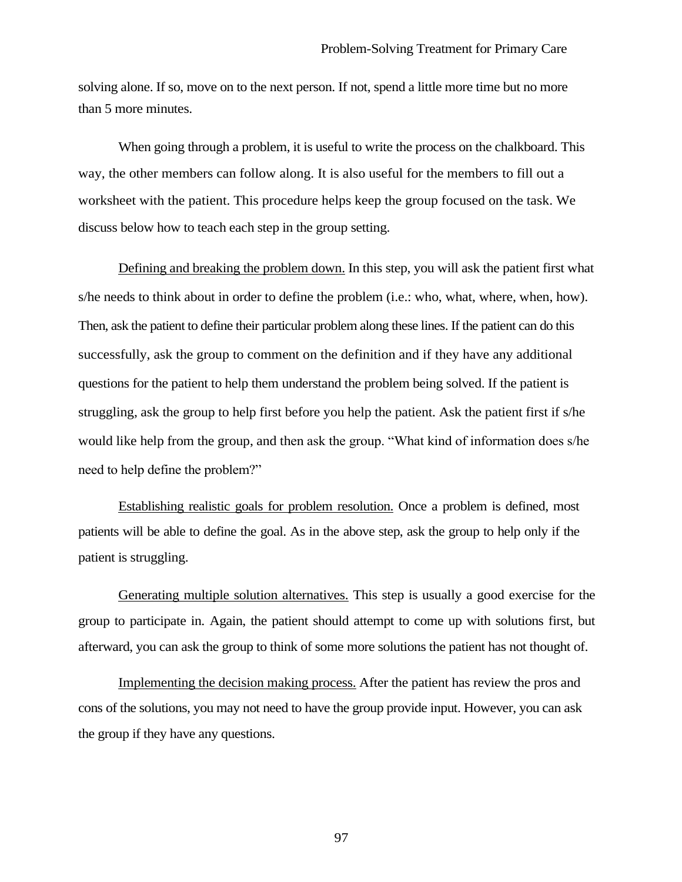solving alone. If so, move on to the next person. If not, spend a little more time but no more than 5 more minutes.

When going through a problem, it is useful to write the process on the chalkboard. This way, the other members can follow along. It is also useful for the members to fill out a worksheet with the patient. This procedure helps keep the group focused on the task. We discuss below how to teach each step in the group setting.

Defining and breaking the problem down. In this step, you will ask the patient first what s/he needs to think about in order to define the problem (i.e.: who, what, where, when, how). Then, ask the patient to define their particular problem along these lines. If the patient can do this successfully, ask the group to comment on the definition and if they have any additional questions for the patient to help them understand the problem being solved. If the patient is struggling, ask the group to help first before you help the patient. Ask the patient first if s/he would like help from the group, and then ask the group. "What kind of information does s/he need to help define the problem?"

Establishing realistic goals for problem resolution. Once a problem is defined, most patients will be able to define the goal. As in the above step, ask the group to help only if the patient is struggling.

Generating multiple solution alternatives. This step is usually a good exercise for the group to participate in. Again, the patient should attempt to come up with solutions first, but afterward, you can ask the group to think of some more solutions the patient has not thought of.

Implementing the decision making process. After the patient has review the pros and cons of the solutions, you may not need to have the group provide input. However, you can ask the group if they have any questions.

97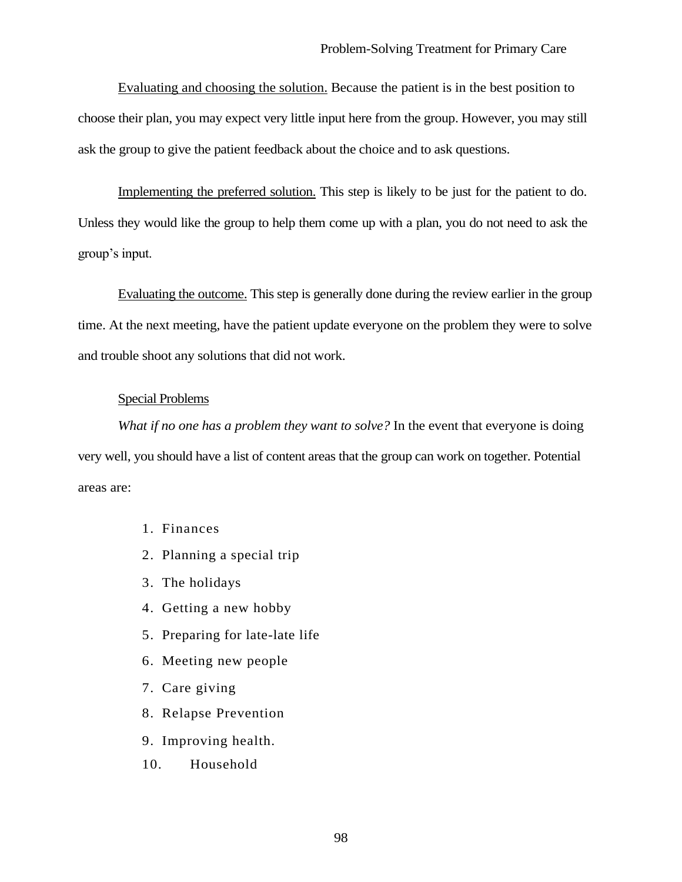Evaluating and choosing the solution. Because the patient is in the best position to choose their plan, you may expect very little input here from the group. However, you may still ask the group to give the patient feedback about the choice and to ask questions.

Implementing the preferred solution. This step is likely to be just for the patient to do. Unless they would like the group to help them come up with a plan, you do not need to ask the group's input.

Evaluating the outcome. This step is generally done during the review earlier in the group time. At the next meeting, have the patient update everyone on the problem they were to solve and trouble shoot any solutions that did not work.

## Special Problems

*What if no one has a problem they want to solve?* In the event that everyone is doing very well, you should have a list of content areas that the group can work on together. Potential areas are:

- 1. Finances
- 2. Planning a special trip
- 3. The holidays
- 4. Getting a new hobby
- 5. Preparing for late-late life
- 6. Meeting new people
- 7. Care giving
- 8. Relapse Prevention
- 9. Improving health.
- 10. Household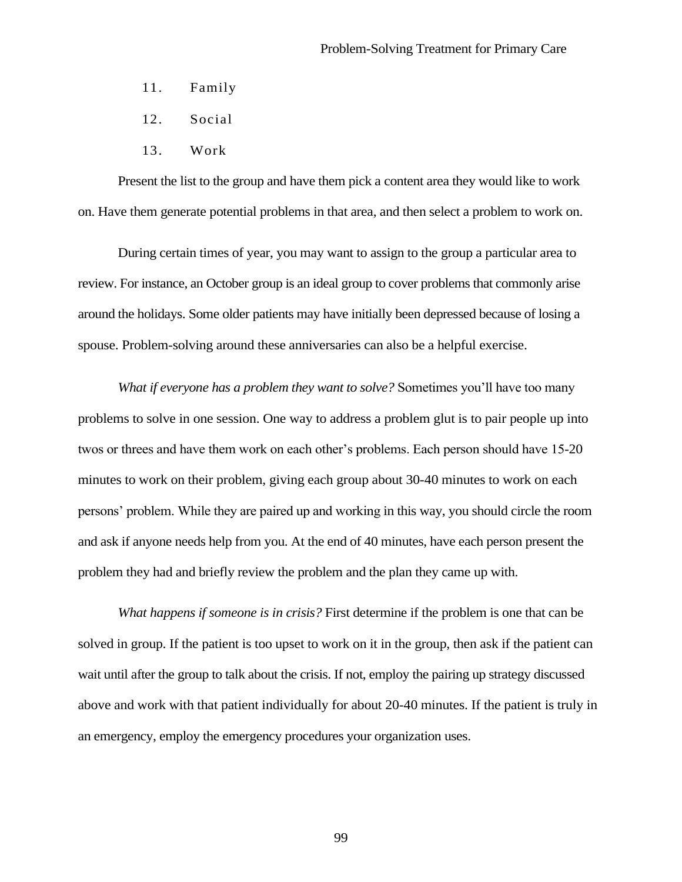- 11. Family
- 12. Social
- 13. Work

Present the list to the group and have them pick a content area they would like to work on. Have them generate potential problems in that area, and then select a problem to work on.

During certain times of year, you may want to assign to the group a particular area to review. For instance, an October group is an ideal group to cover problems that commonly arise around the holidays. Some older patients may have initially been depressed because of losing a spouse. Problem-solving around these anniversaries can also be a helpful exercise.

*What if everyone has a problem they want to solve?* Sometimes you'll have too many problems to solve in one session. One way to address a problem glut is to pair people up into twos or threes and have them work on each other's problems. Each person should have 15-20 minutes to work on their problem, giving each group about 30-40 minutes to work on each persons' problem. While they are paired up and working in this way, you should circle the room and ask if anyone needs help from you. At the end of 40 minutes, have each person present the problem they had and briefly review the problem and the plan they came up with.

*What happens if someone is in crisis?* First determine if the problem is one that can be solved in group. If the patient is too upset to work on it in the group, then ask if the patient can wait until after the group to talk about the crisis. If not, employ the pairing up strategy discussed above and work with that patient individually for about 20-40 minutes. If the patient is truly in an emergency, employ the emergency procedures your organization uses.

99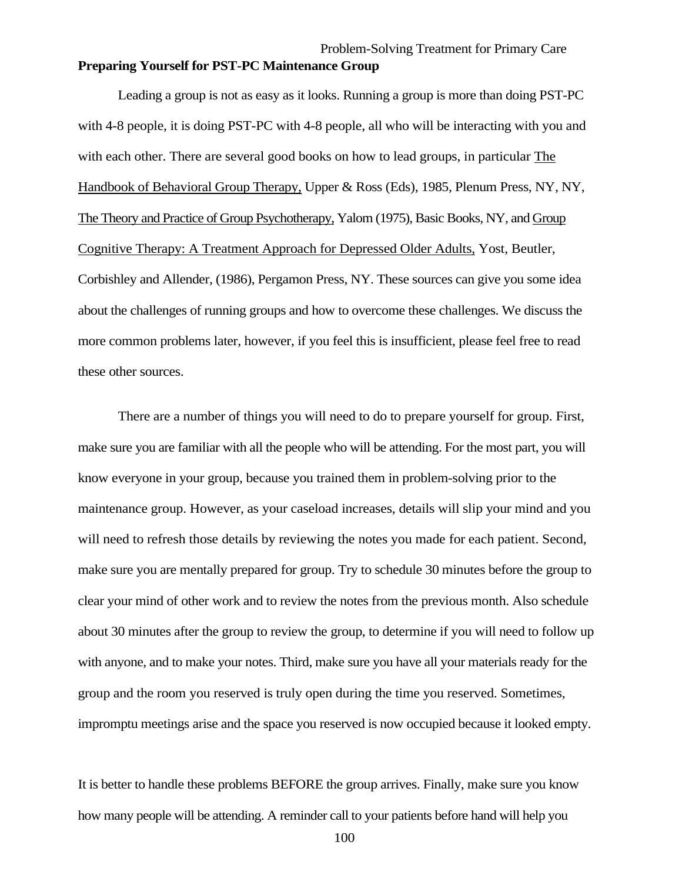# Problem-Solving Treatment for Primary Care **Preparing Yourself for PST-PC Maintenance Group**

Leading a group is not as easy as it looks. Running a group is more than doing PST-PC with 4-8 people, it is doing PST-PC with 4-8 people, all who will be interacting with you and with each other. There are several good books on how to lead groups, in particular The Handbook of Behavioral Group Therapy, Upper & Ross (Eds), 1985, Plenum Press, NY, NY, The Theory and Practice of Group Psychotherapy, Yalom (1975), Basic Books, NY, and Group Cognitive Therapy: A Treatment Approach for Depressed Older Adults, Yost, Beutler, Corbishley and Allender, (1986), Pergamon Press, NY. These sources can give you some idea about the challenges of running groups and how to overcome these challenges. We discuss the more common problems later, however, if you feel this is insufficient, please feel free to read these other sources.

There are a number of things you will need to do to prepare yourself for group. First, make sure you are familiar with all the people who will be attending. For the most part, you will know everyone in your group, because you trained them in problem-solving prior to the maintenance group. However, as your caseload increases, details will slip your mind and you will need to refresh those details by reviewing the notes you made for each patient. Second, make sure you are mentally prepared for group. Try to schedule 30 minutes before the group to clear your mind of other work and to review the notes from the previous month. Also schedule about 30 minutes after the group to review the group, to determine if you will need to follow up with anyone, and to make your notes. Third, make sure you have all your materials ready for the group and the room you reserved is truly open during the time you reserved. Sometimes, impromptu meetings arise and the space you reserved is now occupied because it looked empty.

It is better to handle these problems BEFORE the group arrives. Finally, make sure you know how many people will be attending. A reminder call to your patients before hand will help you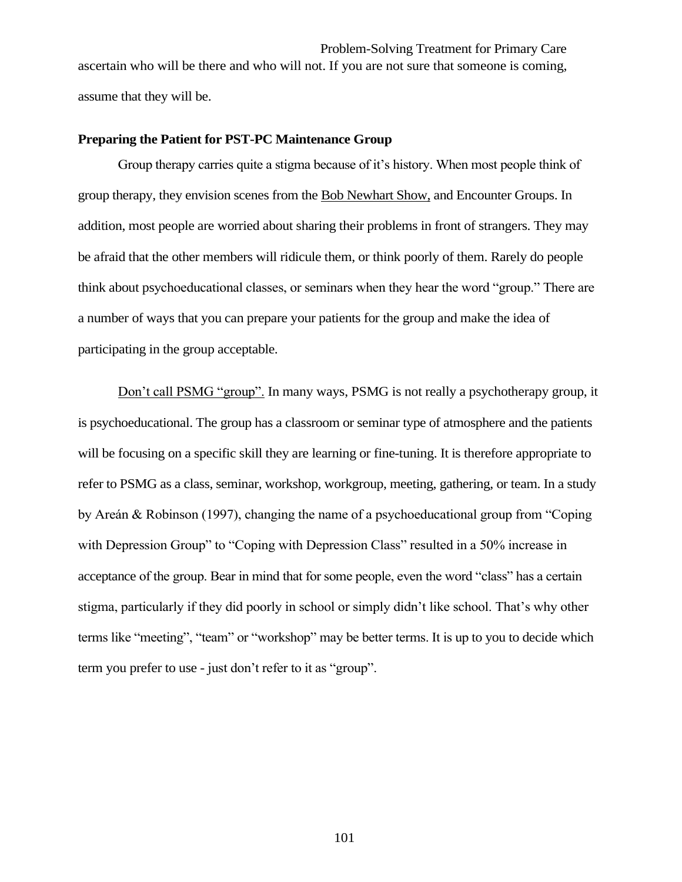Problem-Solving Treatment for Primary Care ascertain who will be there and who will not. If you are not sure that someone is coming, assume that they will be.

#### **Preparing the Patient for PST-PC Maintenance Group**

Group therapy carries quite a stigma because of it's history. When most people think of group therapy, they envision scenes from the Bob Newhart Show, and Encounter Groups. In addition, most people are worried about sharing their problems in front of strangers. They may be afraid that the other members will ridicule them, or think poorly of them. Rarely do people think about psychoeducational classes, or seminars when they hear the word "group." There are a number of ways that you can prepare your patients for the group and make the idea of participating in the group acceptable.

Don't call PSMG "group". In many ways, PSMG is not really a psychotherapy group, it is psychoeducational. The group has a classroom or seminar type of atmosphere and the patients will be focusing on a specific skill they are learning or fine-tuning. It is therefore appropriate to refer to PSMG as a class, seminar, workshop, workgroup, meeting, gathering, or team. In a study by Areán & Robinson (1997), changing the name of a psychoeducational group from "Coping with Depression Group" to "Coping with Depression Class" resulted in a 50% increase in acceptance of the group. Bear in mind that for some people, even the word "class" has a certain stigma, particularly if they did poorly in school or simply didn't like school. That's why other terms like "meeting", "team" or "workshop" may be better terms. It is up to you to decide which term you prefer to use - just don't refer to it as "group".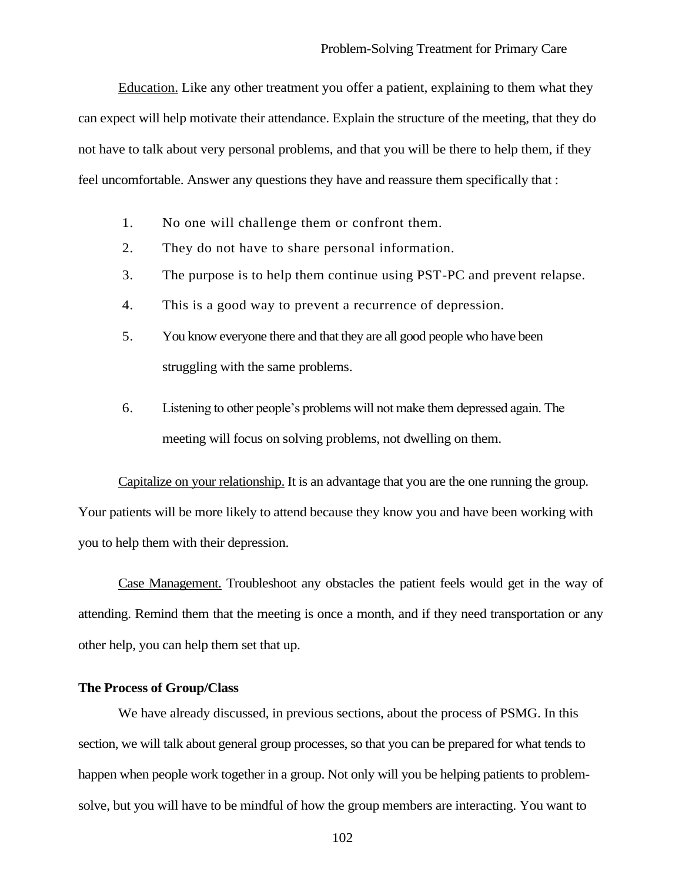Education. Like any other treatment you offer a patient, explaining to them what they can expect will help motivate their attendance. Explain the structure of the meeting, that they do not have to talk about very personal problems, and that you will be there to help them, if they feel uncomfortable. Answer any questions they have and reassure them specifically that :

- 1. No one will challenge them or confront them.
- 2. They do not have to share personal information.
- 3. The purpose is to help them continue using PST-PC and prevent relapse.
- 4. This is a good way to prevent a recurrence of depression.
- 5. You know everyone there and that they are all good people who have been struggling with the same problems.
- 6. Listening to other people's problems will not make them depressed again. The meeting will focus on solving problems, not dwelling on them.

Capitalize on your relationship. It is an advantage that you are the one running the group. Your patients will be more likely to attend because they know you and have been working with you to help them with their depression.

Case Management. Troubleshoot any obstacles the patient feels would get in the way of attending. Remind them that the meeting is once a month, and if they need transportation or any other help, you can help them set that up.

## **The Process of Group/Class**

We have already discussed, in previous sections, about the process of PSMG. In this section, we will talk about general group processes, so that you can be prepared for what tends to happen when people work together in a group. Not only will you be helping patients to problemsolve, but you will have to be mindful of how the group members are interacting. You want to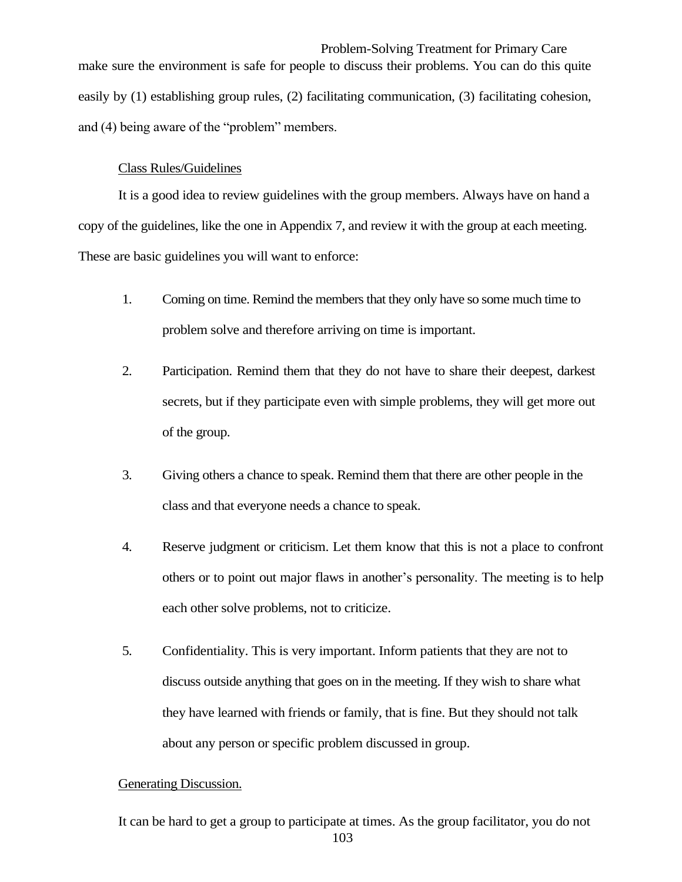Problem-Solving Treatment for Primary Care make sure the environment is safe for people to discuss their problems. You can do this quite easily by (1) establishing group rules, (2) facilitating communication, (3) facilitating cohesion, and (4) being aware of the "problem" members.

## Class Rules/Guidelines

It is a good idea to review guidelines with the group members. Always have on hand a copy of the guidelines, like the one in Appendix 7, and review it with the group at each meeting. These are basic guidelines you will want to enforce:

- 1. Coming on time. Remind the members that they only have so some much time to problem solve and therefore arriving on time is important.
- 2. Participation. Remind them that they do not have to share their deepest, darkest secrets, but if they participate even with simple problems, they will get more out of the group.
- 3. Giving others a chance to speak. Remind them that there are other people in the class and that everyone needs a chance to speak.
- 4. Reserve judgment or criticism. Let them know that this is not a place to confront others or to point out major flaws in another's personality. The meeting is to help each other solve problems, not to criticize.
- 5. Confidentiality. This is very important. Inform patients that they are not to discuss outside anything that goes on in the meeting. If they wish to share what they have learned with friends or family, that is fine. But they should not talk about any person or specific problem discussed in group.

## Generating Discussion.

103 It can be hard to get a group to participate at times. As the group facilitator, you do not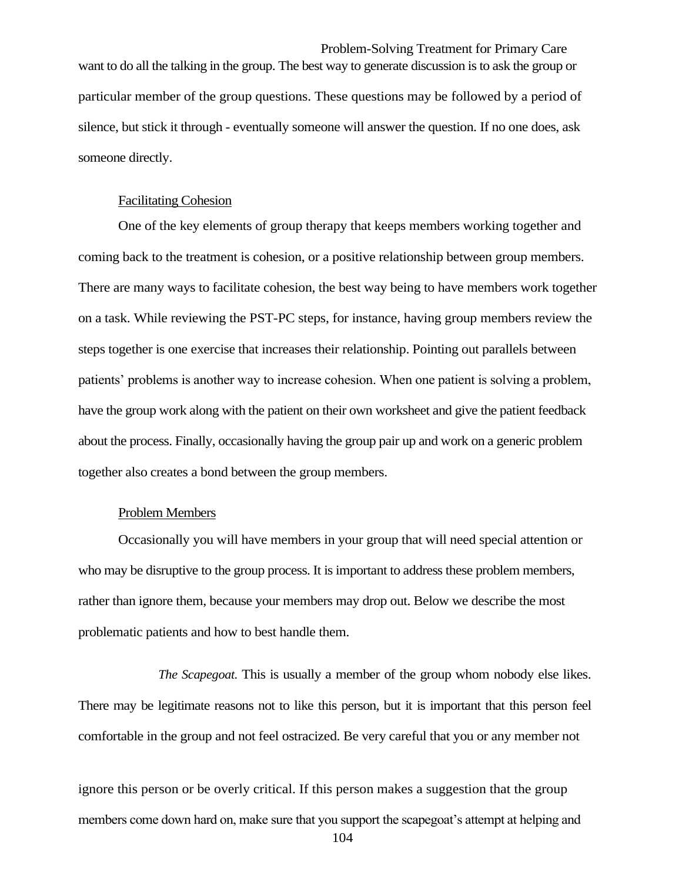Problem-Solving Treatment for Primary Care want to do all the talking in the group. The best way to generate discussion is to ask the group or particular member of the group questions. These questions may be followed by a period of silence, but stick it through - eventually someone will answer the question. If no one does, ask someone directly.

#### Facilitating Cohesion

One of the key elements of group therapy that keeps members working together and coming back to the treatment is cohesion, or a positive relationship between group members. There are many ways to facilitate cohesion, the best way being to have members work together on a task. While reviewing the PST-PC steps, for instance, having group members review the steps together is one exercise that increases their relationship. Pointing out parallels between patients' problems is another way to increase cohesion. When one patient is solving a problem, have the group work along with the patient on their own worksheet and give the patient feedback about the process. Finally, occasionally having the group pair up and work on a generic problem together also creates a bond between the group members.

## Problem Members

Occasionally you will have members in your group that will need special attention or who may be disruptive to the group process. It is important to address these problem members, rather than ignore them, because your members may drop out. Below we describe the most problematic patients and how to best handle them.

*The Scapegoat.* This is usually a member of the group whom nobody else likes. There may be legitimate reasons not to like this person, but it is important that this person feel comfortable in the group and not feel ostracized. Be very careful that you or any member not

ignore this person or be overly critical. If this person makes a suggestion that the group members come down hard on, make sure that you support the scapegoat's attempt at helping and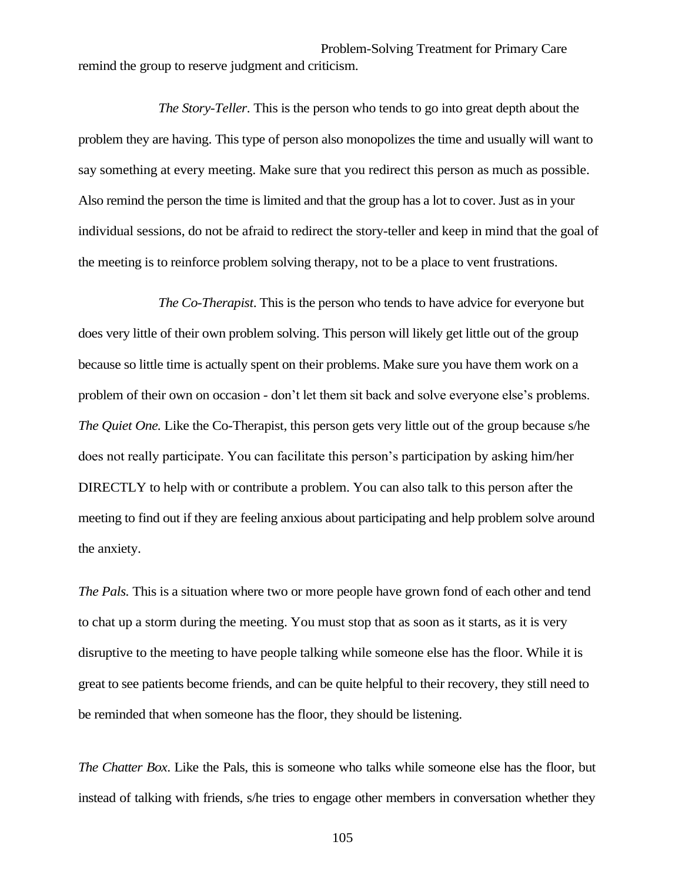Problem-Solving Treatment for Primary Care remind the group to reserve judgment and criticism.

*The Story-Teller.* This is the person who tends to go into great depth about the problem they are having. This type of person also monopolizes the time and usually will want to say something at every meeting. Make sure that you redirect this person as much as possible. Also remind the person the time is limited and that the group has a lot to cover. Just as in your individual sessions, do not be afraid to redirect the story-teller and keep in mind that the goal of the meeting is to reinforce problem solving therapy, not to be a place to vent frustrations.

*The Co-Therapist*. This is the person who tends to have advice for everyone but does very little of their own problem solving. This person will likely get little out of the group because so little time is actually spent on their problems. Make sure you have them work on a problem of their own on occasion - don't let them sit back and solve everyone else's problems. *The Quiet One.* Like the Co-Therapist, this person gets very little out of the group because s/he does not really participate. You can facilitate this person's participation by asking him/her DIRECTLY to help with or contribute a problem. You can also talk to this person after the meeting to find out if they are feeling anxious about participating and help problem solve around the anxiety.

*The Pals.* This is a situation where two or more people have grown fond of each other and tend to chat up a storm during the meeting. You must stop that as soon as it starts, as it is very disruptive to the meeting to have people talking while someone else has the floor. While it is great to see patients become friends, and can be quite helpful to their recovery, they still need to be reminded that when someone has the floor, they should be listening.

*The Chatter Box*. Like the Pals, this is someone who talks while someone else has the floor, but instead of talking with friends, s/he tries to engage other members in conversation whether they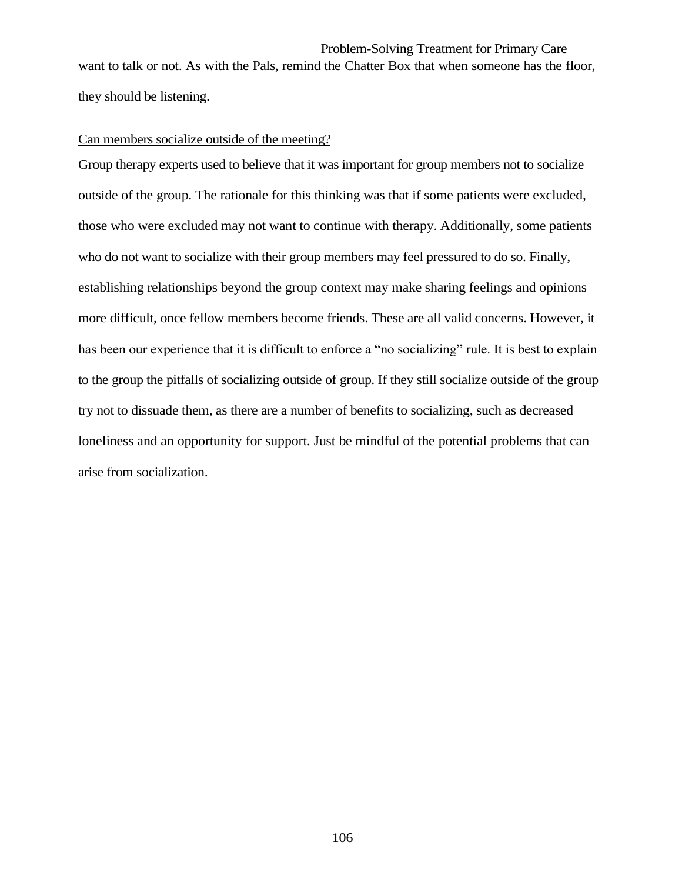Problem-Solving Treatment for Primary Care want to talk or not. As with the Pals, remind the Chatter Box that when someone has the floor, they should be listening.

## Can members socialize outside of the meeting?

Group therapy experts used to believe that it was important for group members not to socialize outside of the group. The rationale for this thinking was that if some patients were excluded, those who were excluded may not want to continue with therapy. Additionally, some patients who do not want to socialize with their group members may feel pressured to do so. Finally, establishing relationships beyond the group context may make sharing feelings and opinions more difficult, once fellow members become friends. These are all valid concerns. However, it has been our experience that it is difficult to enforce a "no socializing" rule. It is best to explain to the group the pitfalls of socializing outside of group. If they still socialize outside of the group try not to dissuade them, as there are a number of benefits to socializing, such as decreased loneliness and an opportunity for support. Just be mindful of the potential problems that can arise from socialization.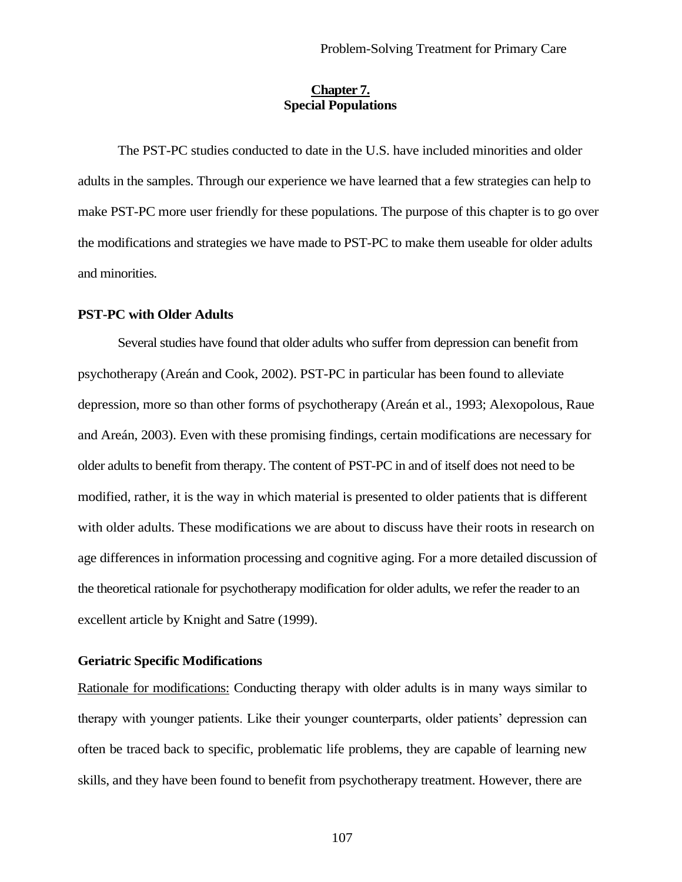## **Chapter 7. Special Populations**

The PST-PC studies conducted to date in the U.S. have included minorities and older adults in the samples. Through our experience we have learned that a few strategies can help to make PST-PC more user friendly for these populations. The purpose of this chapter is to go over the modifications and strategies we have made to PST-PC to make them useable for older adults and minorities.

## **PST-PC with Older Adults**

Several studies have found that older adults who suffer from depression can benefit from psychotherapy (Areán and Cook, 2002). PST-PC in particular has been found to alleviate depression, more so than other forms of psychotherapy (Areán et al., 1993; Alexopolous, Raue and Areán, 2003). Even with these promising findings, certain modifications are necessary for older adults to benefit from therapy. The content of PST-PC in and of itself does not need to be modified, rather, it is the way in which material is presented to older patients that is different with older adults. These modifications we are about to discuss have their roots in research on age differences in information processing and cognitive aging. For a more detailed discussion of the theoretical rationale for psychotherapy modification for older adults, we refer the reader to an excellent article by Knight and Satre (1999).

## **Geriatric Specific Modifications**

Rationale for modifications: Conducting therapy with older adults is in many ways similar to therapy with younger patients. Like their younger counterparts, older patients' depression can often be traced back to specific, problematic life problems, they are capable of learning new skills, and they have been found to benefit from psychotherapy treatment. However, there are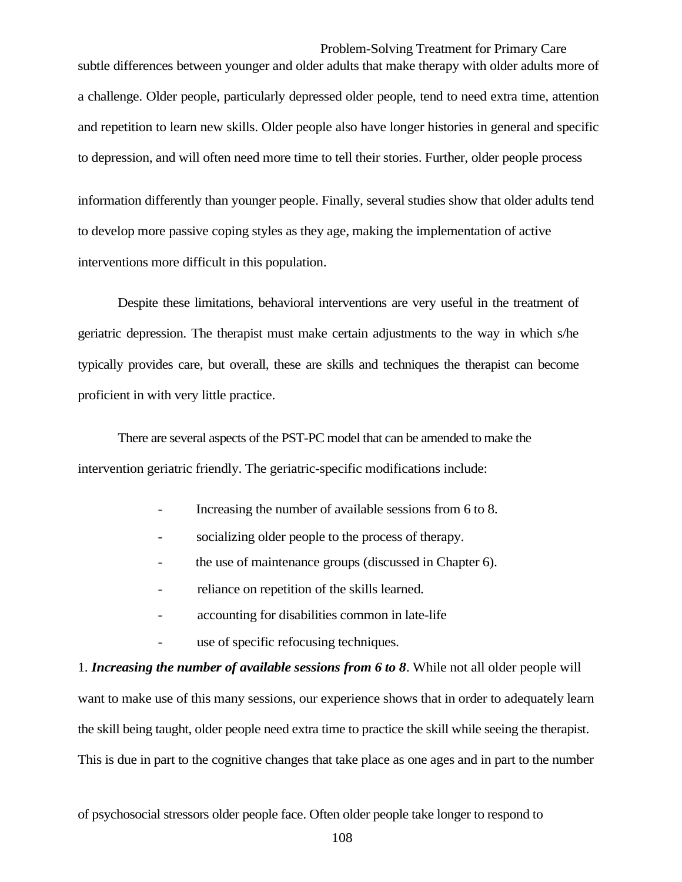Problem-Solving Treatment for Primary Care subtle differences between younger and older adults that make therapy with older adults more of a challenge. Older people, particularly depressed older people, tend to need extra time, attention and repetition to learn new skills. Older people also have longer histories in general and specific to depression, and will often need more time to tell their stories. Further, older people process

information differently than younger people. Finally, several studies show that older adults tend to develop more passive coping styles as they age, making the implementation of active interventions more difficult in this population.

Despite these limitations, behavioral interventions are very useful in the treatment of geriatric depression. The therapist must make certain adjustments to the way in which s/he typically provides care, but overall, these are skills and techniques the therapist can become proficient in with very little practice.

There are several aspects of the PST-PC model that can be amended to make the intervention geriatric friendly. The geriatric-specific modifications include:

- Increasing the number of available sessions from 6 to 8.
- socializing older people to the process of therapy.
- the use of maintenance groups (discussed in Chapter 6).
- reliance on repetition of the skills learned.
- accounting for disabilities common in late-life
- use of specific refocusing techniques.

1. *Increasing the number of available sessions from 6 to 8*. While not all older people will want to make use of this many sessions, our experience shows that in order to adequately learn the skill being taught, older people need extra time to practice the skill while seeing the therapist. This is due in part to the cognitive changes that take place as one ages and in part to the number

of psychosocial stressors older people face. Often older people take longer to respond to

108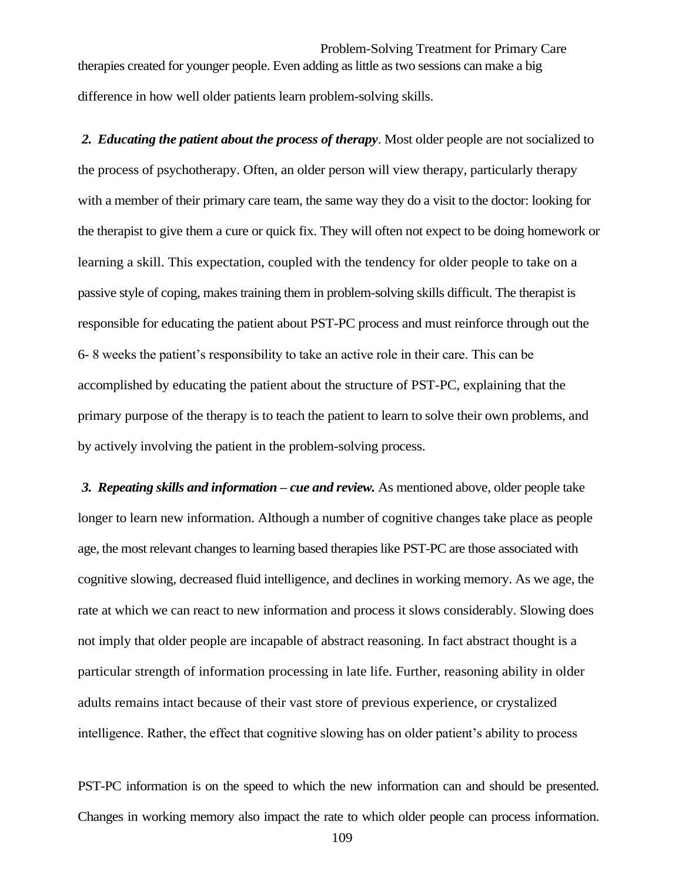Problem-Solving Treatment for Primary Care therapies created for younger people. Even adding as little as two sessions can make a big difference in how well older patients learn problem-solving skills.

*2. Educating the patient about the process of therapy*. Most older people are not socialized to the process of psychotherapy. Often, an older person will view therapy, particularly therapy with a member of their primary care team, the same way they do a visit to the doctor: looking for the therapist to give them a cure or quick fix. They will often not expect to be doing homework or learning a skill. This expectation, coupled with the tendency for older people to take on a passive style of coping, makes training them in problem-solving skills difficult. The therapist is responsible for educating the patient about PST-PC process and must reinforce through out the 6- 8 weeks the patient's responsibility to take an active role in their care. This can be accomplished by educating the patient about the structure of PST-PC, explaining that the primary purpose of the therapy is to teach the patient to learn to solve their own problems, and by actively involving the patient in the problem-solving process.

*3. Repeating skills and information – cue and review.* As mentioned above, older people take longer to learn new information. Although a number of cognitive changes take place as people age, the most relevant changes to learning based therapies like PST-PC are those associated with cognitive slowing, decreased fluid intelligence, and declines in working memory. As we age, the rate at which we can react to new information and process it slows considerably. Slowing does not imply that older people are incapable of abstract reasoning. In fact abstract thought is a particular strength of information processing in late life. Further, reasoning ability in older adults remains intact because of their vast store of previous experience, or crystalized intelligence. Rather, the effect that cognitive slowing has on older patient's ability to process

PST-PC information is on the speed to which the new information can and should be presented. Changes in working memory also impact the rate to which older people can process information.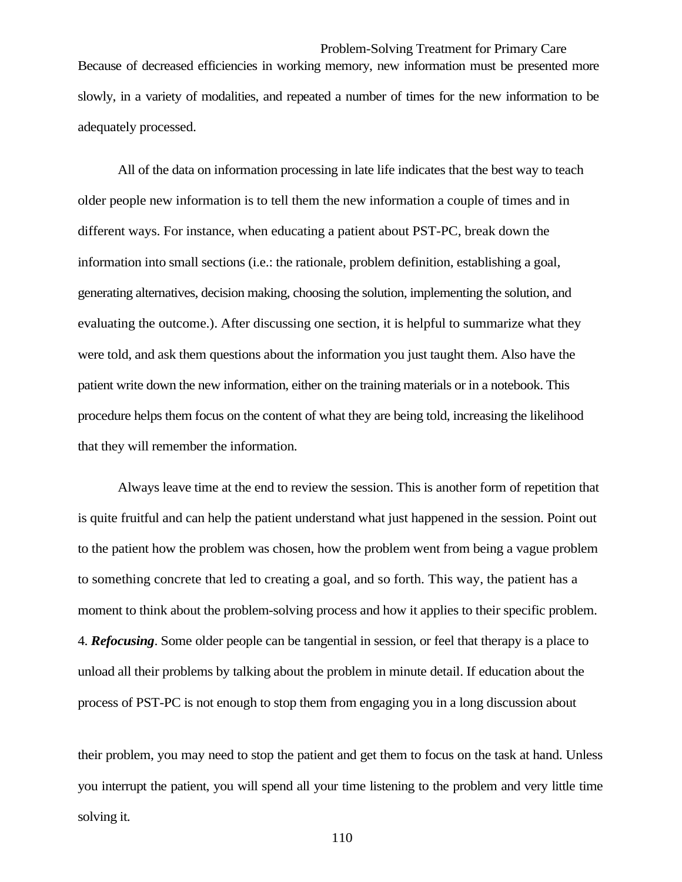Problem-Solving Treatment for Primary Care Because of decreased efficiencies in working memory, new information must be presented more slowly, in a variety of modalities, and repeated a number of times for the new information to be adequately processed.

All of the data on information processing in late life indicates that the best way to teach older people new information is to tell them the new information a couple of times and in different ways. For instance, when educating a patient about PST-PC, break down the information into small sections (i.e.: the rationale, problem definition, establishing a goal, generating alternatives, decision making, choosing the solution, implementing the solution, and evaluating the outcome.). After discussing one section, it is helpful to summarize what they were told, and ask them questions about the information you just taught them. Also have the patient write down the new information, either on the training materials or in a notebook. This procedure helps them focus on the content of what they are being told, increasing the likelihood that they will remember the information.

Always leave time at the end to review the session. This is another form of repetition that is quite fruitful and can help the patient understand what just happened in the session. Point out to the patient how the problem was chosen, how the problem went from being a vague problem to something concrete that led to creating a goal, and so forth. This way, the patient has a moment to think about the problem-solving process and how it applies to their specific problem. 4. *Refocusing*. Some older people can be tangential in session, or feel that therapy is a place to unload all their problems by talking about the problem in minute detail. If education about the process of PST-PC is not enough to stop them from engaging you in a long discussion about

their problem, you may need to stop the patient and get them to focus on the task at hand. Unless you interrupt the patient, you will spend all your time listening to the problem and very little time solving it.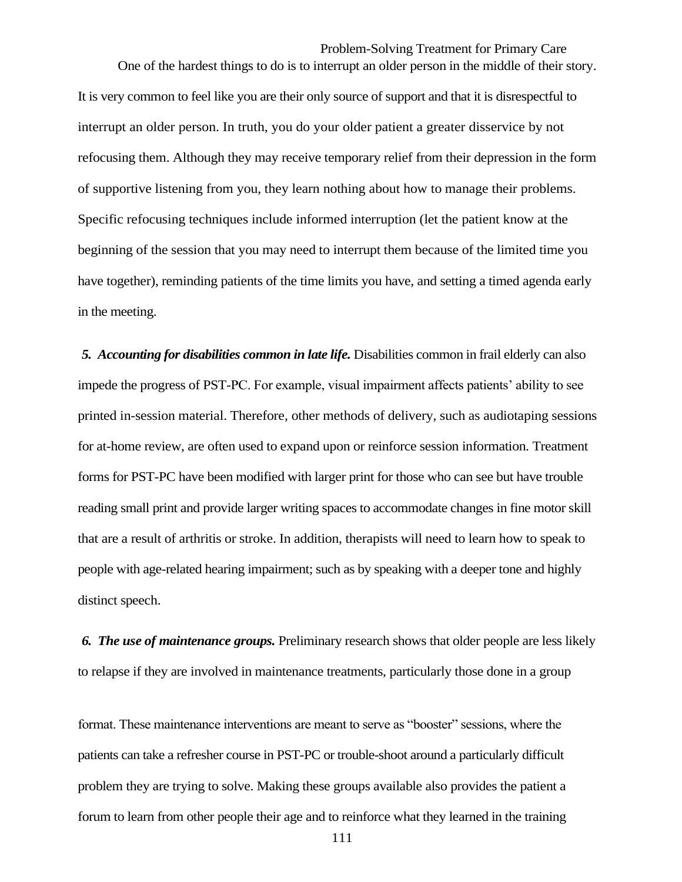Problem-Solving Treatment for Primary Care One of the hardest things to do is to interrupt an older person in the middle of their story. It is very common to feel like you are their only source of support and that it is disrespectful to interrupt an older person. In truth, you do your older patient a greater disservice by not refocusing them. Although they may receive temporary relief from their depression in the form of supportive listening from you, they learn nothing about how to manage their problems. Specific refocusing techniques include informed interruption (let the patient know at the beginning of the session that you may need to interrupt them because of the limited time you have together), reminding patients of the time limits you have, and setting a timed agenda early in the meeting.

*5. Accounting for disabilities common in late life.* Disabilities common in frail elderly can also impede the progress of PST-PC. For example, visual impairment affects patients' ability to see printed in-session material. Therefore, other methods of delivery, such as audiotaping sessions for at-home review, are often used to expand upon or reinforce session information. Treatment forms for PST-PC have been modified with larger print for those who can see but have trouble reading small print and provide larger writing spaces to accommodate changes in fine motor skill that are a result of arthritis or stroke. In addition, therapists will need to learn how to speak to people with age-related hearing impairment; such as by speaking with a deeper tone and highly distinct speech.

*6. The use of maintenance groups.* Preliminary research shows that older people are less likely to relapse if they are involved in maintenance treatments, particularly those done in a group

format. These maintenance interventions are meant to serve as "booster" sessions, where the patients can take a refresher course in PST-PC or trouble-shoot around a particularly difficult problem they are trying to solve. Making these groups available also provides the patient a forum to learn from other people their age and to reinforce what they learned in the training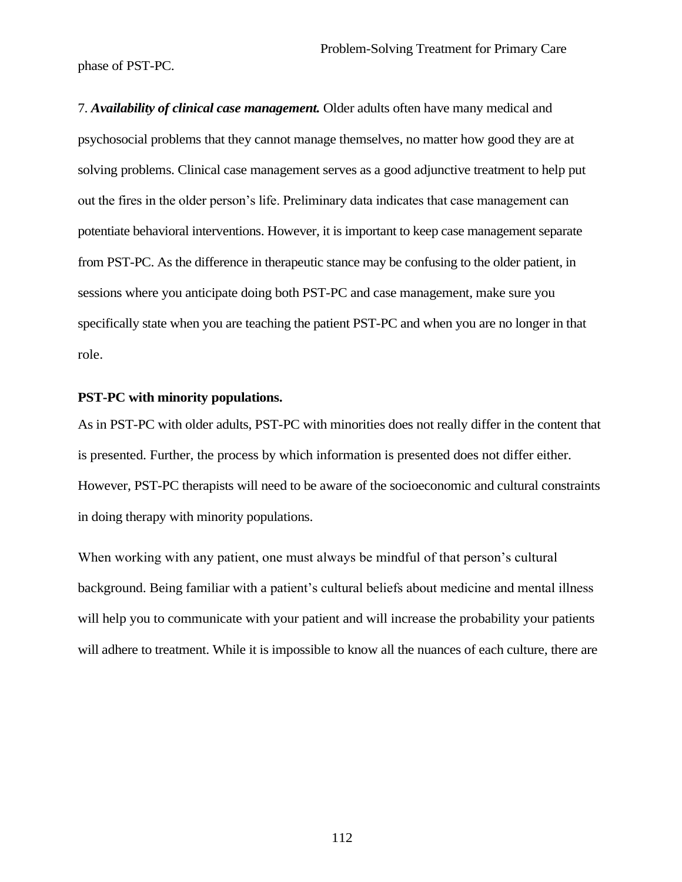phase of PST-PC.

7. *Availability of clinical case management.* Older adults often have many medical and psychosocial problems that they cannot manage themselves, no matter how good they are at solving problems. Clinical case management serves as a good adjunctive treatment to help put out the fires in the older person's life. Preliminary data indicates that case management can potentiate behavioral interventions. However, it is important to keep case management separate from PST-PC. As the difference in therapeutic stance may be confusing to the older patient, in sessions where you anticipate doing both PST-PC and case management, make sure you specifically state when you are teaching the patient PST-PC and when you are no longer in that role.

#### **PST-PC with minority populations.**

As in PST-PC with older adults, PST-PC with minorities does not really differ in the content that is presented. Further, the process by which information is presented does not differ either. However, PST-PC therapists will need to be aware of the socioeconomic and cultural constraints in doing therapy with minority populations.

When working with any patient, one must always be mindful of that person's cultural background. Being familiar with a patient's cultural beliefs about medicine and mental illness will help you to communicate with your patient and will increase the probability your patients will adhere to treatment. While it is impossible to know all the nuances of each culture, there are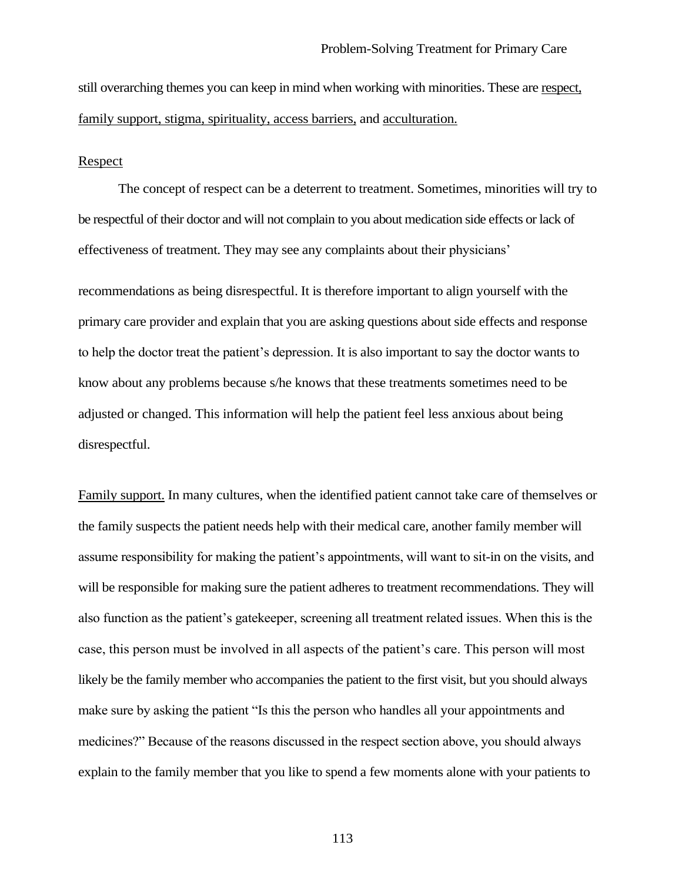still overarching themes you can keep in mind when working with minorities. These are respect, family support, stigma, spirituality, access barriers, and acculturation.

#### Respect

The concept of respect can be a deterrent to treatment. Sometimes, minorities will try to be respectful of their doctor and will not complain to you about medication side effects or lack of effectiveness of treatment. They may see any complaints about their physicians'

recommendations as being disrespectful. It is therefore important to align yourself with the primary care provider and explain that you are asking questions about side effects and response to help the doctor treat the patient's depression. It is also important to say the doctor wants to know about any problems because s/he knows that these treatments sometimes need to be adjusted or changed. This information will help the patient feel less anxious about being disrespectful.

Family support. In many cultures, when the identified patient cannot take care of themselves or the family suspects the patient needs help with their medical care, another family member will assume responsibility for making the patient's appointments, will want to sit-in on the visits, and will be responsible for making sure the patient adheres to treatment recommendations. They will also function as the patient's gatekeeper, screening all treatment related issues. When this is the case, this person must be involved in all aspects of the patient's care. This person will most likely be the family member who accompanies the patient to the first visit, but you should always make sure by asking the patient "Is this the person who handles all your appointments and medicines?" Because of the reasons discussed in the respect section above, you should always explain to the family member that you like to spend a few moments alone with your patients to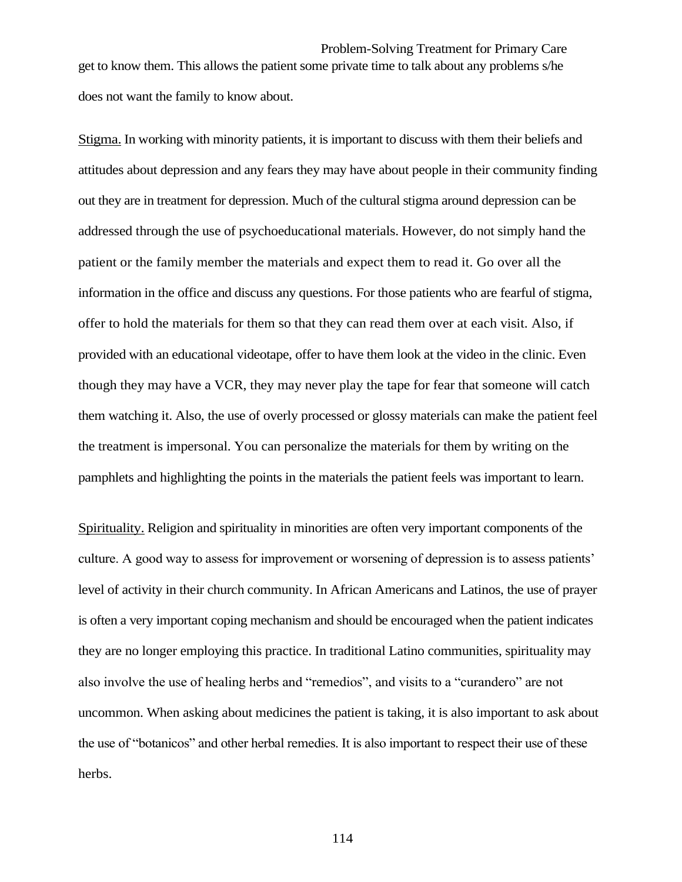Problem-Solving Treatment for Primary Care get to know them. This allows the patient some private time to talk about any problems s/he does not want the family to know about.

Stigma. In working with minority patients, it is important to discuss with them their beliefs and attitudes about depression and any fears they may have about people in their community finding out they are in treatment for depression. Much of the cultural stigma around depression can be addressed through the use of psychoeducational materials. However, do not simply hand the patient or the family member the materials and expect them to read it. Go over all the information in the office and discuss any questions. For those patients who are fearful of stigma, offer to hold the materials for them so that they can read them over at each visit. Also, if provided with an educational videotape, offer to have them look at the video in the clinic. Even though they may have a VCR, they may never play the tape for fear that someone will catch them watching it. Also, the use of overly processed or glossy materials can make the patient feel the treatment is impersonal. You can personalize the materials for them by writing on the pamphlets and highlighting the points in the materials the patient feels was important to learn.

Spirituality. Religion and spirituality in minorities are often very important components of the culture. A good way to assess for improvement or worsening of depression is to assess patients' level of activity in their church community. In African Americans and Latinos, the use of prayer is often a very important coping mechanism and should be encouraged when the patient indicates they are no longer employing this practice. In traditional Latino communities, spirituality may also involve the use of healing herbs and "remedios", and visits to a "curandero" are not uncommon. When asking about medicines the patient is taking, it is also important to ask about the use of "botanicos" and other herbal remedies. It is also important to respect their use of these herbs.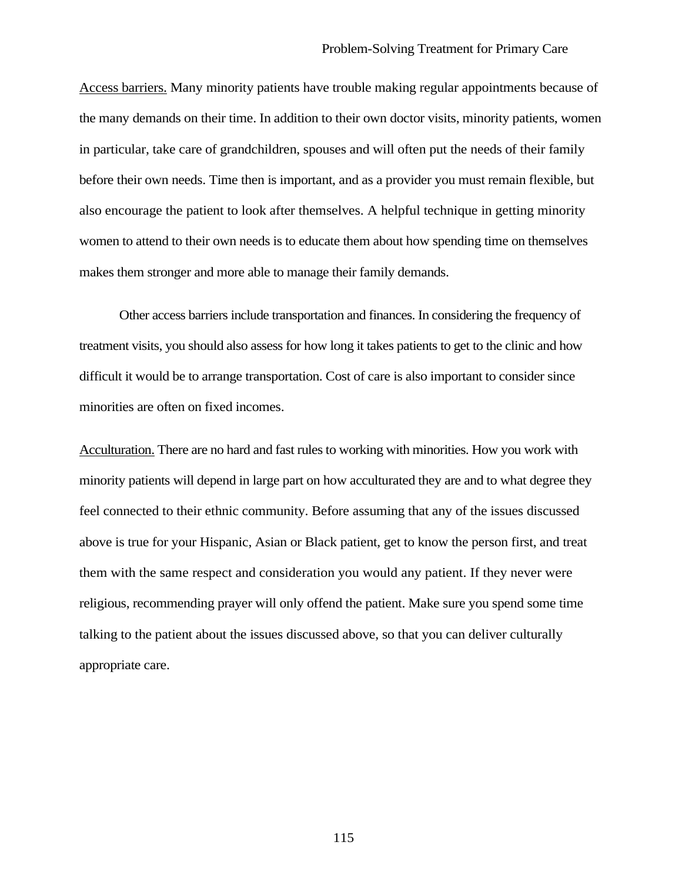Access barriers. Many minority patients have trouble making regular appointments because of the many demands on their time. In addition to their own doctor visits, minority patients, women in particular, take care of grandchildren, spouses and will often put the needs of their family before their own needs. Time then is important, and as a provider you must remain flexible, but also encourage the patient to look after themselves. A helpful technique in getting minority women to attend to their own needs is to educate them about how spending time on themselves makes them stronger and more able to manage their family demands.

Other access barriers include transportation and finances. In considering the frequency of treatment visits, you should also assess for how long it takes patients to get to the clinic and how difficult it would be to arrange transportation. Cost of care is also important to consider since minorities are often on fixed incomes.

Acculturation. There are no hard and fast rules to working with minorities. How you work with minority patients will depend in large part on how acculturated they are and to what degree they feel connected to their ethnic community. Before assuming that any of the issues discussed above is true for your Hispanic, Asian or Black patient, get to know the person first, and treat them with the same respect and consideration you would any patient. If they never were religious, recommending prayer will only offend the patient. Make sure you spend some time talking to the patient about the issues discussed above, so that you can deliver culturally appropriate care.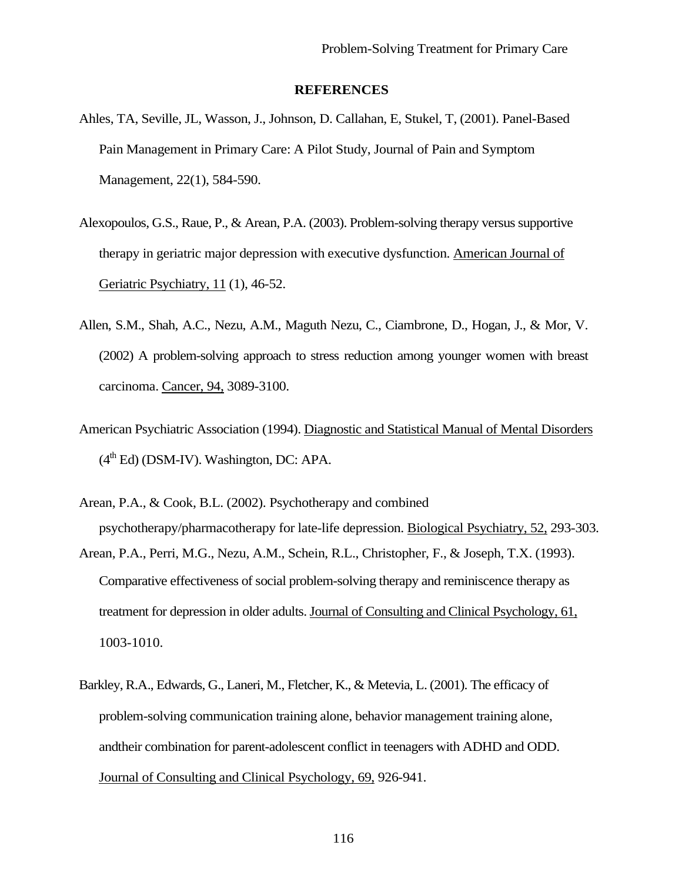#### **REFERENCES**

- Ahles, TA, Seville, JL, Wasson, J., Johnson, D. Callahan, E, Stukel, T, (2001). Panel-Based Pain Management in Primary Care: A Pilot Study, Journal of Pain and Symptom Management, 22(1), 584-590.
- Alexopoulos, G.S., Raue, P., & Arean, P.A. (2003). Problem-solving therapy versus supportive therapy in geriatric major depression with executive dysfunction. American Journal of Geriatric Psychiatry, 11 (1), 46-52.
- Allen, S.M., Shah, A.C., Nezu, A.M., Maguth Nezu, C., Ciambrone, D., Hogan, J., & Mor, V. (2002) A problem-solving approach to stress reduction among younger women with breast carcinoma. Cancer, 94, 3089-3100.
- American Psychiatric Association (1994). Diagnostic and Statistical Manual of Mental Disorders  $(4<sup>th</sup> Ed)$  (DSM-IV). Washington, DC: APA.
- Arean, P.A., & Cook, B.L. (2002). Psychotherapy and combined psychotherapy/pharmacotherapy for late-life depression. Biological Psychiatry, 52, 293-303.
- Arean, P.A., Perri, M.G., Nezu, A.M., Schein, R.L., Christopher, F., & Joseph, T.X. (1993). Comparative effectiveness of social problem-solving therapy and reminiscence therapy as treatment for depression in older adults. Journal of Consulting and Clinical Psychology, 61, 1003-1010.
- Barkley, R.A., Edwards, G., Laneri, M., Fletcher, K., & Metevia, L. (2001). The efficacy of problem-solving communication training alone, behavior management training alone, andtheir combination for parent-adolescent conflict in teenagers with ADHD and ODD. Journal of Consulting and Clinical Psychology, 69, 926-941.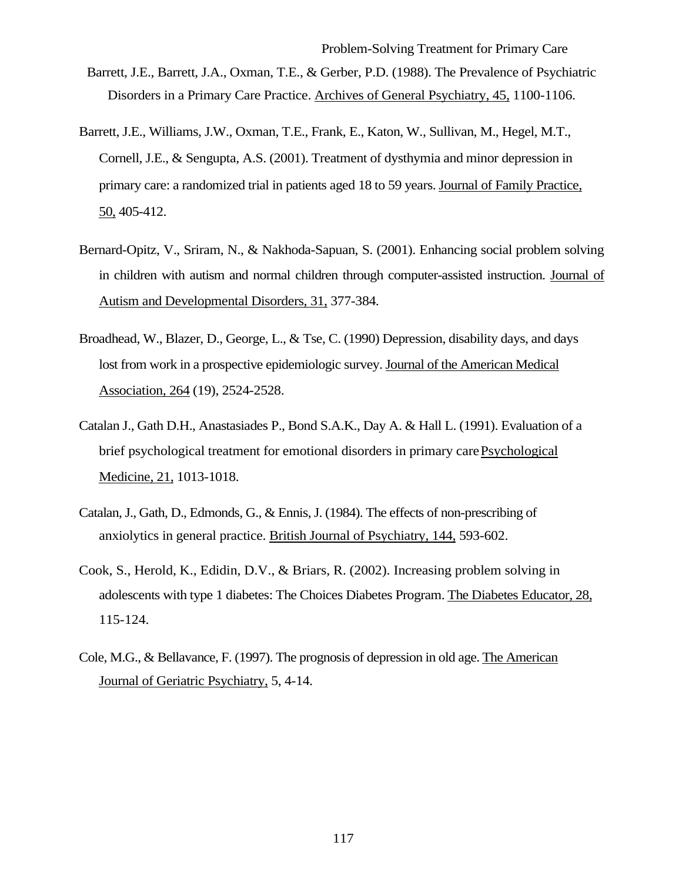- Barrett, J.E., Barrett, J.A., Oxman, T.E., & Gerber, P.D. (1988). The Prevalence of Psychiatric Disorders in a Primary Care Practice. Archives of General Psychiatry, 45, 1100-1106.
- Barrett, J.E., Williams, J.W., Oxman, T.E., Frank, E., Katon, W., Sullivan, M., Hegel, M.T., Cornell, J.E., & Sengupta, A.S. (2001). Treatment of dysthymia and minor depression in primary care: a randomized trial in patients aged 18 to 59 years. Journal of Family Practice, 50, 405-412.
- Bernard-Opitz, V., Sriram, N., & Nakhoda-Sapuan, S. (2001). Enhancing social problem solving in children with autism and normal children through computer-assisted instruction. Journal of Autism and Developmental Disorders, 31, 377-384.
- Broadhead, W., Blazer, D., George, L., & Tse, C. (1990) Depression, disability days, and days lost from work in a prospective epidemiologic survey. Journal of the American Medical Association, 264 (19), 2524-2528.
- Catalan J., Gath D.H., Anastasiades P., Bond S.A.K., Day A. & Hall L. (1991). Evaluation of a brief psychological treatment for emotional disorders in primary care*.* Psychological Medicine, 21, 1013-1018.
- Catalan, J., Gath, D., Edmonds, G., & Ennis, J. (1984). The effects of non-prescribing of anxiolytics in general practice. British Journal of Psychiatry, 144, 593-602.
- Cook, S., Herold, K., Edidin, D.V., & Briars, R. (2002). Increasing problem solving in adolescents with type 1 diabetes: The Choices Diabetes Program. The Diabetes Educator, 28, 115-124.
- Cole, M.G., & Bellavance, F. (1997). The prognosis of depression in old age. The American Journal of Geriatric Psychiatry, 5, 4-14.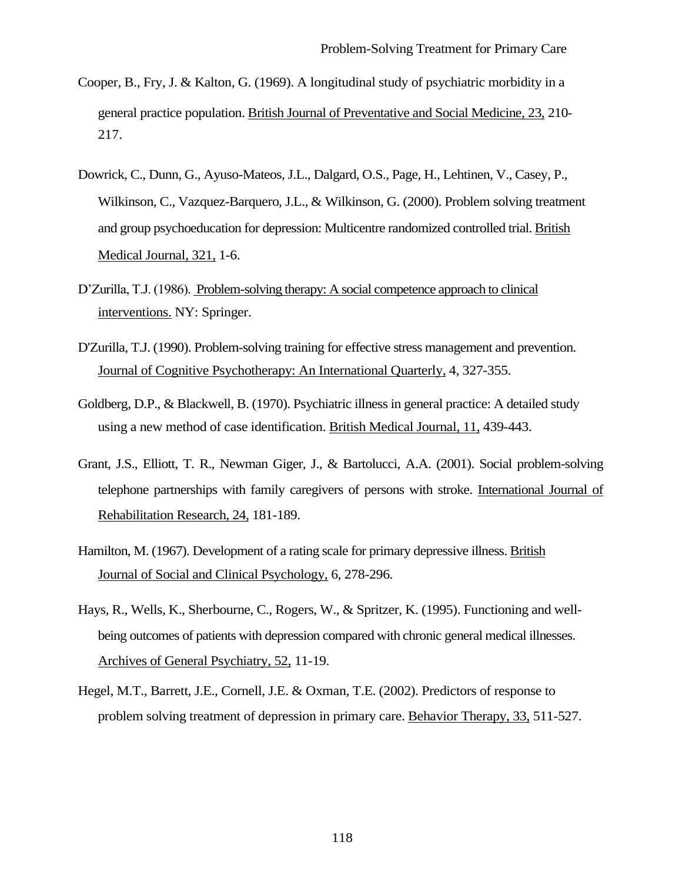- Cooper, B., Fry, J. & Kalton, G. (1969). A longitudinal study of psychiatric morbidity in a general practice population. British Journal of Preventative and Social Medicine, 23, 210- 217.
- Dowrick, C., Dunn, G., Ayuso-Mateos, J.L., Dalgard, O.S., Page, H., Lehtinen, V., Casey, P., Wilkinson, C., Vazquez-Barquero, J.L., & Wilkinson, G. (2000). Problem solving treatment and group psychoeducation for depression: Multicentre randomized controlled trial. British Medical Journal, 321, 1-6.
- D'Zurilla, T.J. (1986). Problem-solving therapy: A social competence approach to clinical interventions. NY: Springer.
- D'Zurilla, T.J. (1990). Problem-solving training for effective stress management and prevention. Journal of Cognitive Psychotherapy: An International Quarterly, 4, 327-355.
- Goldberg, D.P., & Blackwell, B. (1970). Psychiatric illness in general practice: A detailed study using a new method of case identification. British Medical Journal, 11, 439-443.
- Grant, J.S., Elliott, T. R., Newman Giger, J., & Bartolucci, A.A. (2001). Social problem-solving telephone partnerships with family caregivers of persons with stroke. International Journal of Rehabilitation Research, 24, 181-189.
- Hamilton, M. (1967). Development of a rating scale for primary depressive illness. British Journal of Social and Clinical Psychology, 6, 278-296.
- Hays, R., Wells, K., Sherbourne, C., Rogers, W., & Spritzer, K. (1995). Functioning and wellbeing outcomes of patients with depression compared with chronic general medical illnesses. Archives of General Psychiatry, 52, 11-19.
- Hegel, M.T., Barrett, J.E., Cornell, J.E. & Oxman, T.E. (2002). Predictors of response to problem solving treatment of depression in primary care. Behavior Therapy, 33, 511-527.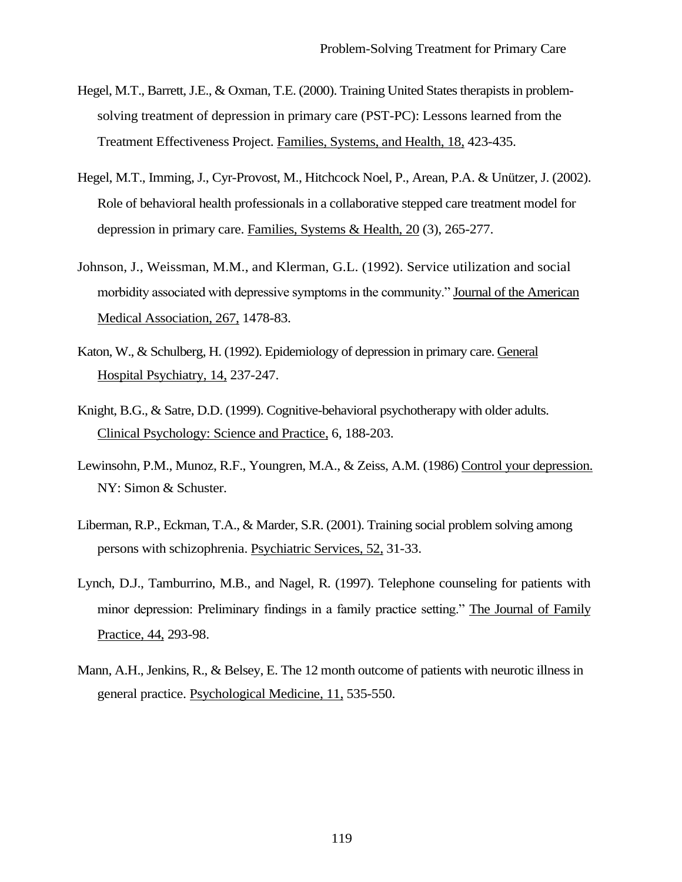- Hegel, M.T., Barrett, J.E., & Oxman, T.E. (2000). Training United States therapists in problemsolving treatment of depression in primary care (PST-PC): Lessons learned from the Treatment Effectiveness Project. Families, Systems, and Health, 18, 423-435.
- Hegel, M.T., Imming, J., Cyr-Provost, M., Hitchcock Noel, P., Arean, P.A. & Unützer, J. (2002). Role of behavioral health professionals in a collaborative stepped care treatment model for depression in primary care. Families, Systems & Health, 20 (3), 265-277.
- Johnson, J., Weissman, M.M., and Klerman, G.L. (1992). Service utilization and social morbidity associated with depressive symptoms in the community." Journal of the American Medical Association, 267, 1478-83.
- Katon, W., & Schulberg, H. (1992). Epidemiology of depression in primary care. General Hospital Psychiatry, 14, 237-247.
- Knight, B.G., & Satre, D.D. (1999). Cognitive-behavioral psychotherapy with older adults. Clinical Psychology: Science and Practice, 6, 188-203.
- Lewinsohn, P.M., Munoz, R.F., Youngren, M.A., & Zeiss, A.M. (1986) Control your depression. NY: Simon & Schuster.
- Liberman, R.P., Eckman, T.A., & Marder, S.R. (2001). Training social problem solving among persons with schizophrenia. Psychiatric Services, 52, 31-33.
- Lynch, D.J., Tamburrino, M.B., and Nagel, R. (1997). Telephone counseling for patients with minor depression: Preliminary findings in a family practice setting." The Journal of Family Practice, 44, 293-98.
- Mann, A.H., Jenkins, R., & Belsey, E. The 12 month outcome of patients with neurotic illness in general practice. Psychological Medicine, 11, 535-550.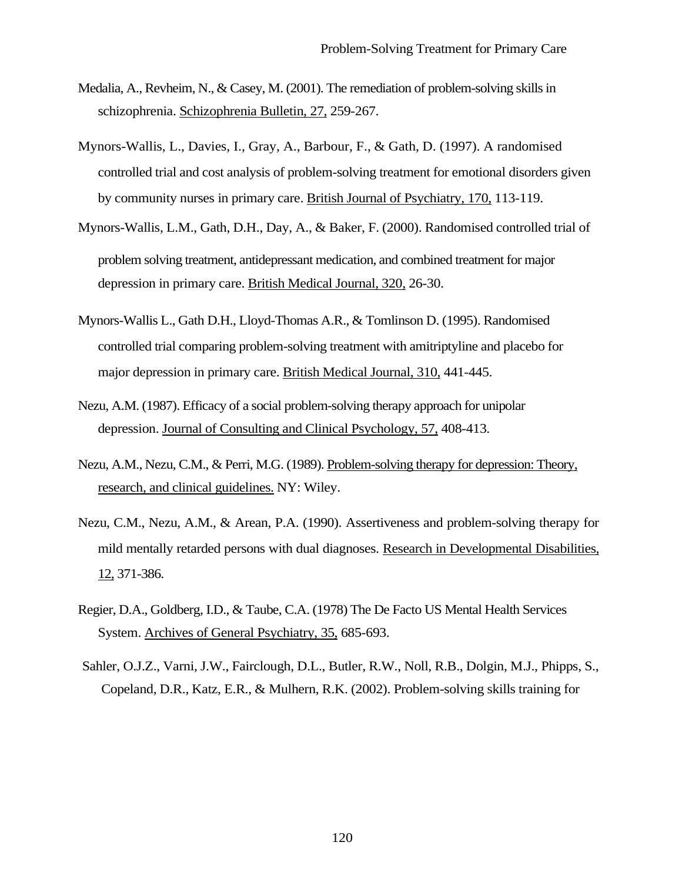- Medalia, A., Revheim, N., & Casey, M. (2001). The remediation of problem-solving skills in schizophrenia. Schizophrenia Bulletin, 27, 259-267.
- Mynors-Wallis, L., Davies, I., Gray, A., Barbour, F., & Gath, D. (1997). A randomised controlled trial and cost analysis of problem-solving treatment for emotional disorders given by community nurses in primary care. British Journal of Psychiatry, 170, 113-119.
- Mynors-Wallis, L.M., Gath, D.H., Day, A., & Baker, F. (2000). Randomised controlled trial of problem solving treatment, antidepressant medication, and combined treatment for major depression in primary care. British Medical Journal, 320, 26-30.
- Mynors-Wallis L., Gath D.H., Lloyd-Thomas A.R., & Tomlinson D. (1995). Randomised controlled trial comparing problem-solving treatment with amitriptyline and placebo for major depression in primary care. British Medical Journal, 310, 441-445.
- Nezu, A.M. (1987). Efficacy of a social problem-solving therapy approach for unipolar depression. Journal of Consulting and Clinical Psychology, 57, 408-413.
- Nezu, A.M., Nezu, C.M., & Perri, M.G. (1989). Problem-solving therapy for depression: Theory, research, and clinical guidelines. NY: Wiley.
- Nezu, C.M., Nezu, A.M., & Arean, P.A. (1990). Assertiveness and problem-solving therapy for mild mentally retarded persons with dual diagnoses. Research in Developmental Disabilities, 12, 371-386.
- Regier, D.A., Goldberg, I.D., & Taube, C.A. (1978) The De Facto US Mental Health Services System. Archives of General Psychiatry, 35, 685-693.
- Sahler, O.J.Z., Varni, J.W., Fairclough, D.L., Butler, R.W., Noll, R.B., Dolgin, M.J., Phipps, S., Copeland, D.R., Katz, E.R., & Mulhern, R.K. (2002). Problem-solving skills training for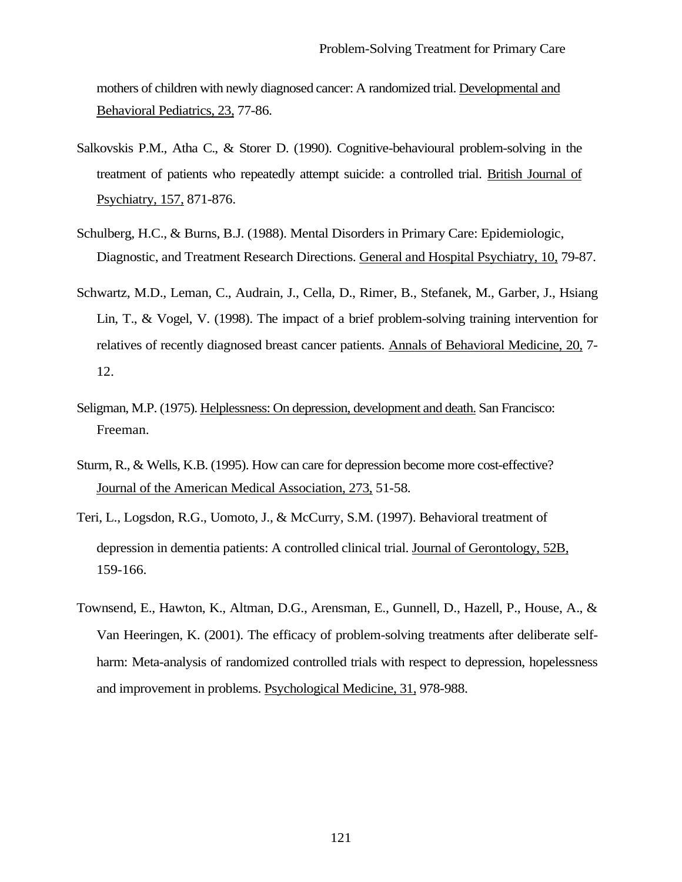mothers of children with newly diagnosed cancer: A randomized trial. Developmental and Behavioral Pediatrics, 23, 77-86.

- Salkovskis P.M., Atha C., & Storer D. (1990). Cognitive-behavioural problem-solving in the treatment of patients who repeatedly attempt suicide: a controlled trial. British Journal of Psychiatry, 157, 871-876.
- Schulberg, H.C., & Burns, B.J. (1988). Mental Disorders in Primary Care: Epidemiologic, Diagnostic, and Treatment Research Directions. General and Hospital Psychiatry, 10, 79-87.
- Schwartz, M.D., Leman, C., Audrain, J., Cella, D., Rimer, B., Stefanek, M., Garber, J., Hsiang Lin, T., & Vogel, V. (1998). The impact of a brief problem-solving training intervention for relatives of recently diagnosed breast cancer patients. Annals of Behavioral Medicine, 20, 7- 12.
- Seligman, M.P. (1975). Helplessness: On depression, development and death. San Francisco: Freeman.
- Sturm, R., & Wells, K.B. (1995). How can care for depression become more cost-effective? Journal of the American Medical Association, 273, 51-58.
- Teri, L., Logsdon, R.G., Uomoto, J., & McCurry, S.M. (1997). Behavioral treatment of depression in dementia patients: A controlled clinical trial. Journal of Gerontology, 52B, 159-166.
- Townsend, E., Hawton, K., Altman, D.G., Arensman, E., Gunnell, D., Hazell, P., House, A., & Van Heeringen, K. (2001). The efficacy of problem-solving treatments after deliberate selfharm: Meta-analysis of randomized controlled trials with respect to depression, hopelessness and improvement in problems. Psychological Medicine, 31, 978-988.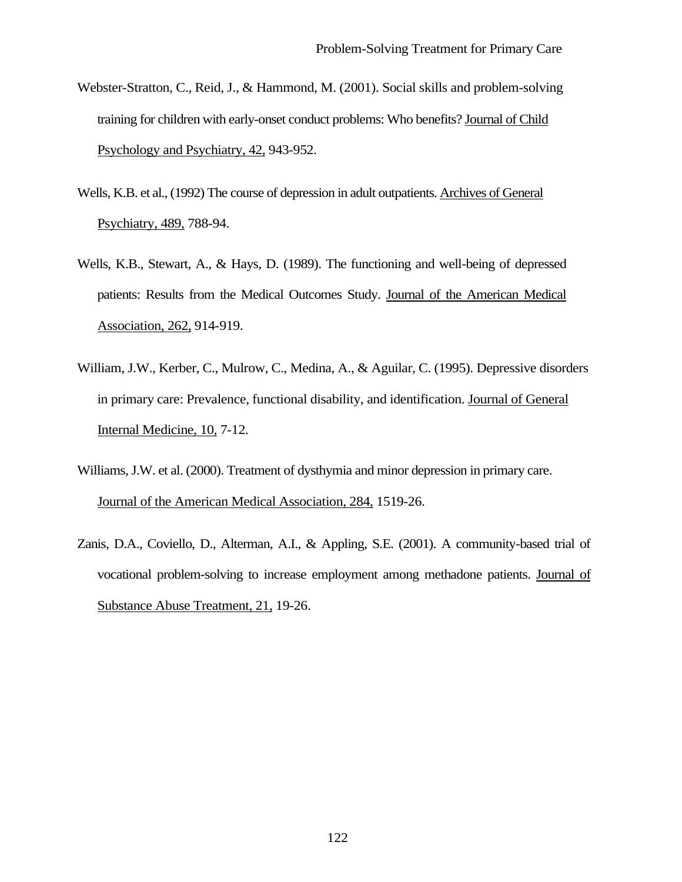- Webster-Stratton, C., Reid, J., & Hammond, M. (2001). Social skills and problem-solving training for children with early-onset conduct problems: Who benefits? Journal of Child Psychology and Psychiatry, 42, 943-952.
- Wells, K.B. et al., (1992) The course of depression in adult outpatients. Archives of General Psychiatry, 489, 788-94.
- Wells, K.B., Stewart, A., & Hays, D. (1989). The functioning and well-being of depressed patients: Results from the Medical Outcomes Study. Journal of the American Medical Association, 262, 914-919.
- William, J.W., Kerber, C., Mulrow, C., Medina, A., & Aguilar, C. (1995). Depressive disorders in primary care: Prevalence, functional disability, and identification. Journal of General Internal Medicine, 10, 7-12.
- Williams, J.W. et al. (2000). Treatment of dysthymia and minor depression in primary care. Journal of the American Medical Association, 284, 1519-26.
- Zanis, D.A., Coviello, D., Alterman, A.I., & Appling, S.E. (2001). A community-based trial of vocational problem-solving to increase employment among methadone patients. Journal of Substance Abuse Treatment, 21, 19-26.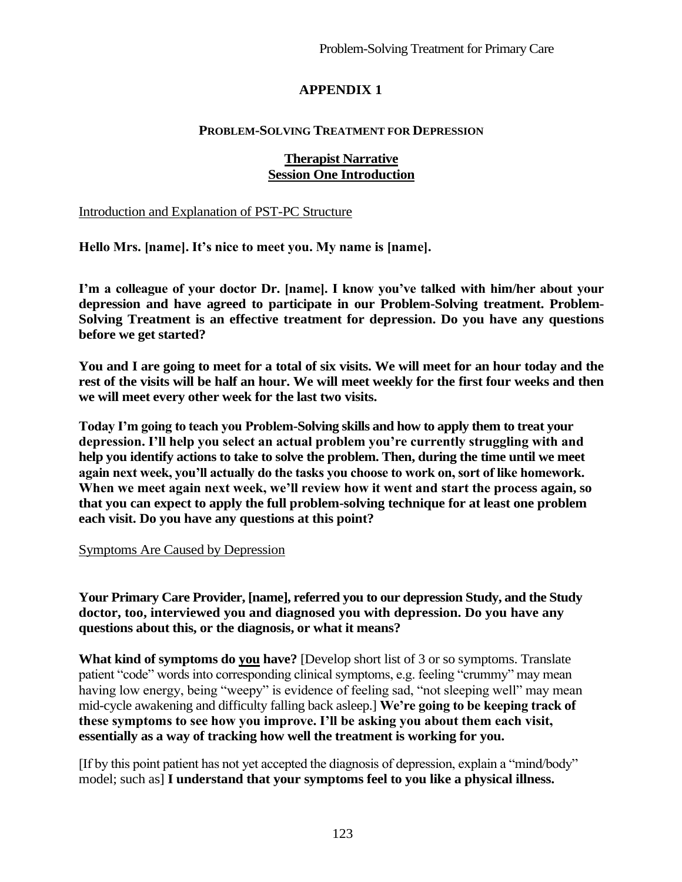# **APPENDIX 1**

#### **PROBLEM-SOLVING TREATMENT FOR DEPRESSION**

#### **Therapist Narrative Session One Introduction**

Introduction and Explanation of PST-PC Structure

**Hello Mrs. [name]. It's nice to meet you. My name is [name].**

**I'm a colleague of your doctor Dr. [name]. I know you've talked with him/her about your depression and have agreed to participate in our Problem-Solving treatment. Problem-Solving Treatment is an effective treatment for depression. Do you have any questions before we get started?**

**You and I are going to meet for a total of six visits. We will meet for an hour today and the rest of the visits will be half an hour. We will meet weekly for the first four weeks and then we will meet every other week for the last two visits.**

**Today I'm going to teach you Problem-Solving skills and how to apply them to treat your depression. I'll help you select an actual problem you're currently struggling with and help you identify actions to take to solve the problem. Then, during the time until we meet again next week, you'll actually do the tasks you choose to work on, sort of like homework. When we meet again next week, we'll review how it went and start the process again, so that you can expect to apply the full problem-solving technique for at least one problem each visit. Do you have any questions at this point?**

#### Symptoms Are Caused by Depression

**Your Primary Care Provider, [name], referred you to our depression Study, and the Study doctor, too, interviewed you and diagnosed you with depression. Do you have any questions about this, or the diagnosis, or what it means?**

**What kind of symptoms do you have?** [Develop short list of 3 or so symptoms. Translate patient "code" words into corresponding clinical symptoms, e.g. feeling "crummy" may mean having low energy, being "weepy" is evidence of feeling sad, "not sleeping well" may mean mid-cycle awakening and difficulty falling back asleep.] **We're going to be keeping track of these symptoms to see how you improve. I'll be asking you about them each visit, essentially as a way of tracking how well the treatment is working for you.**

[If by this point patient has not yet accepted the diagnosis of depression, explain a "mind/body" model; such as] **I understand that your symptoms feel to you like a physical illness.**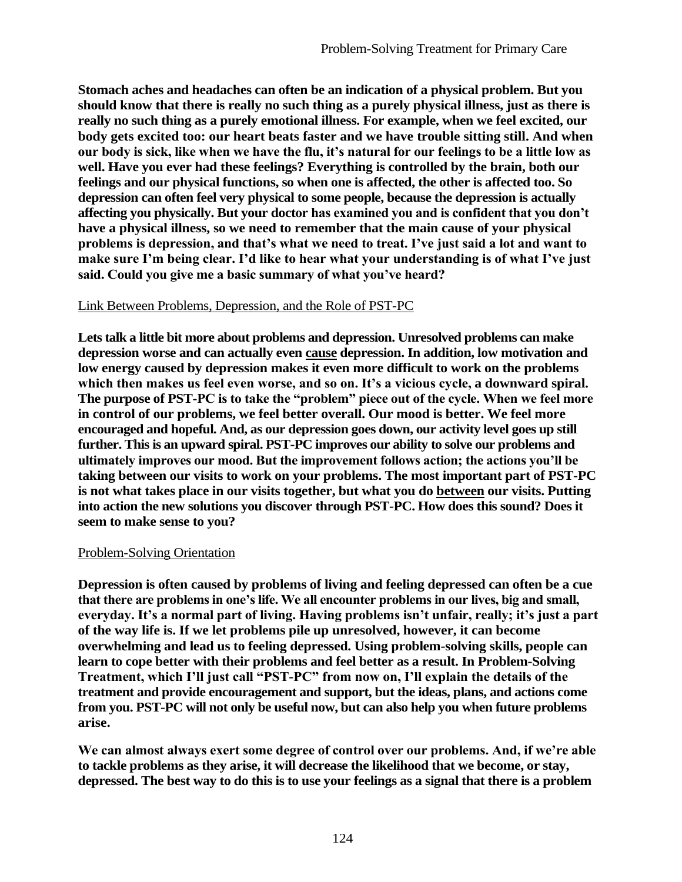**Stomach aches and headaches can often be an indication of a physical problem. But you should know that there is really no such thing as a purely physical illness, just as there is really no such thing as a purely emotional illness. For example, when we feel excited, our body gets excited too: our heart beats faster and we have trouble sitting still. And when our body is sick, like when we have the flu, it's natural for our feelings to be a little low as well. Have you ever had these feelings? Everything is controlled by the brain, both our feelings and our physical functions, so when one is affected, the other is affected too. So depression can often feel very physical to some people, because the depression is actually affecting you physically. But your doctor has examined you and is confident that you don't have a physical illness, so we need to remember that the main cause of your physical problems is depression, and that's what we need to treat. I've just said a lot and want to make sure I'm being clear. I'd like to hear what your understanding is of what I've just said. Could you give me a basic summary of what you've heard?**

#### Link Between Problems, Depression, and the Role of PST-PC

**Lets talk a little bit more about problems and depression. Unresolved problems can make depression worse and can actually even cause depression. In addition, low motivation and low energy caused by depression makes it even more difficult to work on the problems which then makes us feel even worse, and so on. It's a vicious cycle, a downward spiral. The purpose of PST-PC is to take the "problem" piece out of the cycle. When we feel more in control of our problems, we feel better overall. Our mood is better. We feel more encouraged and hopeful. And, as our depression goes down, our activity level goes up still further. This is an upward spiral. PST-PC improves our ability to solve our problems and ultimately improves our mood. But the improvement follows action; the actions you'll be taking between our visits to work on your problems. The most important part of PST-PC is not what takes place in our visits together, but what you do between our visits. Putting into action the new solutions you discover through PST-PC. How does this sound? Does it seem to make sense to you?**

#### Problem-Solving Orientation

**Depression is often caused by problems of living and feeling depressed can often be a cue that there are problems in one's life. We all encounter problems in our lives, big and small, everyday. It's a normal part of living. Having problems isn't unfair, really; it's just a part of the way life is. If we let problems pile up unresolved, however, it can become overwhelming and lead us to feeling depressed. Using problem-solving skills, people can learn to cope better with their problems and feel better as a result. In Problem-Solving Treatment, which I'll just call "PST-PC" from now on, I'll explain the details of the treatment and provide encouragement and support, but the ideas, plans, and actions come from you. PST-PC will not only be useful now, but can also help you when future problems arise.**

**We can almost always exert some degree of control over our problems. And, if we're able to tackle problems as they arise, it will decrease the likelihood that we become, or stay, depressed. The best way to do this is to use your feelings as a signal that there is a problem**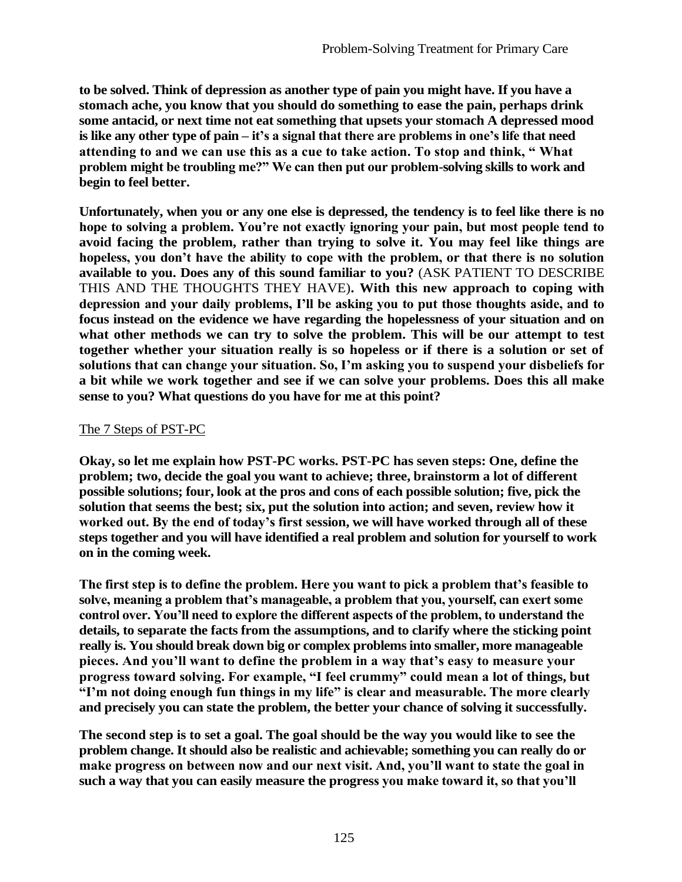**to be solved. Think of depression as another type of pain you might have. If you have a stomach ache, you know that you should do something to ease the pain, perhaps drink some antacid, or next time not eat something that upsets your stomach A depressed mood is like any other type of pain – it's a signal that there are problems in one's life that need attending to and we can use this as a cue to take action. To stop and think, " What problem might be troubling me?" We can then put our problem-solving skills to work and begin to feel better.**

**Unfortunately, when you or any one else is depressed, the tendency is to feel like there is no hope to solving a problem. You're not exactly ignoring your pain, but most people tend to avoid facing the problem, rather than trying to solve it. You may feel like things are hopeless, you don't have the ability to cope with the problem, or that there is no solution available to you. Does any of this sound familiar to you?** (ASK PATIENT TO DESCRIBE THIS AND THE THOUGHTS THEY HAVE)**. With this new approach to coping with depression and your daily problems, I'll be asking you to put those thoughts aside, and to focus instead on the evidence we have regarding the hopelessness of your situation and on what other methods we can try to solve the problem. This will be our attempt to test together whether your situation really is so hopeless or if there is a solution or set of solutions that can change your situation. So, I'm asking you to suspend your disbeliefs for a bit while we work together and see if we can solve your problems. Does this all make sense to you? What questions do you have for me at this point?**

#### The 7 Steps of PST-PC

**Okay, so let me explain how PST-PC works. PST-PC has seven steps: One, define the problem; two, decide the goal you want to achieve; three, brainstorm a lot of different possible solutions; four, look at the pros and cons of each possible solution; five, pick the solution that seems the best; six, put the solution into action; and seven, review how it worked out. By the end of today's first session, we will have worked through all of these steps together and you will have identified a real problem and solution for yourself to work on in the coming week.**

**The first step is to define the problem. Here you want to pick a problem that's feasible to solve, meaning a problem that's manageable, a problem that you, yourself, can exert some control over. You'll need to explore the different aspects of the problem, to understand the details, to separate the facts from the assumptions, and to clarify where the sticking point really is. You should break down big or complex problems into smaller, more manageable pieces. And you'll want to define the problem in a way that's easy to measure your progress toward solving. For example, "I feel crummy" could mean a lot of things, but "I'm not doing enough fun things in my life" is clear and measurable. The more clearly and precisely you can state the problem, the better your chance of solving it successfully.**

**The second step is to set a goal. The goal should be the way you would like to see the problem change. It should also be realistic and achievable; something you can really do or make progress on between now and our next visit. And, you'll want to state the goal in such a way that you can easily measure the progress you make toward it, so that you'll**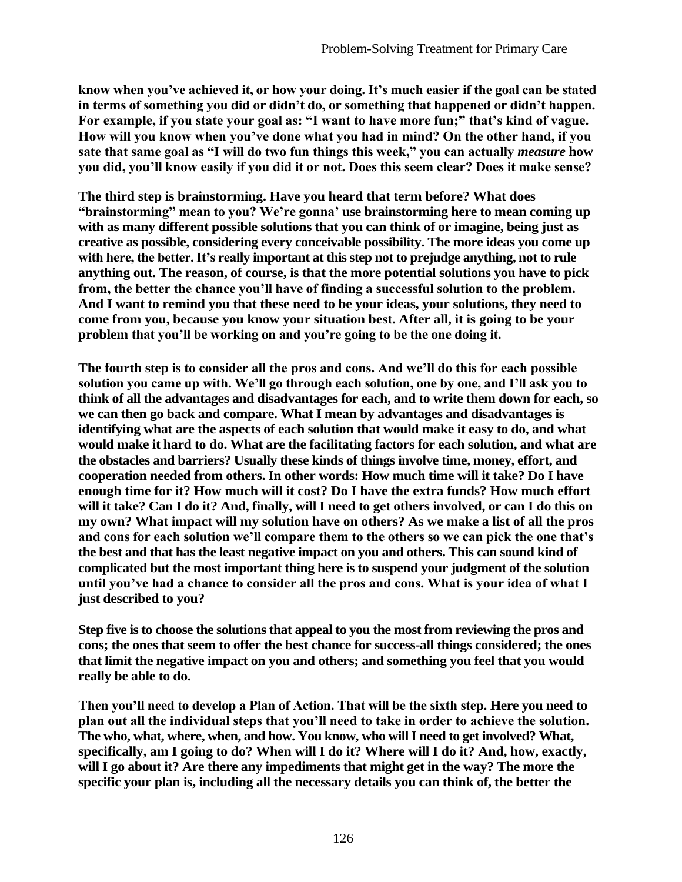**know when you've achieved it, or how your doing. It's much easier if the goal can be stated in terms of something you did or didn't do, or something that happened or didn't happen. For example, if you state your goal as: "I want to have more fun;" that's kind of vague. How will you know when you've done what you had in mind? On the other hand, if you sate that same goal as "I will do two fun things this week," you can actually** *measure* **how you did, you'll know easily if you did it or not. Does this seem clear? Does it make sense?**

**The third step is brainstorming. Have you heard that term before? What does "brainstorming" mean to you? We're gonna' use brainstorming here to mean coming up with as many different possible solutions that you can think of or imagine, being just as creative as possible, considering every conceivable possibility. The more ideas you come up with here, the better. It's really important at this step not to prejudge anything, not to rule anything out. The reason, of course, is that the more potential solutions you have to pick from, the better the chance you'll have of finding a successful solution to the problem. And I want to remind you that these need to be your ideas, your solutions, they need to come from you, because you know your situation best. After all, it is going to be your problem that you'll be working on and you're going to be the one doing it.**

**The fourth step is to consider all the pros and cons. And we'll do this for each possible solution you came up with. We'll go through each solution, one by one, and I'll ask you to think of all the advantages and disadvantages for each, and to write them down for each, so we can then go back and compare. What I mean by advantages and disadvantages is identifying what are the aspects of each solution that would make it easy to do, and what would make it hard to do. What are the facilitating factors for each solution, and what are the obstacles and barriers? Usually these kinds of things involve time, money, effort, and cooperation needed from others. In other words: How much time will it take? Do I have enough time for it? How much will it cost? Do I have the extra funds? How much effort will it take? Can I do it? And, finally, will I need to get others involved, or can I do this on my own? What impact will my solution have on others? As we make a list of all the pros and cons for each solution we'll compare them to the others so we can pick the one that's the best and that has the least negative impact on you and others. This can sound kind of complicated but the most important thing here is to suspend your judgment of the solution until you've had a chance to consider all the pros and cons. What is your idea of what I just described to you?**

**Step five is to choose the solutions that appeal to you the most from reviewing the pros and cons; the ones that seem to offer the best chance for success-all things considered; the ones that limit the negative impact on you and others; and something you feel that you would really be able to do.**

**Then you'll need to develop a Plan of Action. That will be the sixth step. Here you need to plan out all the individual steps that you'll need to take in order to achieve the solution. The who, what, where, when, and how. You know, who will I need to get involved? What, specifically, am I going to do? When will I do it? Where will I do it? And, how, exactly, will I go about it? Are there any impediments that might get in the way? The more the specific your plan is, including all the necessary details you can think of, the better the**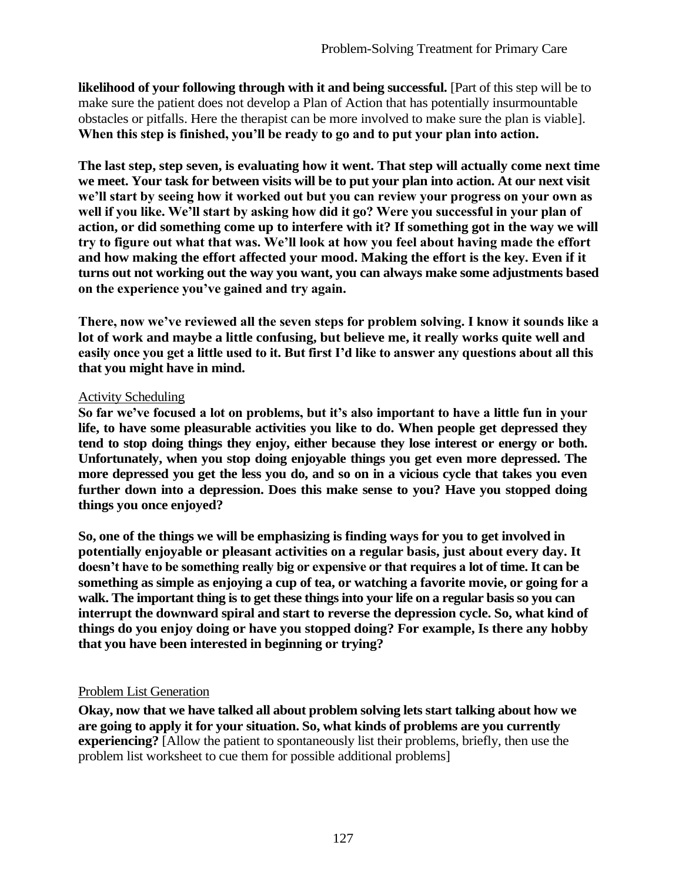**likelihood of your following through with it and being successful.** [Part of this step will be to make sure the patient does not develop a Plan of Action that has potentially insurmountable obstacles or pitfalls. Here the therapist can be more involved to make sure the plan is viable]. **When this step is finished, you'll be ready to go and to put your plan into action.**

**The last step, step seven, is evaluating how it went. That step will actually come next time we meet. Your task for between visits will be to put your plan into action. At our next visit we'll start by seeing how it worked out but you can review your progress on your own as well if you like. We'll start by asking how did it go? Were you successful in your plan of action, or did something come up to interfere with it? If something got in the way we will try to figure out what that was. We'll look at how you feel about having made the effort and how making the effort affected your mood. Making the effort is the key. Even if it turns out not working out the way you want, you can always make some adjustments based on the experience you've gained and try again.**

**There, now we've reviewed all the seven steps for problem solving. I know it sounds like a lot of work and maybe a little confusing, but believe me, it really works quite well and easily once you get a little used to it. But first I'd like to answer any questions about all this that you might have in mind.**

#### Activity Scheduling

**So far we've focused a lot on problems, but it's also important to have a little fun in your life, to have some pleasurable activities you like to do. When people get depressed they tend to stop doing things they enjoy, either because they lose interest or energy or both. Unfortunately, when you stop doing enjoyable things you get even more depressed. The more depressed you get the less you do, and so on in a vicious cycle that takes you even further down into a depression. Does this make sense to you? Have you stopped doing things you once enjoyed?**

**So, one of the things we will be emphasizing is finding ways for you to get involved in potentially enjoyable or pleasant activities on a regular basis, just about every day. It doesn't have to be something really big or expensive or that requires a lot of time. It can be something as simple as enjoying a cup of tea, or watching a favorite movie, or going for a walk. The important thing is to get these things into your life on a regular basis so you can interrupt the downward spiral and start to reverse the depression cycle. So, what kind of things do you enjoy doing or have you stopped doing? For example, Is there any hobby that you have been interested in beginning or trying?**

## Problem List Generation

**Okay, now that we have talked all about problem solving lets start talking about how we are going to apply it for your situation. So, what kinds of problems are you currently experiencing?** [Allow the patient to spontaneously list their problems, briefly, then use the problem list worksheet to cue them for possible additional problems]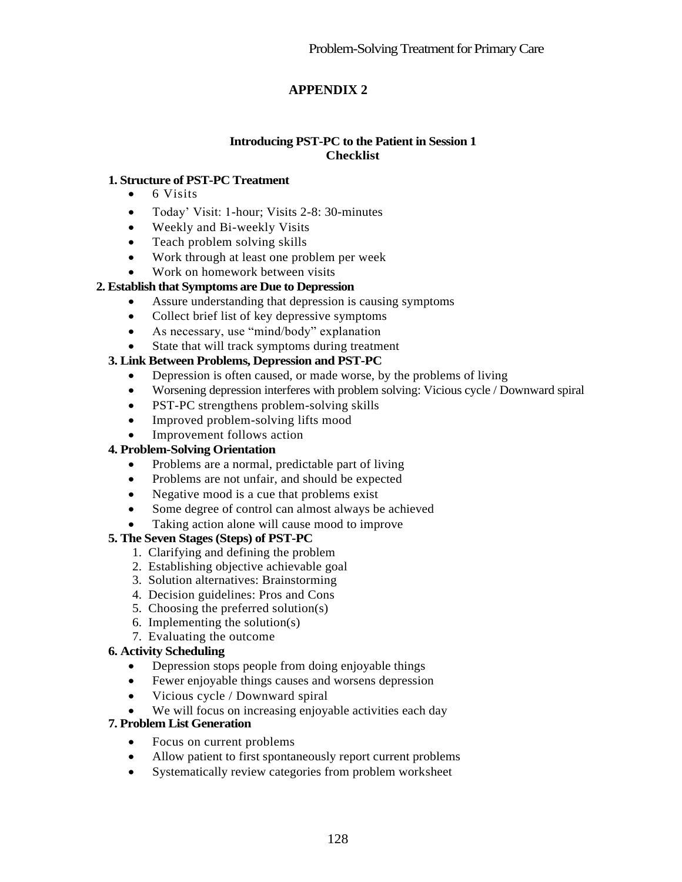# **APPENDIX 2**

#### **Introducing PST-PC to the Patient in Session 1 Checklist**

#### **1. Structure of PST-PC Treatment**

- $\bullet$  6 Visits
- Today' Visit: 1-hour; Visits 2-8: 30-minutes
- Weekly and Bi-weekly Visits
- Teach problem solving skills
- Work through at least one problem per week
- Work on homework between visits

#### **2. Establish that Symptoms are Due to Depression**

- Assure understanding that depression is causing symptoms
- Collect brief list of key depressive symptoms
- As necessary, use "mind/body" explanation
- State that will track symptoms during treatment

#### **3. Link Between Problems, Depression and PST-PC**

- Depression is often caused, or made worse, by the problems of living
- Worsening depression interferes with problem solving: Vicious cycle / Downward spiral
- PST-PC strengthens problem-solving skills
- Improved problem-solving lifts mood
- Improvement follows action

#### **4. Problem-Solving Orientation**

- Problems are a normal, predictable part of living
- Problems are not unfair, and should be expected
- Negative mood is a cue that problems exist
- Some degree of control can almost always be achieved
- Taking action alone will cause mood to improve

#### **5. The Seven Stages (Steps) of PST-PC**

- 1. Clarifying and defining the problem
- 2. Establishing objective achievable goal
- 3. Solution alternatives: Brainstorming
- 4. Decision guidelines: Pros and Cons
- 5. Choosing the preferred solution(s)
- 6. Implementing the solution(s)
- 7. Evaluating the outcome

#### **6. Activity Scheduling**

- Depression stops people from doing enjoyable things
- Fewer enjoyable things causes and worsens depression
- Vicious cycle / Downward spiral
- We will focus on increasing enjoyable activities each day

#### **7. Problem List Generation**

- Focus on current problems
- Allow patient to first spontaneously report current problems
- Systematically review categories from problem worksheet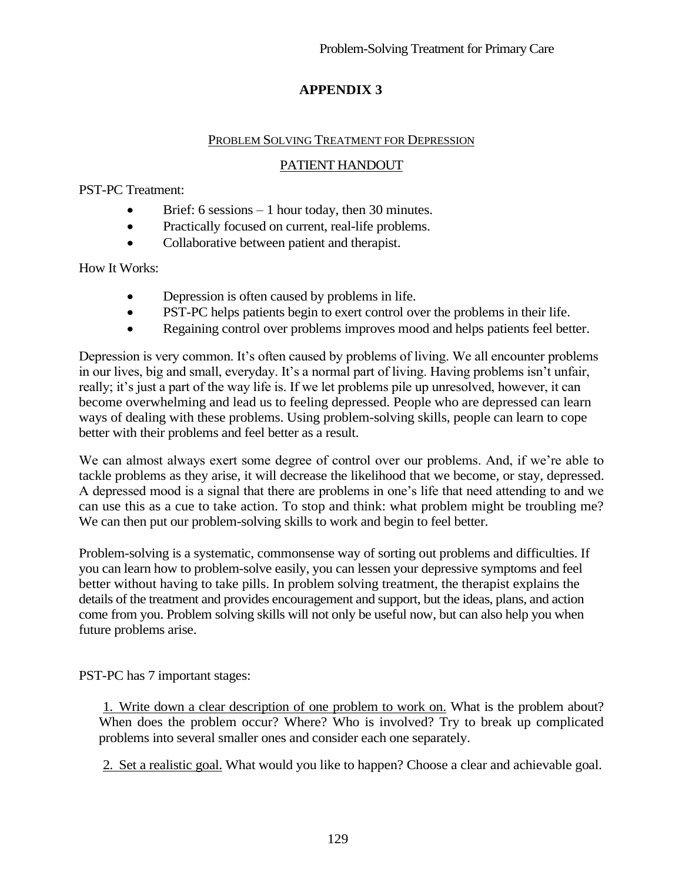# **APPENDIX 3**

#### PROBLEM SOLVING TREATMENT FOR DEPRESSION

# PATIENT HANDOUT

PST-PC Treatment:

- $\bullet$  Brief: 6 sessions 1 hour today, then 30 minutes.
- Practically focused on current, real-life problems.
- Collaborative between patient and therapist.

How It Works:

- Depression is often caused by problems in life.
- PST-PC helps patients begin to exert control over the problems in their life.
- Regaining control over problems improves mood and helps patients feel better.

Depression is very common. It's often caused by problems of living. We all encounter problems in our lives, big and small, everyday. It's a normal part of living. Having problems isn't unfair, really; it's just a part of the way life is. If we let problems pile up unresolved, however, it can become overwhelming and lead us to feeling depressed. People who are depressed can learn ways of dealing with these problems. Using problem-solving skills, people can learn to cope better with their problems and feel better as a result.

We can almost always exert some degree of control over our problems. And, if we're able to tackle problems as they arise, it will decrease the likelihood that we become, or stay, depressed. A depressed mood is a signal that there are problems in one's life that need attending to and we can use this as a cue to take action. To stop and think: what problem might be troubling me? We can then put our problem-solving skills to work and begin to feel better.

Problem-solving is a systematic, commonsense way of sorting out problems and difficulties. If you can learn how to problem-solve easily, you can lessen your depressive symptoms and feel better without having to take pills. In problem solving treatment, the therapist explains the details of the treatment and provides encouragement and support, but the ideas, plans, and action come from you. Problem solving skills will not only be useful now, but can also help you when future problems arise.

PST-PC has 7 important stages:

1. Write down a clear description of one problem to work on. What is the problem about? When does the problem occur? Where? Who is involved? Try to break up complicated problems into several smaller ones and consider each one separately.

2. Set a realistic goal. What would you like to happen? Choose a clear and achievable goal.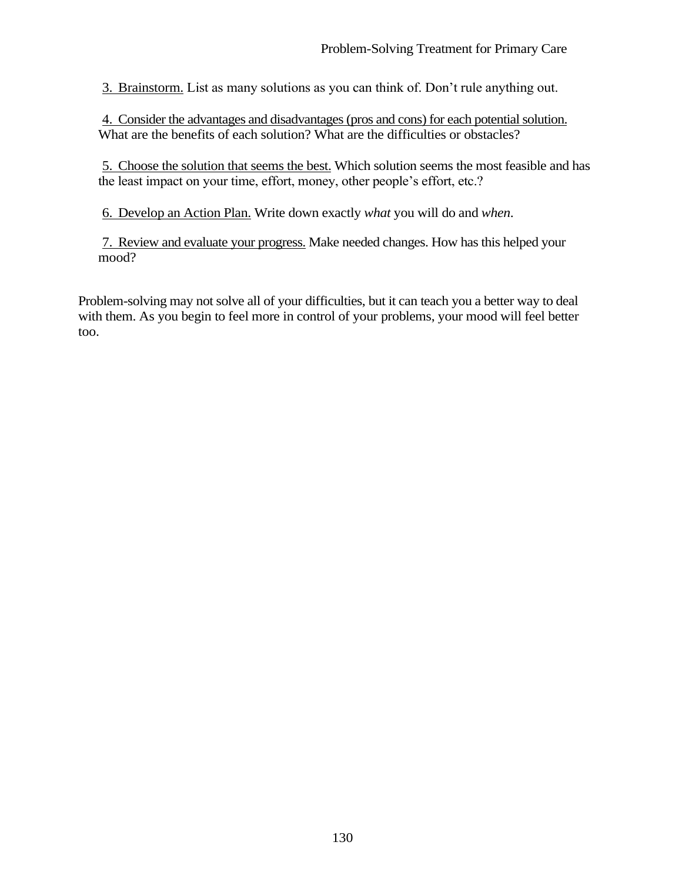3. Brainstorm. List as many solutions as you can think of. Don't rule anything out.

4. Consider the advantages and disadvantages (pros and cons) for each potential solution. What are the benefits of each solution? What are the difficulties or obstacles?

5. Choose the solution that seems the best. Which solution seems the most feasible and has the least impact on your time, effort, money, other people's effort, etc.?

6. Develop an Action Plan. Write down exactly *what* you will do and *when*.

7. Review and evaluate your progress. Make needed changes. How has this helped your mood?

Problem-solving may not solve all of your difficulties, but it can teach you a better way to deal with them. As you begin to feel more in control of your problems, your mood will feel better too.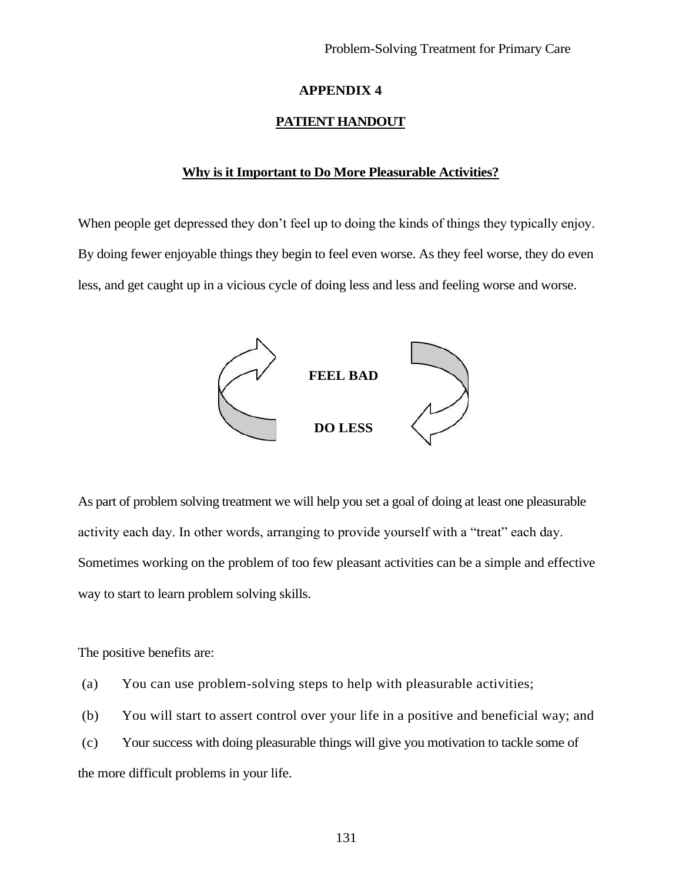#### **APPENDIX 4**

#### **PATIENT HANDOUT**

#### **Why is it Important to Do More Pleasurable Activities?**

When people get depressed they don't feel up to doing the kinds of things they typically enjoy. By doing fewer enjoyable things they begin to feel even worse. As they feel worse, they do even less, and get caught up in a vicious cycle of doing less and less and feeling worse and worse.



As part of problem solving treatment we will help you set a goal of doing at least one pleasurable activity each day. In other words, arranging to provide yourself with a "treat" each day. Sometimes working on the problem of too few pleasant activities can be a simple and effective way to start to learn problem solving skills.

The positive benefits are:

(a) You can use problem-solving steps to help with pleasurable activities;

- (b) You will start to assert control over your life in a positive and beneficial way; and
- (c) Your success with doing pleasurable things will give you motivation to tackle some of

the more difficult problems in your life.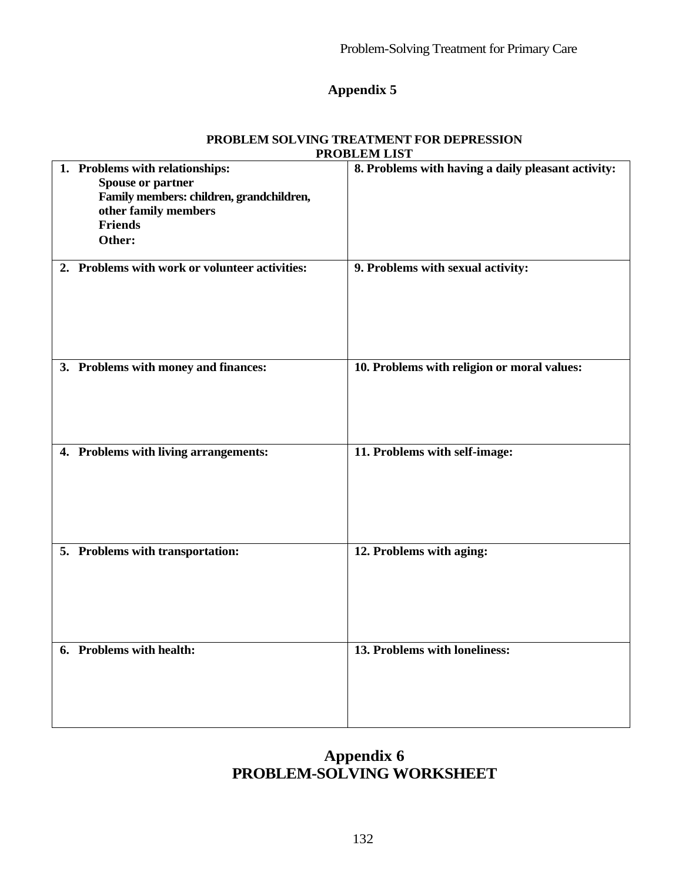# **Appendix 5**

|                                                                                                                                                             | I WODDENI DIO I                                    |
|-------------------------------------------------------------------------------------------------------------------------------------------------------------|----------------------------------------------------|
| 1. Problems with relationships:<br><b>Spouse or partner</b><br>Family members: children, grandchildren,<br>other family members<br><b>Friends</b><br>Other: | 8. Problems with having a daily pleasant activity: |
| 2. Problems with work or volunteer activities:                                                                                                              | 9. Problems with sexual activity:                  |
| 3. Problems with money and finances:                                                                                                                        | 10. Problems with religion or moral values:        |
| 4. Problems with living arrangements:                                                                                                                       | 11. Problems with self-image:                      |
| 5. Problems with transportation:                                                                                                                            | 12. Problems with aging:                           |
| 6. Problems with health:                                                                                                                                    | 13. Problems with loneliness:                      |

#### **PROBLEM SOLVING TREATMENT FOR DEPRESSION PROBLEM LIST**

# **Appendix 6 PROBLEM-SOLVING WORKSHEET**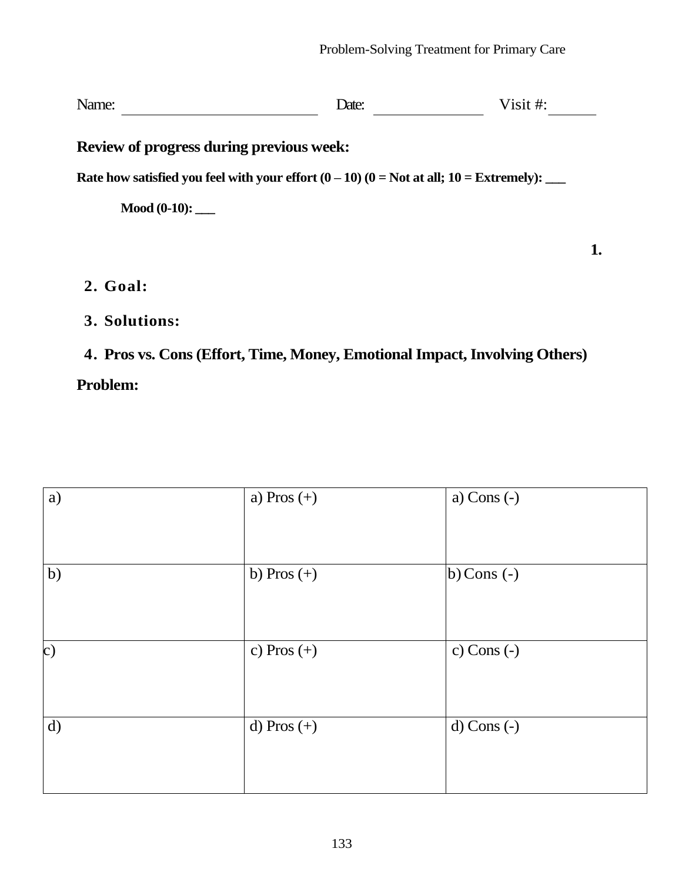**1.** 

Name: <u>Date:</u> Date: <u>Date:</u> Visit #:

**Review of progress during previous week:**

Rate how satisfied you feel with your effort  $(0 - 10)$   $(0 = Not at all; 10 = Extremely):$ 

**Mood (0-10): \_\_\_**

**2. Goal:**

**3. Solutions:**

# **Problem: 4. Pros vs. Cons (Effort, Time, Money, Emotional Impact, Involving Others)**

| a)            | a) Pros $(+)$ | a) Cons $(-)$       |
|---------------|---------------|---------------------|
| b)            | b) Pros $(+)$ | $\vert$ b) Cons (-) |
| $\mathbf{c})$ | c) Pros $(+)$ | c) Cons $(-)$       |
| d)            | d) Pros $(+)$ | $d)$ Cons $(-)$     |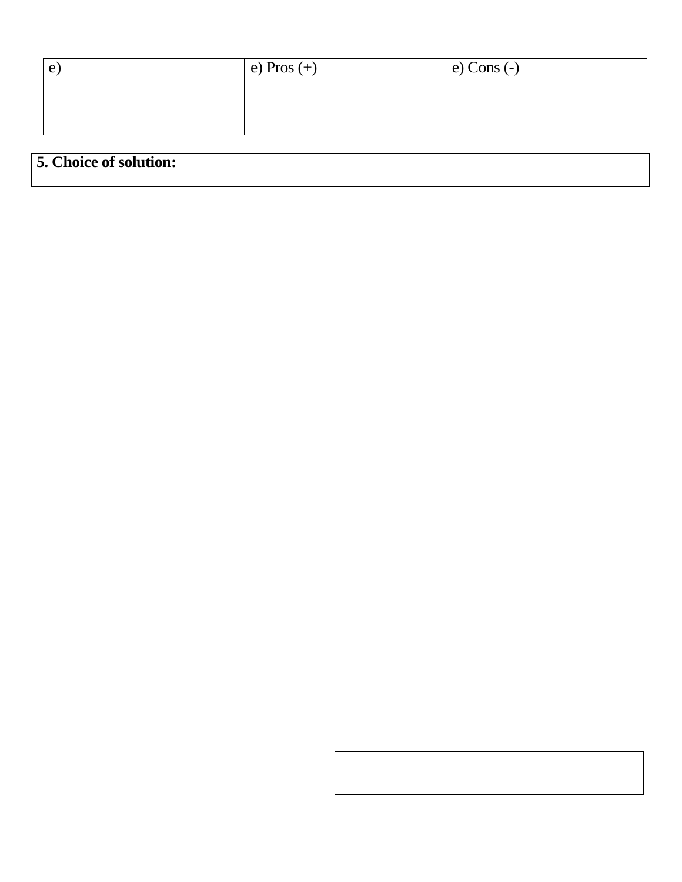| e | $\vert$ e) Pros $(+)$ | $e)$ Cons $(-)$ |
|---|-----------------------|-----------------|
|   |                       |                 |
|   |                       |                 |
|   |                       |                 |

# **5. Choice of solution:**

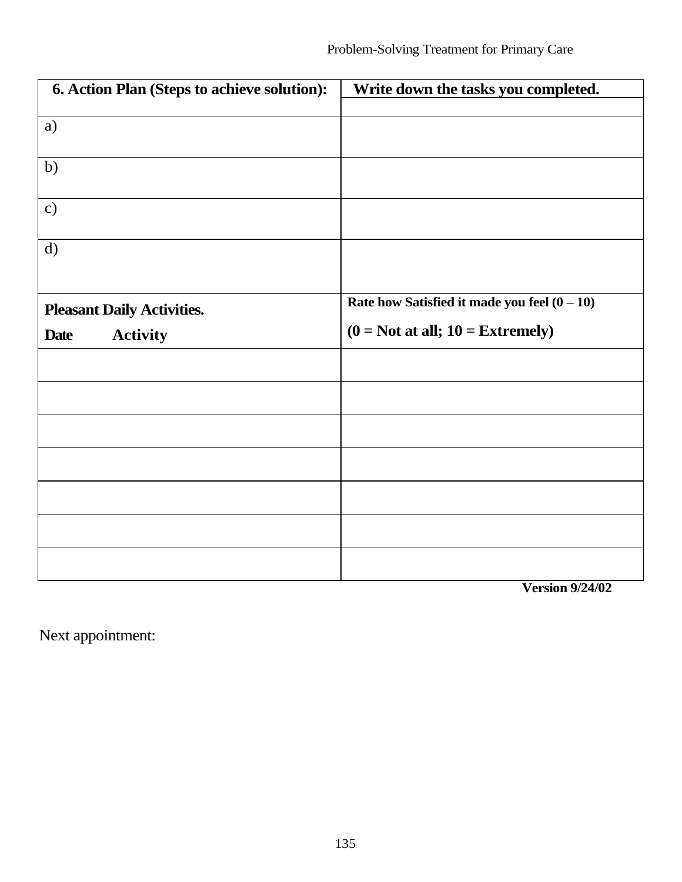| 6. Action Plan (Steps to achieve solution): | Write down the tasks you completed.            |
|---------------------------------------------|------------------------------------------------|
|                                             |                                                |
| a)                                          |                                                |
|                                             |                                                |
| b)                                          |                                                |
|                                             |                                                |
| $\mathbf{c})$                               |                                                |
|                                             |                                                |
| d)                                          |                                                |
|                                             |                                                |
|                                             | Rate how Satisfied it made you feel $(0 - 10)$ |
| <b>Pleasant Daily Activities.</b>           |                                                |
| <b>Activity</b><br><b>Date</b>              | $(0 = Not at all; 10 = Extremely)$             |
|                                             |                                                |
|                                             |                                                |
|                                             |                                                |
|                                             |                                                |
|                                             |                                                |
|                                             |                                                |
|                                             |                                                |
|                                             |                                                |
|                                             |                                                |
|                                             |                                                |
|                                             |                                                |
|                                             |                                                |

**Version 9/24/02**

Next appointment: